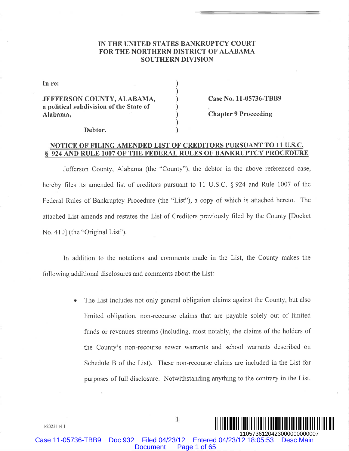## IN THE UNITED STATES BANKRUPTCY COURT FOR THE NORTHERN DISTRICT OF ALABAMA **SOUTHERN DIVISION**

| In re:                                                                            |  |
|-----------------------------------------------------------------------------------|--|
| JEFFERSON COUNTY, ALABAMA,<br>a political subdivision of the State of<br>Alabama, |  |
|                                                                                   |  |

Case No. 11-05736-TBB9

**Chapter 9 Proceeding** 

#### Debtor.

## NOTICE OF FILING AMENDED LIST OF CREDITORS PURSUANT TO 11 U.S.C. § 924 AND RULE 1007 OF THE FEDERAL RULES OF BANKRUPTCY PROCEDURE

Jefferson County, Alabama (the "County"), the debtor in the above referenced case, hereby files its amended list of creditors pursuant to 11 U.S.C.  $\S 924$  and Rule 1007 of the Federal Rules of Bankruptcy Procedure (the "List"), a copy of which is attached hereto. The attached List amends and restates the List of Creditors previously filed by the County [Docket No. 410] (the "Original List").

In addition to the notations and comments made in the List, the County makes the following additional disclosures and comments about the List.

Case 11-05736-TBB9 Doc 932 Filed 04/23/12 Entered 04/23/12 18:05:53 Desc Main

The List includes not only general obligation claims against the County, but also limited obligation, non-recourse claims that are payable solely out of limited funds or revenues streams (including, most notably, the claims of the holders of the County's non-recourse sewer warrants and school warrants described on Schedule B of the List). These non-recourse claims are included in the List for purposes of full disclosure. Notwithstanding anything to the contrary in the List,

Document Page 1 of 65¨1¤\*YD,\$7 '%« <sup>1105736120423000000000007</sup>

1/2323114.1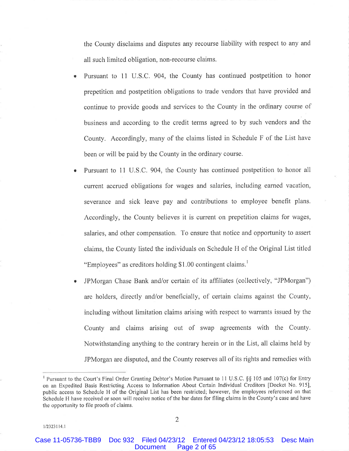the County disclaims and disputes any recourse liability with respect to any and all such limited obligation, non-recourse claims.

- Pursuant to 11 U.S.C. 904, the County has continued postpetition to honor  $\bullet$ prepetition and postpetition obligations to trade vendors that have provided and continue to provide goods and services to the County in the ordinary course of business and according to the credit terms agreed to by such vendors and the County. Accordingly, many of the claims listed in Schedule F of the List have been or will be paid by the County in the ordinary course.
- Pursuant to 11 U.S.C. 904, the County has continued postpetition to honor all current accrued obligations for wages and salaries, including earned vacation, severance and sick leave pay and contributions to employee benefit plans. Accordingly, the County believes it is current on prepetition claims for wages, salaries, and other compensation. To ensure that notice and opportunity to assert claims, the County listed the individuals on Schedule H of the Original List titled "Employees" as creditors holding \$1.00 contingent claims.
- JPMorgan Chase Bank and/or certain of its affiliates (collectively, "JPMorgan") are holders, directly and/or beneficially, of certain claims against the County, including without limitation claims arising with respect to warrants issued by the County and claims arising out of swap agreements with the County. Notwithstanding anything to the contrary herein or in the List, all claims held by JPMorgan are disputed, and the County reserves all of its rights and remedies with

1/2323114.1

Pursuant to the Court's Final Order Granting Debtor's Motion Pursuant to 11 U.S.C. §§ 105 and 107(c) for Entry on an Expedited Basis Restricting Access to Information About Certain Individual Creditors [Docket No. 915], public access to Schedule H of the Original List has been restricted; however, the employees referenced on that Schedule H have received or soon will receive notice of the bar dates for filing claims in the County's case and have the opportunity to file proofs of claims.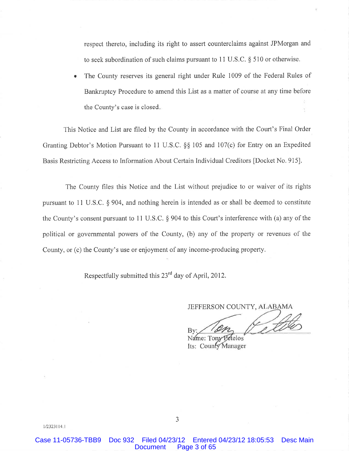respect thereto, including its right to assert counterclaims against JPMorgan and to seek subordination of such claims pursuant to 11 U.S.C.  $\S$  510 or otherwise.

The County reserves its general right under Rule 1009 of the Federal Rules of Bankruptcy Procedure to amend this List as a matter of course at any time before the County's case is closed.

This Notice and List are filed by the County in accordance with the Court's Final Order Granting Debtor's Motion Pursuant to 11 U.S.C. §§ 105 and 107(c) for Entry on an Expedited Basis Restricting Access to Information About Certain Individual Creditors [Docket No. 915].

The County files this Notice and the List without prejudice to or waiver of its rights pursuant to 11 U.S.C.  $\S$  904, and nothing herein is intended as or shall be deemed to constitute the County's consent pursuant to 11 U.S.C.  $\S$  904 to this Court's interference with (a) any of the political or governmental powers of the County, (b) any of the property or revenues of the County, or (c) the County's use or enjoyment of any income-producing property.

Respectfully submitted this 23<sup>rd</sup> day of April, 2012.

JEFFERSON COUNTY, ALABAMA

Name: Ton: Its: County Manager

 $1/2323114.1$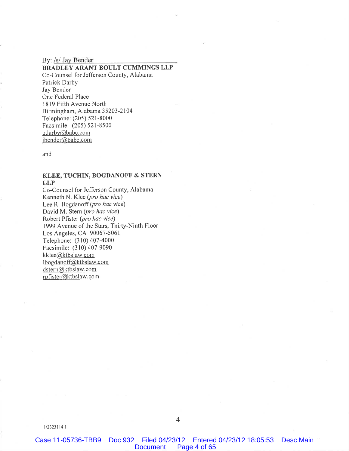By: /s/ Jay Bender

## BRADLEY ARANT BOULT CUMMINGS LLP Co-Counsel for Jefferson County, Alabama Patrick Darby Jay Bender One Federal Place 1819 Fifth Avenue North Birmingham, Alabama 35203-2104 Telephone: (205) 521-8000 Facsimile: (205) 521-8500 pdarby@babc.com jbender@babc.com

and

### KLEE, TUCHIN, BOGDANOFF & STERN **LLP**

Co-Counsel for Jefferson County, Alabama Kenneth N. Klee (pro hac vice) Lee R. Bogdanoff (pro hac vice) David M. Stern (pro hac vice) Robert Pfister (pro hac vice) 1999 Avenue of the Stars, Thirty-Ninth Floor Los Angeles, CA 90067-5061 Telephone: (310) 407-4000 Facsimile: (310) 407-9090 kklee@ktbslaw.com lbogdanoff@ktbslaw.com dstern@ktbslaw.com rpfister@ktbslaw.com

 $1/2323114.1$ 

Case 11-05736-TBB9 Doc 932 Filed 04/23/12 Entered 04/23/12 18:05:53 Desc Main Document Page 4 of 65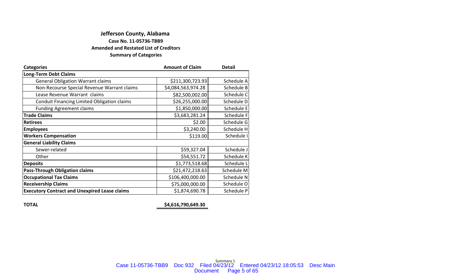# **Jefferson County, Alabama Amended and Restated List of Creditors Summary of Categories Case No. 11‐05736‐TBB9**

| <b>Categories</b>                                    | <b>Amount of Claim</b> | <b>Detail</b> |
|------------------------------------------------------|------------------------|---------------|
| <b>Long-Term Debt Claims</b>                         |                        |               |
| <b>General Obligation Warrant claims</b>             | \$211,300,723.93       | Schedule A    |
| Non-Recourse Special Revenue Warrant claims          | \$4,084,563,974.28     | Schedule B    |
| Lease Revenue Warrant claims                         | \$82,500,002.00        | Schedule C    |
| Conduit Financing Limited Obligation claims          | \$26,255,000.00        | Schedule D    |
| <b>Funding Agreement claims</b>                      | \$1,850,000.00         | Schedule E    |
| <b>Trade Claims</b>                                  | \$3,683,281.24         | Schedule F    |
| <b>Retirees</b>                                      | \$2.00                 | Schedule G    |
| <b>Employees</b>                                     | \$3,240.00             | Schedule H    |
| <b>Workers Compensation</b>                          | \$119.00               | Schedule I    |
| <b>General Liability Claims</b>                      |                        |               |
| Sewer-related                                        | \$59,327.04            | Schedule J    |
| Other                                                | \$54,551.72            | Schedule K    |
| <b>Deposits</b>                                      | \$1,773,518.68         | Schedule L    |
| <b>Pass-Through Obligation claims</b>                | \$21,472,218.63        | Schedule M    |
| <b>Occupational Tax Claims</b>                       | \$106,400,000.00       | Schedule N    |
| <b>Receivership Claims</b>                           | \$75,000,000.00        | Schedule O    |
| <b>Executory Contract and Unexpired Lease claims</b> | \$1,874,690.78         | Schedule P    |

**TOTAL \$4,616,790,649.30**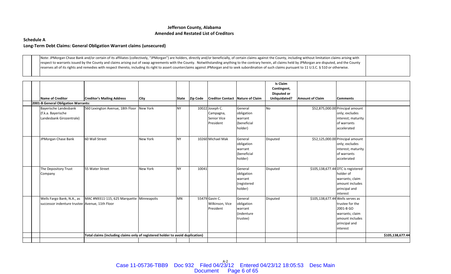#### **Schedule A**

### **Long‐Term Debt Claims: General Obligation Warrant claims (unsecured)**

Note: JPMorgan Chase Bank and/or certain of its affiliates (collectively, "JPMorgan") are holders, directly and/or beneficially, of certain claims against the County, including without limitation claims arising with respect to warrants issued by the County and claims arising out of swap agreements with the County. Notwithstanding anything to the contrary herein, all claims held by JPMorgan are disputed, and the County reserves all of its rights and remedies with respect thereto, including its right to assert counterclaims against JPMorgan and to seek subordination of such claims pursuant to 11 U.S.C. § 510 or otherwise.

|  |                                                |                                                                                |                 |           |                |                                  |             | <b>Is Claim</b> |                                    |                                  |                  |
|--|------------------------------------------------|--------------------------------------------------------------------------------|-----------------|-----------|----------------|----------------------------------|-------------|-----------------|------------------------------------|----------------------------------|------------------|
|  |                                                |                                                                                |                 |           |                |                                  |             | Contingent,     |                                    |                                  |                  |
|  |                                                |                                                                                |                 |           |                |                                  |             | Disputed or     |                                    |                                  |                  |
|  | Name of Creditor                               | <b>Creditor's Mailing Address</b>                                              | City            |           | State Zip Code | Creditor Contact Nature of Claim |             | Unliquidated?   | <b>Amount of Claim</b>             | <b>Comments</b>                  |                  |
|  | 2001-B General Obligation Warrants:            |                                                                                |                 |           |                |                                  |             |                 |                                    |                                  |                  |
|  | Bayerische Landesbank                          | 560 Lexington Avenue, 18th Floor                                               | New York        | <b>NY</b> |                | 10022 Joseph C.                  | General     | <b>No</b>       |                                    | \$52,875,000.00 Principal amount |                  |
|  | (f.k.a. Bayerische                             |                                                                                |                 |           |                | Campagna,                        | obligation  |                 |                                    | only; excludes                   |                  |
|  | Landesbank Girozentrale)                       |                                                                                |                 |           |                | Senior Vice                      | warrant     |                 |                                    | interest; maturity               |                  |
|  |                                                |                                                                                |                 |           |                | President                        | (beneficial |                 |                                    | of warrants                      |                  |
|  |                                                |                                                                                |                 |           |                |                                  | holder)     |                 |                                    | accelerated                      |                  |
|  |                                                |                                                                                |                 |           |                |                                  |             |                 |                                    |                                  |                  |
|  | JPMorgan Chase Bank                            | 60 Wall Street                                                                 | New York        | NY        |                | 10260 Michael Mak                | General     | Disputed        |                                    | \$52,125,000.00 Principal amount |                  |
|  |                                                |                                                                                |                 |           |                |                                  | obligation  |                 |                                    | only; excludes                   |                  |
|  |                                                |                                                                                |                 |           |                |                                  | warrant     |                 |                                    | interest; maturity               |                  |
|  |                                                |                                                                                |                 |           |                |                                  | (beneficial |                 |                                    | of warrants                      |                  |
|  |                                                |                                                                                |                 |           |                |                                  | holder)     |                 |                                    | accelerated                      |                  |
|  |                                                |                                                                                |                 |           |                |                                  |             |                 |                                    |                                  |                  |
|  | The Depository Trust                           | 55 Water Street                                                                | <b>New York</b> | <b>NY</b> | 10041          |                                  | General     | <b>Disputed</b> | \$105,138,677.44 DTC is registered |                                  |                  |
|  | Company                                        |                                                                                |                 |           |                |                                  | obligation  |                 |                                    | holder of                        |                  |
|  |                                                |                                                                                |                 |           |                |                                  | warrant     |                 |                                    | warrants; claim                  |                  |
|  |                                                |                                                                                |                 |           |                |                                  | (registered |                 |                                    | amount includes                  |                  |
|  |                                                |                                                                                |                 |           |                |                                  | holder)     |                 |                                    | principal and                    |                  |
|  |                                                |                                                                                |                 |           |                |                                  |             |                 |                                    | interest                         |                  |
|  | Wells Fargo Bank, N.A., as                     | MAC #N9311-115, 625 Marquette Minneapolis                                      |                 | <b>MN</b> |                | 55479 Gavin C.                   | General     | <b>Disputed</b> | \$105,138,677.44 Wells serves as   |                                  |                  |
|  | successor indenture trustee Avenue, 11th Floor |                                                                                |                 |           |                | Wilkinson, Vice                  | obligation  |                 |                                    | trustee for the                  |                  |
|  |                                                |                                                                                |                 |           |                | President                        | warrant     |                 |                                    | 2001-B GO                        |                  |
|  |                                                |                                                                                |                 |           |                |                                  | lindenture  |                 |                                    | warrants; claim                  |                  |
|  |                                                |                                                                                |                 |           |                |                                  | trustee)    |                 |                                    | amount includes                  |                  |
|  |                                                |                                                                                |                 |           |                |                                  |             |                 |                                    | principal and                    |                  |
|  |                                                |                                                                                |                 |           |                |                                  |             |                 |                                    | interest                         |                  |
|  |                                                | Total claims (including claims only of registered holder to avoid duplication) |                 |           |                |                                  |             |                 |                                    |                                  | \$105,138,677.44 |
|  |                                                |                                                                                |                 |           |                |                                  |             |                 |                                    |                                  |                  |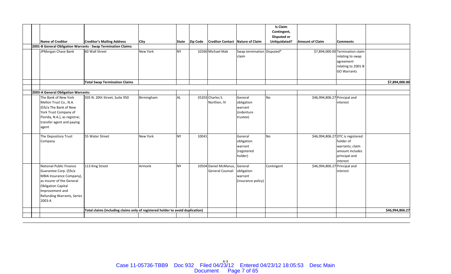|  |                                                            |                                                                                |                 |           |                |                                         |                            | <b>Is Claim</b>                   |                               |                                   |                 |
|--|------------------------------------------------------------|--------------------------------------------------------------------------------|-----------------|-----------|----------------|-----------------------------------------|----------------------------|-----------------------------------|-------------------------------|-----------------------------------|-----------------|
|  |                                                            |                                                                                |                 |           |                |                                         |                            | Contingent,<br><b>Disputed or</b> |                               |                                   |                 |
|  | <b>Name of Creditor</b>                                    | <b>Creditor's Mailing Address</b>                                              | <b>City</b>     |           | State Zip Code | <b>Creditor Contact Nature of Claim</b> |                            | Unliquidated?                     | <b>Amount of Claim</b>        | <b>Comments</b>                   |                 |
|  |                                                            | 2001-B General Obligation Warrants - Swap Termination Claims:                  |                 |           |                |                                         |                            |                                   |                               |                                   |                 |
|  | JPMorgan Chase Bank                                        | 60 Wall Street                                                                 | <b>New York</b> | NY.       |                | 10260 Michael Mak                       | Swap termination Disputed* |                                   |                               | \$7,894,000.00 Termination claim  |                 |
|  |                                                            |                                                                                |                 |           |                |                                         | claim                      |                                   |                               | relating to swap                  |                 |
|  |                                                            |                                                                                |                 |           |                |                                         |                            |                                   |                               | agreement                         |                 |
|  |                                                            |                                                                                |                 |           |                |                                         |                            |                                   |                               | relating to 2001-B                |                 |
|  |                                                            |                                                                                |                 |           |                |                                         |                            |                                   |                               | <b>GO Warrants</b>                |                 |
|  |                                                            | <b>Total Swap Termination Claims</b>                                           |                 |           |                |                                         |                            |                                   |                               |                                   | \$7,894,000.00  |
|  |                                                            |                                                                                |                 |           |                |                                         |                            |                                   |                               |                                   |                 |
|  | 2003-A General Obligation Warrants:                        |                                                                                |                 |           |                |                                         |                            |                                   |                               |                                   |                 |
|  | The Bank of New York                                       | 505 N. 20th Street, Suite 950                                                  | Birmingham      | AL        |                | 35203 Charles S.                        | General                    | <b>No</b>                         | \$46,994,806.27 Principal and |                                   |                 |
|  | Mellon Trust Co., N.A.                                     |                                                                                |                 |           |                | Northen, IV                             | obligation                 |                                   |                               | interest                          |                 |
|  | (f/k/a The Bank of New                                     |                                                                                |                 |           |                |                                         | warrant                    |                                   |                               |                                   |                 |
|  | York Trust Company of                                      |                                                                                |                 |           |                |                                         | (indenture                 |                                   |                               |                                   |                 |
|  | Florida, N.A.), as registrar,<br>transfer agent and paying |                                                                                |                 |           |                |                                         | trustee)                   |                                   |                               |                                   |                 |
|  | agent                                                      |                                                                                |                 |           |                |                                         |                            |                                   |                               |                                   |                 |
|  |                                                            |                                                                                |                 |           |                |                                         |                            |                                   |                               |                                   |                 |
|  | The Depository Trust                                       | 55 Water Street                                                                | <b>New York</b> | <b>NY</b> | 10041          |                                         | General                    | <b>No</b>                         |                               | \$46,994,806.27 DTC is registered |                 |
|  | Company                                                    |                                                                                |                 |           |                |                                         | obligation                 |                                   |                               | holder of                         |                 |
|  |                                                            |                                                                                |                 |           |                |                                         | warrant                    |                                   |                               | warrants; claim                   |                 |
|  |                                                            |                                                                                |                 |           |                |                                         | (registered<br>holder)     |                                   |                               | amount includes<br>principal and  |                 |
|  |                                                            |                                                                                |                 |           |                |                                         |                            |                                   |                               | interest                          |                 |
|  | <b>National Public Finance</b>                             | 113 King Street                                                                | Armonk          | <b>NY</b> |                | 10504 Daniel McManus, General           |                            | Contingent                        | \$46,994,806.27 Principal and |                                   |                 |
|  | Guarantee Corp. (f/k/a                                     |                                                                                |                 |           |                | <b>General Counsel</b>                  | obligation                 |                                   |                               | interest                          |                 |
|  | MBIA Insurance Company),                                   |                                                                                |                 |           |                |                                         | warrant                    |                                   |                               |                                   |                 |
|  | as insurer of the General                                  |                                                                                |                 |           |                |                                         | (insurance policy)         |                                   |                               |                                   |                 |
|  | <b>Obligation Capital</b>                                  |                                                                                |                 |           |                |                                         |                            |                                   |                               |                                   |                 |
|  | Improvement and                                            |                                                                                |                 |           |                |                                         |                            |                                   |                               |                                   |                 |
|  | Refunding Warrants, Series                                 |                                                                                |                 |           |                |                                         |                            |                                   |                               |                                   |                 |
|  | 2003-A                                                     |                                                                                |                 |           |                |                                         |                            |                                   |                               |                                   |                 |
|  |                                                            | Total claims (including claims only of registered holder to avoid duplication) |                 |           |                |                                         |                            |                                   |                               |                                   | \$46,994,806.27 |
|  |                                                            |                                                                                |                 |           |                |                                         |                            |                                   |                               |                                   |                 |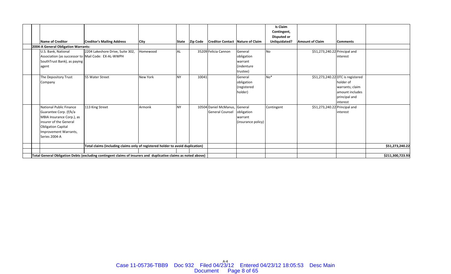|                                                                                |                                                                                                                                                                                  |                                                                                                                |                 |           |                 |                                                 |                                                        | <b>Is Claim</b>                   |                               |                                                                                                                   |                  |
|--------------------------------------------------------------------------------|----------------------------------------------------------------------------------------------------------------------------------------------------------------------------------|----------------------------------------------------------------------------------------------------------------|-----------------|-----------|-----------------|-------------------------------------------------|--------------------------------------------------------|-----------------------------------|-------------------------------|-------------------------------------------------------------------------------------------------------------------|------------------|
|                                                                                |                                                                                                                                                                                  |                                                                                                                |                 |           |                 |                                                 |                                                        | Contingent,<br><b>Disputed or</b> |                               |                                                                                                                   |                  |
|                                                                                | <b>Name of Creditor</b>                                                                                                                                                          | <b>Creditor's Mailing Address</b>                                                                              | <b>City</b>     | State     | <b>Zip Code</b> | Creditor Contact Nature of Claim                |                                                        | Unliquidated?                     | <b>Amount of Claim</b>        | <b>Comments</b>                                                                                                   |                  |
|                                                                                | 2004-A General Obligation Warrants:                                                                                                                                              |                                                                                                                |                 |           |                 |                                                 |                                                        |                                   |                               |                                                                                                                   |                  |
|                                                                                | U.S. Bank, National<br>Association (as successor to Mail Code: EX-AL-WWPH<br>SouthTrust Bank), as paying<br>agent                                                                | 2204 Lakeshore Drive, Suite 302,                                                                               | Homewood        | <b>AL</b> |                 | 35209 Felicia Cannon                            | General<br>obligation<br>warrant<br>(indenture         | No                                | \$51,273,240.22 Principal and | interest                                                                                                          |                  |
|                                                                                |                                                                                                                                                                                  |                                                                                                                |                 |           |                 |                                                 | trustee)                                               |                                   |                               |                                                                                                                   |                  |
|                                                                                | The Depository Trust<br>Company                                                                                                                                                  | 55 Water Street                                                                                                | <b>New York</b> | <b>NY</b> | 10041           |                                                 | General<br>obligation<br>(registered<br>holder)        | No <sup>*</sup>                   |                               | \$51,273,240.22 DTC is registered<br>holder of<br>warrants; claim<br>amount includes<br>principal and<br>interest |                  |
|                                                                                | National Public Finance<br>Guarantee Corp. (f/k/a<br>MBIA Insurance Corp.), as<br>linsurer of the General<br><b>Obligation Capital</b><br>Improvement Warrants,<br>Series 2004-A | 113 King Street                                                                                                | Armonk          | NY        |                 | 10504 Daniel McManus,<br><b>General Counsel</b> | General<br>obligation<br>warrant<br>(insurance policy) | Contingent                        | \$51,273,240.22 Principal and | interest                                                                                                          |                  |
| Total claims (including claims only of registered holder to avoid duplication) |                                                                                                                                                                                  |                                                                                                                |                 |           |                 |                                                 |                                                        |                                   |                               |                                                                                                                   | \$51,273,240.22  |
|                                                                                |                                                                                                                                                                                  |                                                                                                                |                 |           |                 |                                                 |                                                        |                                   |                               |                                                                                                                   |                  |
|                                                                                |                                                                                                                                                                                  | Total General Obligation Debts (excluding contingent claims of insurers and duplicative claims as noted above) |                 |           |                 |                                                 |                                                        |                                   |                               |                                                                                                                   | \$211,300,723.93 |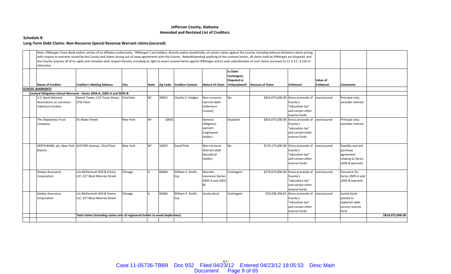#### **Schedule B**

### **Long‐Term Debt Claims: Non‐Recourse Special Revenue Warrant claims(secured)**

| otherwise.                                                                  | Note: JPMorgan Chase Bank and/or certain of its affiliates (collectively, "JPMorgan") are holders, directly and/or beneficially, of certain claims against the County, including without limitation claims arising<br>with respect to warrants issued by the County and claims arising out of swap agreements with the County. Notwithstanding anything to the contrary herein, all claims held by JPMorgan are disputed, and<br>the County reserves all of its rights and remedies with respect thereto, including its right to assert counterclaims against JPMorgan and to seek subordination of such claims pursuant to 11 U.S.C. § 510 or |                 |           |       |                                 |                                                            |                                               |                               |                                                                                                                     |                               |                                                                                   |                  |
|-----------------------------------------------------------------------------|------------------------------------------------------------------------------------------------------------------------------------------------------------------------------------------------------------------------------------------------------------------------------------------------------------------------------------------------------------------------------------------------------------------------------------------------------------------------------------------------------------------------------------------------------------------------------------------------------------------------------------------------|-----------------|-----------|-------|---------------------------------|------------------------------------------------------------|-----------------------------------------------|-------------------------------|---------------------------------------------------------------------------------------------------------------------|-------------------------------|-----------------------------------------------------------------------------------|------------------|
| <b>Name of Creditor</b>                                                     | <b>Creditor's Mailing Address</b>                                                                                                                                                                                                                                                                                                                                                                                                                                                                                                                                                                                                              | City            |           |       | State Zip Code Creditor Contact | <b>Nature of Claim</b>                                     | Is Claim<br>Contingent,<br><b>Disputed or</b> | Unliquidated? Amount of Claim | Collateral                                                                                                          | Value of<br><b>Collateral</b> | <b>Comments</b>                                                                   |                  |
| <b>SCHOOL WARRANTS</b>                                                      |                                                                                                                                                                                                                                                                                                                                                                                                                                                                                                                                                                                                                                                |                 |           |       |                                 |                                                            |                                               |                               |                                                                                                                     |                               |                                                                                   |                  |
|                                                                             | Limited Obligation School Warrants - Series 2004-A, 2005-A and 2005-B:                                                                                                                                                                                                                                                                                                                                                                                                                                                                                                                                                                         |                 |           |       |                                 |                                                            |                                               |                               |                                                                                                                     |                               |                                                                                   |                  |
| <b>U.S. Bank National</b><br>Association, as successor<br>indenture trustee | Hearst Tower, 214 Tryon Street, Charlotte<br>27th Floor                                                                                                                                                                                                                                                                                                                                                                                                                                                                                                                                                                                        |                 | <b>NC</b> | 28202 | Charles S. Hodges               | Non-recourse<br>warrant debt<br>(indenture<br>trustee)     | No                                            |                               | \$814,075,000.00 Gross proceeds of oversecured<br>County's<br>"education tax"<br>and certain other<br>reserve funds |                               | Principal only;<br>excludes interest                                              |                  |
| The Depository Trust<br>Company                                             | 55 Water Street                                                                                                                                                                                                                                                                                                                                                                                                                                                                                                                                                                                                                                | <b>New York</b> | <b>NY</b> | 10041 |                                 | General<br>obligation<br>warrant<br>(registered<br>holder) | <b>Disputed</b>                               |                               | \$814,075,000.00 Gross proceeds of<br>County's<br>"education tax"<br>and certain other<br>reserve funds             | oversecured                   | Principal only;<br>excludes interest                                              |                  |
| Branch                                                                      | DEPFA BANK, plc, New York 623 Fifth Avenue, 22nd Floor                                                                                                                                                                                                                                                                                                                                                                                                                                                                                                                                                                                         | <b>New York</b> | <b>NY</b> | 10022 | David Park                      | Non-recourse<br>Warrant debt<br>(beneficial<br>holder)     | No                                            |                               | \$174,175,000.00 Gross proceeds of<br>County's<br>"education tax"<br>and certain other<br>reserve funds             | oversecured                   | Standby warrant<br>purchase<br>agreement<br>relating to Series<br>2005-B warrants |                  |
| Ambac Assurance<br>Corporation                                              | c/o McDermott Will & Emery<br>LLP, 227 West Monroe Street                                                                                                                                                                                                                                                                                                                                                                                                                                                                                                                                                                                      | Chicago         |           | 60606 | William P. Smith,<br>Esq.       | Warrant<br>insurance (Series<br>2005-A and 2005-           | Contingent                                    |                               | \$279,675,000.00 Gross proceeds of<br>County's<br>"education tax"<br>and certain other<br>reserve funds             | oversecured                   | Insurance for<br>Series 2005-A and<br>2005-B warrants                             |                  |
| Ambac Assurance<br>Corporation                                              | c/o McDermott Will & Emery<br>LLP, 227 West Monroe Street                                                                                                                                                                                                                                                                                                                                                                                                                                                                                                                                                                                      | Chicago         |           | 60606 | William P. Smith,<br>Esq.       | Surety bond                                                | Contingent                                    |                               | \$29,438,296.81 Gross proceeds of<br>County's<br>"education tax"<br>and certain other<br>reserve funds              | oversecured                   | Surety bond<br>posted to<br>replenish debt<br>service reserve<br>fund             |                  |
|                                                                             | Total claims (including claims only of registered holder to avoid duplication)                                                                                                                                                                                                                                                                                                                                                                                                                                                                                                                                                                 |                 |           |       |                                 |                                                            |                                               |                               |                                                                                                                     |                               |                                                                                   | \$814,075,000.00 |
|                                                                             |                                                                                                                                                                                                                                                                                                                                                                                                                                                                                                                                                                                                                                                |                 |           |       |                                 |                                                            |                                               |                               |                                                                                                                     |                               |                                                                                   |                  |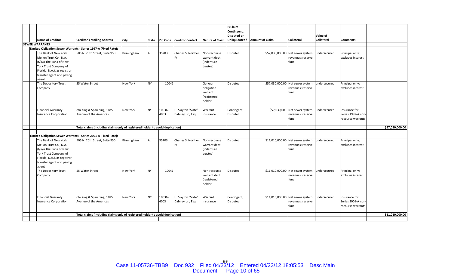|  |                                                 |                                                                                |                 |           |        |                             |                                    | Is Claim<br>Contingent, |                               |                                  |                        |                    |                 |
|--|-------------------------------------------------|--------------------------------------------------------------------------------|-----------------|-----------|--------|-----------------------------|------------------------------------|-------------------------|-------------------------------|----------------------------------|------------------------|--------------------|-----------------|
|  | <b>Name of Creditor</b>                         | <b>Creditor's Mailing Address</b>                                              |                 |           |        |                             |                                    | Disputed or             | Unliquidated? Amount of Claim | Collateral                       | Value of<br>Collateral |                    |                 |
|  | <b>SEWER WARRANTS</b>                           |                                                                                | <b>City</b>     | State     |        | Zip Code   Creditor Contact | <b>Nature of Claim</b>             |                         |                               |                                  |                        | <b>Comments</b>    |                 |
|  |                                                 | Limited Obligation Sewer Warrants - Series 1997-A (Fixed Rate):                |                 |           |        |                             |                                    |                         |                               |                                  |                        |                    |                 |
|  | The Bank of New York                            | 505 N. 20th Street, Suite 950                                                  | Birmingham      | <b>AL</b> | 35203  | Charles S. Northen,         | Non-recourse                       | Disputed                | \$57,030,000.00               | Net sewer system                 | undersecured           | Principal only;    |                 |
|  | Mellon Trust Co., N.A.                          |                                                                                |                 |           |        | IV                          | warrant debt                       |                         |                               | revenues; reserve                |                        | excludes interest  |                 |
|  | (f/k/a The Bank of New                          |                                                                                |                 |           |        |                             | (indenture                         |                         |                               | fund                             |                        |                    |                 |
|  | York Trust Company of                           |                                                                                |                 |           |        |                             | trustee)                           |                         |                               |                                  |                        |                    |                 |
|  | Florida, N.A.), as registrar,                   |                                                                                |                 |           |        |                             |                                    |                         |                               |                                  |                        |                    |                 |
|  | transfer agent and paying                       |                                                                                |                 |           |        |                             |                                    |                         |                               |                                  |                        |                    |                 |
|  | agent                                           |                                                                                |                 |           |        |                             |                                    |                         |                               |                                  |                        |                    |                 |
|  | The Depository Trust                            | 55 Water Street                                                                | New York        | <b>NY</b> | 10041  |                             | General                            | Disputed                |                               | \$57,030,000.00 Net sewer system | undersecured           | Principal only;    |                 |
|  | Company                                         |                                                                                |                 |           |        |                             | obligation                         |                         |                               | revenues; reserve                |                        | excludes interest  |                 |
|  |                                                 |                                                                                |                 |           |        |                             | warrant                            |                         |                               | fund                             |                        |                    |                 |
|  |                                                 |                                                                                |                 |           |        |                             | (registered                        |                         |                               |                                  |                        |                    |                 |
|  |                                                 |                                                                                |                 |           |        |                             | holder)                            |                         |                               |                                  |                        |                    |                 |
|  |                                                 |                                                                                |                 |           |        |                             |                                    |                         |                               |                                  |                        |                    |                 |
|  | <b>Financial Guaranty</b>                       | c/o King & Spaulding, 1185                                                     | New York        | <b>NY</b> | 10036- | H. Slayton "Slate"          | Warrant                            | Contingent;             | \$57,030,000                  | Net sewer system                 | undersecured           | Insurance for      |                 |
|  | <b>Insurance Corporation</b>                    | Avenue of the Americas                                                         |                 |           | 4003   | Dabney, Jr., Esq.           | insurance                          | Disputed                |                               | revenues; reserve                |                        | Series 1997-A non- |                 |
|  |                                                 |                                                                                |                 |           |        |                             |                                    |                         |                               | fund                             |                        | recourse warrants  |                 |
|  |                                                 |                                                                                |                 |           |        |                             |                                    |                         |                               |                                  |                        |                    |                 |
|  |                                                 | Total claims (including claims only of registered holder to avoid duplication) |                 |           |        |                             |                                    |                         |                               |                                  |                        |                    | \$57,030,000.00 |
|  |                                                 |                                                                                |                 |           |        |                             |                                    |                         |                               |                                  |                        |                    |                 |
|  |                                                 | Limited Obligation Sewer Warrants - Series 2001-A (Fixed Rate):                |                 |           |        |                             |                                    |                         |                               |                                  |                        |                    |                 |
|  | The Bank of New York                            | 505 N. 20th Street, Suite 950                                                  | Birmingham      | AL        | 35203  | Charles S. Northen.<br>IV   | Non-recourse                       | Disputed                |                               | \$11,010,000.00 Net sewer system | undersecured           | Principal only;    |                 |
|  | Mellon Trust Co., N.A.                          |                                                                                |                 |           |        |                             | warrant debt<br><i>(indenture)</i> |                         |                               | revenues; reserve<br>fund        |                        | excludes interest  |                 |
|  | (f/k/a The Bank of New<br>York Trust Company of |                                                                                |                 |           |        |                             |                                    |                         |                               |                                  |                        |                    |                 |
|  | Florida, N.A.), as registrar,                   |                                                                                |                 |           |        |                             | trustee)                           |                         |                               |                                  |                        |                    |                 |
|  | transfer agent and paying                       |                                                                                |                 |           |        |                             |                                    |                         |                               |                                  |                        |                    |                 |
|  | agent                                           |                                                                                |                 |           |        |                             |                                    |                         |                               |                                  |                        |                    |                 |
|  | The Depository Trust                            | 55 Water Street                                                                | <b>New York</b> | <b>NY</b> | 10041  |                             | Non-recourse                       | Disputed                |                               | \$11,010,000.00 Net sewer system | undersecured           | Principal only;    |                 |
|  | Company                                         |                                                                                |                 |           |        |                             | warrant debt                       |                         |                               | revenues; reserve                |                        | excludes interest  |                 |
|  |                                                 |                                                                                |                 |           |        |                             | (registered                        |                         |                               | fund                             |                        |                    |                 |
|  |                                                 |                                                                                |                 |           |        |                             | holder)                            |                         |                               |                                  |                        |                    |                 |
|  |                                                 |                                                                                |                 |           |        |                             |                                    |                         |                               |                                  |                        |                    |                 |
|  |                                                 |                                                                                |                 |           |        |                             |                                    |                         |                               |                                  |                        |                    |                 |
|  | <b>Financial Guaranty</b>                       | c/o King & Spaulding, 1185                                                     | <b>New York</b> | <b>NY</b> | 10036- | H. Slayton "Slate"          | Warrant                            | Contingent;             |                               | \$11,010,000.00 Net sewer system | undersecured           | Insurance for      |                 |
|  | <b>Insurance Corporation</b>                    | Avenue of the Americas                                                         |                 |           | 4003   | Dabney, Jr., Esq.           | insurance                          | Disputed                |                               | revenues; reserve                |                        | Series 2001-A non- |                 |
|  |                                                 |                                                                                |                 |           |        |                             |                                    |                         |                               | fund                             |                        | recourse warrants  |                 |
|  |                                                 |                                                                                |                 |           |        |                             |                                    |                         |                               |                                  |                        |                    |                 |
|  |                                                 | Total claims (including claims only of registered holder to avoid duplication) |                 |           |        |                             |                                    |                         |                               |                                  |                        |                    | \$11,010,000.00 |
|  |                                                 |                                                                                |                 |           |        |                             |                                    |                         |                               |                                  |                        |                    |                 |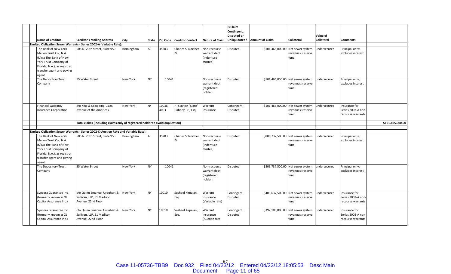| <b>Name of Creditor</b>                                                                                                                                                  | <b>Creditor's Mailing Address</b>                                                   | City       | State     |                | Zip Code   Creditor Contact             | <b>Nature of Claim</b>                                 | <b>Is Claim</b><br>Contingent,<br><b>Disputed or</b> | Unliquidated? Amount of Claim | <b>Collateral</b>                                              | Value of<br><b>Collateral</b> | <b>Comments</b>                                          |                  |
|--------------------------------------------------------------------------------------------------------------------------------------------------------------------------|-------------------------------------------------------------------------------------|------------|-----------|----------------|-----------------------------------------|--------------------------------------------------------|------------------------------------------------------|-------------------------------|----------------------------------------------------------------|-------------------------------|----------------------------------------------------------|------------------|
|                                                                                                                                                                          | Limited Obligation Sewer Warrants - Series 2002-A (Variable Rate):                  |            |           |                |                                         |                                                        |                                                      |                               |                                                                |                               |                                                          |                  |
| The Bank of New York<br>Mellon Trust Co., N.A.<br>(f/k/a The Bank of New<br>York Trust Company of<br>Florida, N.A.), as registrar,<br>transfer agent and paying<br>agent | 505 N. 20th Street, Suite 950                                                       | Birmingham | AL        | 35203          | Charles S. Northen.<br>IV               | Non-recourse<br>warrant debt<br>(indenture<br>trustee) | Disputed                                             |                               | \$101,465,000.00 Net sewer system<br>revenues; reserve<br>fund | undersecured                  | Principal only;<br>excludes interest                     |                  |
| The Depository Trust<br>Company                                                                                                                                          | 55 Water Street                                                                     | New York   | <b>NY</b> | 10041          |                                         | Non-recourse<br>warrant debt<br>(registered<br>holder) | Disputed                                             |                               | \$101,465,000.00 Net sewer system<br>revenues; reserve<br>fund | undersecured                  | Principal only;<br>excludes interest                     |                  |
| <b>Financial Guaranty</b><br><b>Insurance Corporation</b>                                                                                                                | c/o King & Spaulding, 1185<br>Avenue of the Americas                                | New York   | <b>NY</b> | 10036-<br>4003 | H. Slayton "Slate"<br>Dabney, Jr., Esq. | Warrant<br>insurance                                   | Contingent;<br>Disputed                              |                               | \$101,465,000.00 Net sewer system<br>revenues; reserve<br>fund | undersecured                  | Insurance for<br>Series 2002-A non-<br>recourse warrants |                  |
|                                                                                                                                                                          | Total claims (including claims only of registered holder to avoid duplication)      |            |           |                |                                         |                                                        |                                                      |                               |                                                                |                               |                                                          | \$101,465,000.00 |
|                                                                                                                                                                          |                                                                                     |            |           |                |                                         |                                                        |                                                      |                               |                                                                |                               |                                                          |                  |
|                                                                                                                                                                          | Limited Obligation Sewer Warrants - Series 2002-C (Auction Rate and Variable Rate): |            |           |                |                                         |                                                        |                                                      |                               |                                                                |                               |                                                          |                  |
| The Bank of New York<br>Mellon Trust Co., N.A.<br>(f/k/a The Bank of New<br>York Trust Company of<br>Florida, N.A.), as registrar,<br>transfer agent and paying<br>agent | 505 N. 20th Street. Suite 950                                                       | Birmingham | AL        | 35203          | Charles S. Northen, Non-recourse<br>IV  | warrant debt<br>(indenture<br>trustee)                 | <b>Disputed</b>                                      |                               | \$806,737,500.00 Net sewer system<br>revenues; reserve<br>fund | undersecured                  | Principal only;<br>excludes interest                     |                  |
| The Depository Trust<br>Company                                                                                                                                          | 55 Water Street                                                                     | New York   | <b>NY</b> | 10041          |                                         | Non-recourse<br>warrant debt<br>(registered<br>holder) | Disputed                                             |                               | \$806,737,500.00 Net sewer system<br>revenues; reserve<br>fund | undersecured                  | Principal only;<br>excludes interest                     |                  |
| Syncora Guarantee Inc.<br>(formerly known as XL<br>Capital Assurance Inc.)                                                                                               | c/o Quinn Emanuel Urquhart &<br>Sullivan, LLP, 51 Madison<br>Avenue, 22nd Floor     | New York   | <b>NY</b> | 10010          | Susheel Kirpalani,<br>Esq.              | Warrant<br>insurance<br>(Variable rate)                | Contingent;<br>Disputed                              |                               | \$409,637,500.00 Net sewer system<br>revenues; reserve<br>fund | undersecured                  | Insurance for<br>Series 2002-A non-<br>recourse warrants |                  |
| Syncora Guarantee Inc.<br>(formerly known as XL<br>Capital Assurance Inc.)                                                                                               | c/o Quinn Emanuel Urquhart &<br>Sullivan, LLP, 51 Madison<br>Avenue, 22nd Floor     | New York   | <b>NY</b> | 10010          | Susheel Kirpalani,<br>Esq.              | Warrant<br>insurance<br>(Auction rate)                 | Contingent;<br>Disputed                              |                               | \$397,100,000.00 Net sewer system<br>revenues; reserve<br>fund | undersecured                  | Insurance for<br>Series 2002-A non-<br>recourse warrants |                  |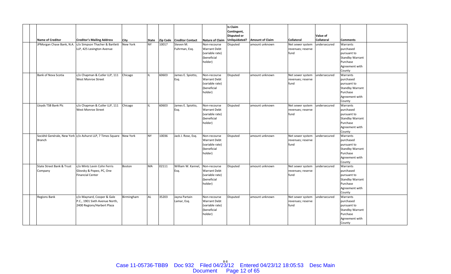| <b>Name of Creditor</b>              | <b>Creditor's Mailing Address</b>                                                          | City            | <b>State</b> |       | Zip Code Creditor Contact    | <b>Nature of Claim</b>                                                           | <b>Is Claim</b><br>Contingent,<br><b>Disputed or</b> | Unliquidated? Amount of Claim | <b>Collateral</b>                             | Value of<br><b>Collateral</b> | <b>Comments</b>                                                                                                  |  |
|--------------------------------------|--------------------------------------------------------------------------------------------|-----------------|--------------|-------|------------------------------|----------------------------------------------------------------------------------|------------------------------------------------------|-------------------------------|-----------------------------------------------|-------------------------------|------------------------------------------------------------------------------------------------------------------|--|
| JPMorgan Chase Bank, N.A.            | c/o Simpson Thacher & Bartlett<br>LLP, 425 Lexington Avenue                                | <b>New York</b> | <b>NY</b>    | 10017 | Steven M.<br>Fuhrman, Esq.   | Non-recourse<br><b>Warrant Debt</b><br>(variable rate)<br>(beneficial<br>holder) | Disputed                                             | amount unknown                | Net sewer system<br>revenues; reserve<br>fund | undersecured                  | Warrants<br>purchased<br>pursuant to<br><b>Standby Warrant</b><br>Purchase<br>Agreement with                     |  |
| Bank of Nova Scotia                  | c/o Chapman & Cutler LLP, 111<br><b>West Monroe Street</b>                                 | Chicago         | lu.          | 60603 | James E. Spiotto,<br>Esq.    | Non-recourse<br><b>Warrant Debt</b><br>(variable rate)<br>(beneficial<br>holder) | Disputed                                             | amount unknown                | Net sewer system<br>revenues; reserve<br>fund | undersecured                  | County<br>Warrants<br>purchased<br>pursuant to<br><b>Standby Warrant</b><br>Purchase<br>Agreement with           |  |
| Lloyds TSB Bank Plc                  | c/o Chapman & Cutler LLP, 111<br><b>West Monroe Street</b>                                 | Chicago         |              | 60603 | James E. Spiotto,<br>Esq.    | Non-recourse<br><b>Warrant Debt</b><br>(variable rate)<br>(beneficial<br>holder) | Disputed                                             | amount unknown                | Net sewer system<br>revenues; reserve<br>fund | undersecured                  | County<br>Warrants<br>purchased<br>pursuant to<br><b>Standby Warrant</b><br>Purchase<br>Agreement with           |  |
| <b>Branch</b>                        | Société Genérale, New York c/o Ashurst LLP, 7 Times Square New York                        |                 | <b>NY</b>    | 10036 | Jack J. Rose, Esq.           | Non-recourse<br><b>Warrant Debt</b><br>(variable rate)<br>(beneficial<br>holder) | Disputed                                             | amount unknown                | Net sewer system<br>revenues; reserve<br>fund | undersecured                  | County<br>Warrants<br>purchased<br>pursuant to<br><b>Standby Warrant</b><br>Purchase<br>Agreement with           |  |
| State Street Bank & Trust<br>Company | c/o Mintz Levin Cohn Ferris<br>Glovsky & Popeo, PC, One<br><b>Financial Center</b>         | Boston          | <b>MA</b>    | 02111 | William W. Kannel,<br>Esq.   | Non-recourse<br><b>Warrant Debt</b><br>(variable rate)<br>(beneficial<br>holder) | Disputed                                             | amount unknown                | Net sewer system<br>revenues; reserve<br>fund | undersecured                  | County<br>Warrants<br>purchased<br>pursuant to<br><b>Standby Warrant</b><br>Purchase<br>Agreement with<br>County |  |
| <b>Regions Bank</b>                  | c/o Maynard, Cooper & Gale<br>P.C., 1901 Sixth Avenue North,<br>2400 Regions/Harbert Plaza | Birmingham      | <b>AL</b>    | 35203 | Jayna Partain<br>Lamar, Esq. | Non-recourse<br><b>Warrant Debt</b><br>(variable rate)<br>(beneficial<br>holder) | Disputed                                             | amount unknown                | Net sewer system<br>revenues; reserve<br>fund | undersecured                  | Warrants<br>purchased<br>pursuant to<br><b>Standby Warrant</b><br>Purchase<br>Agreement with<br>County           |  |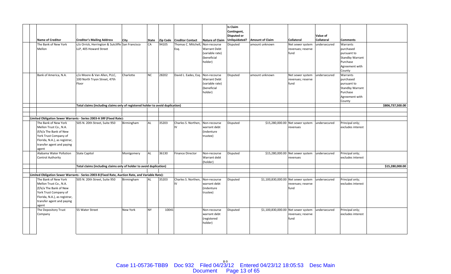|                               |                                                                                                                                   |                 |       |       |                                   |                              | Is Claim<br>Contingent, |                                     |                                  |                   |                                      |                  |
|-------------------------------|-----------------------------------------------------------------------------------------------------------------------------------|-----------------|-------|-------|-----------------------------------|------------------------------|-------------------------|-------------------------------------|----------------------------------|-------------------|--------------------------------------|------------------|
|                               |                                                                                                                                   |                 |       |       |                                   |                              | <b>Disputed or</b>      |                                     |                                  | Value of          |                                      |                  |
| <b>Name of Creditor</b>       | <b>Creditor's Mailing Address</b>                                                                                                 | City            | State |       | Zip Code Creditor Contact         | Nature of Claim              | Unliquidated?           | <b>Amount of Claim</b>              | <b>Collateral</b>                | <b>Collateral</b> | <b>Comments</b>                      |                  |
| The Bank of New York          | c/o Orrick, Herrington & Sutcliffe San Francisco                                                                                  |                 | CA    | 94105 | Thomas C. Mitchell. Non-recourse  |                              | <b>Disputed</b>         | amount unknown                      | Net sewer system                 | undersecured      | Warrants                             |                  |
| Mellon                        | LLP. 405 Howard Street                                                                                                            |                 |       |       | Esq.                              | <b>Warrant Debt</b>          |                         |                                     | revenues; reserve                |                   | purchased                            |                  |
|                               |                                                                                                                                   |                 |       |       |                                   | (variable rate)              |                         |                                     | fund                             |                   | pursuant to                          |                  |
|                               |                                                                                                                                   |                 |       |       |                                   | (beneficial                  |                         |                                     |                                  |                   | <b>Standby Warrant</b>               |                  |
|                               |                                                                                                                                   |                 |       |       |                                   | holder)                      |                         |                                     |                                  |                   | Purchase                             |                  |
|                               |                                                                                                                                   |                 |       |       |                                   |                              |                         |                                     |                                  |                   | Agreement with                       |                  |
|                               |                                                                                                                                   |                 |       |       |                                   |                              |                         |                                     |                                  |                   | County                               |                  |
| Bank of America, N.A.         | c/o Moore & Van Allen, PLLC,                                                                                                      | Charlotte       | NC.   | 28202 | David L. Eades, Esg. Non-recourse |                              | Disputed                | amount unknown                      | Net sewer system                 | undersecured      | Warrants                             |                  |
|                               | 100 North Tryon Street, 47th                                                                                                      |                 |       |       |                                   | <b>Warrant Debt</b>          |                         |                                     | revenues; reserve                |                   | purchased                            |                  |
|                               | Floor                                                                                                                             |                 |       |       |                                   | (variable rate)              |                         |                                     | fund                             |                   | pursuant to                          |                  |
|                               |                                                                                                                                   |                 |       |       |                                   | (beneficial                  |                         |                                     |                                  |                   | <b>Standby Warrant</b>               |                  |
|                               |                                                                                                                                   |                 |       |       |                                   | holder)                      |                         |                                     |                                  |                   | Purchase                             |                  |
|                               |                                                                                                                                   |                 |       |       |                                   |                              |                         |                                     |                                  |                   | Agreement with                       |                  |
|                               |                                                                                                                                   |                 |       |       |                                   |                              |                         |                                     |                                  |                   | County                               |                  |
|                               | Total claims (including claims only of registered holder to avoid duplication)                                                    |                 |       |       |                                   |                              |                         |                                     |                                  |                   |                                      | \$806,737,500.00 |
|                               |                                                                                                                                   |                 |       |       |                                   |                              |                         |                                     |                                  |                   |                                      |                  |
|                               |                                                                                                                                   |                 |       |       |                                   |                              |                         |                                     |                                  |                   |                                      |                  |
|                               | Limited Obligation Sewer Warrants - Series 2003-A SRF (Fixed Rate):                                                               |                 |       |       |                                   |                              |                         |                                     |                                  |                   |                                      |                  |
| The Bank of New York          | 505 N. 20th Street, Suite 950                                                                                                     | Birmingham      | AL    | 35203 | Charles S. Northen,               | Non-recourse                 | Disputed                |                                     | \$15,280,000.00 Net sewer system | undersecured      | Principal only;                      |                  |
| Mellon Trust Co., N.A.        |                                                                                                                                   |                 |       |       | IV.                               | warrant debt                 |                         |                                     | revenues                         |                   | excludes interest                    |                  |
| (f/k/a The Bank of New        |                                                                                                                                   |                 |       |       |                                   | (indenture                   |                         |                                     |                                  |                   |                                      |                  |
| York Trust Company of         |                                                                                                                                   |                 |       |       |                                   | trustee)                     |                         |                                     |                                  |                   |                                      |                  |
| Florida, N.A.), as registrar, |                                                                                                                                   |                 |       |       |                                   |                              |                         |                                     |                                  |                   |                                      |                  |
| transfer agent and paying     |                                                                                                                                   |                 |       |       |                                   |                              |                         |                                     |                                  |                   |                                      |                  |
| agent                         |                                                                                                                                   |                 |       |       |                                   |                              |                         |                                     |                                  |                   |                                      |                  |
| Alabama Water Pollution       | <b>State Capitol</b>                                                                                                              | Montgomery      | AL    | 36130 | <b>Finance Director</b>           | Non-recourse                 | Disputed                |                                     | \$15,280,000.00 Net sewer system | undersecured      | Principal only;                      |                  |
| <b>Control Authority</b>      |                                                                                                                                   |                 |       |       |                                   | Warrant debt                 |                         |                                     | revenues                         |                   | excludes interest                    |                  |
|                               |                                                                                                                                   |                 |       |       |                                   | (holder)                     |                         |                                     |                                  |                   |                                      |                  |
|                               | Total claims (including claims only of holder to avoid duplication)                                                               |                 |       |       |                                   |                              |                         |                                     |                                  |                   |                                      | \$15,280,000.00  |
|                               |                                                                                                                                   |                 |       |       |                                   |                              |                         |                                     |                                  |                   |                                      |                  |
| The Bank of New York          | Limited Obligation Sewer Warrants - Series 2003-B (Fixed Rate, Auction Rate, and Variable Rate):<br>505 N. 20th Street, Suite 950 |                 | AL    | 35203 | Charles S. Northen,               |                              |                         |                                     |                                  |                   |                                      |                  |
| Mellon Trust Co., N.A.        |                                                                                                                                   | Birmingham      |       |       | IV.                               | Non-recourse<br>warrant debt | Disputed                | \$1,100,830,000.00 Net sewer system | revenues; reserve                | undersecured      | Principal only;<br>excludes interest |                  |
| (f/k/a The Bank of New        |                                                                                                                                   |                 |       |       |                                   | (indenture                   |                         |                                     | fund                             |                   |                                      |                  |
|                               |                                                                                                                                   |                 |       |       |                                   |                              |                         |                                     |                                  |                   |                                      |                  |
| York Trust Company of         |                                                                                                                                   |                 |       |       |                                   | trustee)                     |                         |                                     |                                  |                   |                                      |                  |
| Florida, N.A.), as registrar, |                                                                                                                                   |                 |       |       |                                   |                              |                         |                                     |                                  |                   |                                      |                  |
| transfer agent and paying     |                                                                                                                                   |                 |       |       |                                   |                              |                         |                                     |                                  |                   |                                      |                  |
| agent<br>The Depository Trust | 55 Water Street                                                                                                                   | <b>New York</b> | NY    | 10041 |                                   | Non-recourse                 | <b>Disputed</b>         | \$1,100,830,000.00 Net sewer system |                                  | undersecured      | Principal only;                      |                  |
|                               |                                                                                                                                   |                 |       |       |                                   |                              |                         |                                     |                                  |                   |                                      |                  |
| Company                       |                                                                                                                                   |                 |       |       |                                   | warrant debt                 |                         |                                     | revenues; reserve                |                   | excludes interest                    |                  |
|                               |                                                                                                                                   |                 |       |       |                                   | (registered                  |                         |                                     | fund                             |                   |                                      |                  |
|                               |                                                                                                                                   |                 |       |       |                                   | holder)                      |                         |                                     |                                  |                   |                                      |                  |
|                               |                                                                                                                                   |                 |       |       |                                   |                              |                         |                                     |                                  |                   |                                      |                  |
|                               |                                                                                                                                   |                 |       |       |                                   |                              |                         |                                     |                                  |                   |                                      |                  |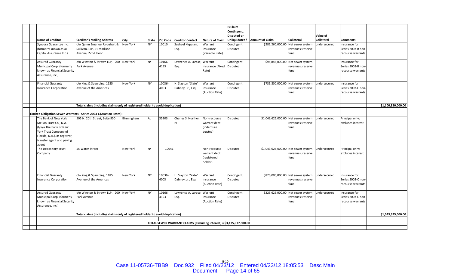| <b>Name of Creditor</b>                                                                                                                                                  | <b>Creditor's Mailing Address</b>                                               | <b>City</b> | State     |                | Zip Code   Creditor Contact                                          |                                                        | <b>Is Claim</b><br>Contingent,<br><b>Disputed or</b> | Nature of Claim Unliquidated? Amount of Claim | <b>Collateral</b>                                              | Value of<br><b>Collateral</b> | <b>Comments</b>                                          |                    |
|--------------------------------------------------------------------------------------------------------------------------------------------------------------------------|---------------------------------------------------------------------------------|-------------|-----------|----------------|----------------------------------------------------------------------|--------------------------------------------------------|------------------------------------------------------|-----------------------------------------------|----------------------------------------------------------------|-------------------------------|----------------------------------------------------------|--------------------|
| Syncora Guarantee Inc.<br>(formerly known as XL<br>Capital Assurance Inc.)                                                                                               | c/o Quinn Emanuel Urguhart &<br>Sullivan, LLP, 51 Madison<br>Avenue, 22nd Floor | New York    | <b>NY</b> | 10010          | Susheel Kirpalani,<br>Esq.                                           | Warrant<br>insurance<br>(Variable Rate)                | Contingent;<br>Disputed                              |                                               | \$281,260,000.00 Net sewer system<br>revenues; reserve<br>fund | undersecured                  | Insurance for<br>Series 2003-B non-<br>recourse warrants |                    |
| <b>Assured Guaranty</b><br>Municipal Corp. (formerly<br>known as Financial Security<br>Assurance, Inc.)                                                                  | c/o Winston & Strawn LLP, 200 New York<br>Park Avenue                           |             | <b>NY</b> | 10166-<br>4193 | Lawrence A. Larose, Warrant<br>Esq.                                  | insurance (Fixed Disputed<br>Rate)                     | Contingent;                                          |                                               | \$95,845,000.00 Net sewer system<br>revenues; reserve<br>fund  |                               | Insurance for<br>Series 2003-B non-<br>recourse warrants |                    |
| <b>Financial Guaranty</b><br><b>Insurance Corporation</b>                                                                                                                | c/o King & Spaulding, 1185<br>Avenue of the Americas                            | New York    | <b>NY</b> | 10036-<br>4003 | H. Slayton "Slate"<br>Dabney, Jr., Esq.                              | Warrant<br>insurance<br>(Auction Rate)                 | Contingent;<br>Disputed                              |                                               | \$735,800,000.00 Net sewer system<br>revenues; reserve<br>fund | undersecured                  | Insurance for<br>Series 2003-C non-<br>recourse warrants |                    |
|                                                                                                                                                                          | Total claims (including claims only of registered holder to avoid duplication)  |             |           |                |                                                                      |                                                        |                                                      |                                               |                                                                |                               |                                                          | \$1,100,830,000.00 |
|                                                                                                                                                                          | Limited Obligation Sewer Warrants - Series 2003-C (Auction Rates):              |             |           |                |                                                                      |                                                        |                                                      |                                               |                                                                |                               |                                                          |                    |
| The Bank of New York<br>Mellon Trust Co., N.A.<br>(f/k/a The Bank of New<br>York Trust Company of<br>Florida, N.A.), as registrar,<br>transfer agent and paying<br>agent | 505 N. 20th Street, Suite 950                                                   | Birmingham  | AL        | 35203          | Charles S. Northen,<br>IV.                                           | Non-recourse<br>warrant debt<br>(indenture<br>trustee) | Disputed                                             | \$1,043,625,000.00 Net sewer system           | revenues; reserve<br>fund                                      | undersecured                  | Principal only;<br>excludes interest                     |                    |
| The Depository Trust<br>Company                                                                                                                                          | 55 Water Street                                                                 | New York    | NY        | 10041          |                                                                      | Non-recourse<br>warrant debt<br>(registered<br>holder) | Disputed                                             | \$1,043,625,000.00 Net sewer system           | revenues; reserve<br>fund                                      | undersecured                  | Principal only;<br>excludes interest                     |                    |
| <b>Financial Guaranty</b><br><b>Insurance Corporation</b>                                                                                                                | c/o King & Spaulding, 1185<br>Avenue of the Americas                            | New York    | <b>NY</b> | 10036-<br>4003 | H. Slayton "Slate"<br>Dabney, Jr., Esq.                              | Warrant<br>insurance<br>(Auction Rate)                 | Contingent;<br>Disputed                              |                                               | \$820,000,000.00 Net sewer system<br>revenues; reserve<br>fund | undersecured                  | Insurance for<br>Series 2003-C non-<br>recourse warrants |                    |
| <b>Assured Guaranty</b><br>Municipal Corp. (formerly<br>known as Financial Security<br>Assurance, Inc.)                                                                  | c/o Winston & Strawn LLP, 200 New York<br>Park Avenue                           |             | <b>NY</b> | 10166-<br>4193 | Lawrence A. Larose, Warrant<br>Esq.                                  | insurance<br>(Auction Rate)                            | Contingent;<br>Disputed                              |                                               | \$223,625,000.00 Net sewer system<br>revenues; reserve<br>fund | undersecured                  | Insurance for<br>Series 2003-C non-<br>recourse warrants |                    |
|                                                                                                                                                                          | Total claims (including claims only of registered holder to avoid duplication)  |             |           |                |                                                                      |                                                        |                                                      |                                               |                                                                |                               |                                                          | \$1,043,625,000.00 |
|                                                                                                                                                                          |                                                                                 |             |           |                |                                                                      |                                                        |                                                      |                                               |                                                                |                               |                                                          |                    |
|                                                                                                                                                                          |                                                                                 |             |           |                | TOTAL SEWER WARRANT CLAIMS (excluding interest) = \$3,135,977,500.00 |                                                        |                                                      |                                               |                                                                |                               |                                                          |                    |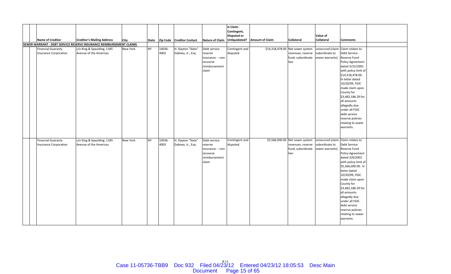|  |                              |                                                                            |          |           |        |                           |                        | Is Claim<br>Contingent, |                               |                                  |                                   |                                  |  |
|--|------------------------------|----------------------------------------------------------------------------|----------|-----------|--------|---------------------------|------------------------|-------------------------|-------------------------------|----------------------------------|-----------------------------------|----------------------------------|--|
|  |                              |                                                                            |          |           |        |                           |                        | <b>Disputed or</b>      |                               |                                  | Value of                          |                                  |  |
|  | <b>Name of Creditor</b>      | <b>Creditor's Mailing Address</b>                                          | City     | State     |        | Zip Code Creditor Contact | <b>Nature of Claim</b> |                         | Unliquidated? Amount of Claim | <b>Collateral</b>                | <b>Collateral</b>                 | <b>Comments</b>                  |  |
|  |                              | <b>SEWER WARRANT - DEBT SERVICE RESERVE INSURANCE REIMBURSEMENT CLAIMS</b> |          |           |        |                           |                        |                         |                               |                                  |                                   |                                  |  |
|  | <b>Financial Guaranty</b>    | c/o King & Spaulding, 1185                                                 | New York | <b>NY</b> | 10036- | H. Slayton "Slate"        | Debt service           | Contingent and          |                               | \$14,318,478.00 Net sewer system | unsecured (claim Claim relates to |                                  |  |
|  | <b>Insurance Corporation</b> | Avenue of the Americas                                                     |          |           | 4003   | Dabney, Jr., Esq.         | reserve                | disputed                |                               | revenues; reserve                | subordinate to                    | Debt Service                     |  |
|  |                              |                                                                            |          |           |        |                           | insurance -- non-      |                         |                               | fund; subordinate                | sewer warrants)                   | <b>Reserve Fund</b>              |  |
|  |                              |                                                                            |          |           |        |                           | recourse               |                         |                               | lien                             |                                   | <b>Policy Agreement</b>          |  |
|  |                              |                                                                            |          |           |        |                           | reimbursement          |                         |                               |                                  |                                   | dated 3/22/2001                  |  |
|  |                              |                                                                            |          |           |        |                           | claim                  |                         |                               |                                  |                                   | with policy limit of             |  |
|  |                              |                                                                            |          |           |        |                           |                        |                         |                               |                                  |                                   | \$14,318,478.00.                 |  |
|  |                              |                                                                            |          |           |        |                           |                        |                         |                               |                                  |                                   | In letter dated                  |  |
|  |                              |                                                                            |          |           |        |                           |                        |                         |                               |                                  |                                   | 10/20/09, FGIC                   |  |
|  |                              |                                                                            |          |           |        |                           |                        |                         |                               |                                  |                                   | made claim upon                  |  |
|  |                              |                                                                            |          |           |        |                           |                        |                         |                               |                                  |                                   | County for<br>\$3,482,186.29 for |  |
|  |                              |                                                                            |          |           |        |                           |                        |                         |                               |                                  |                                   | all amounts                      |  |
|  |                              |                                                                            |          |           |        |                           |                        |                         |                               |                                  |                                   | allegedly due                    |  |
|  |                              |                                                                            |          |           |        |                           |                        |                         |                               |                                  |                                   | under all FGIC                   |  |
|  |                              |                                                                            |          |           |        |                           |                        |                         |                               |                                  |                                   | debt service                     |  |
|  |                              |                                                                            |          |           |        |                           |                        |                         |                               |                                  |                                   | reserve policies                 |  |
|  |                              |                                                                            |          |           |        |                           |                        |                         |                               |                                  |                                   | relating to sewer                |  |
|  |                              |                                                                            |          |           |        |                           |                        |                         |                               |                                  |                                   | warrants.                        |  |
|  |                              |                                                                            |          |           |        |                           |                        |                         |                               |                                  |                                   |                                  |  |
|  |                              |                                                                            |          |           |        |                           |                        |                         |                               |                                  |                                   |                                  |  |
|  | <b>Financial Guaranty</b>    | c/o King & Spaulding, 1185                                                 | New York | <b>NY</b> | 10036- | H. Slayton "Slate"        | Debt service           | Contingent and          |                               | \$5,566,000.00 Net sewer system  | unsecured (claim Claim relates to |                                  |  |
|  | <b>Insurance Corporation</b> | Avenue of the Americas                                                     |          |           | 4003   | Dabney, Jr., Esq.         | reserve                | disputed                |                               | revenues; reserve                | subordinate to                    | Debt Service                     |  |
|  |                              |                                                                            |          |           |        |                           | insurance -- non-      |                         |                               | fund; subordinate                | sewer warrants)                   | Reserve Fund                     |  |
|  |                              |                                                                            |          |           |        |                           | recourse               |                         |                               | lien                             |                                   | Policy Agreement                 |  |
|  |                              |                                                                            |          |           |        |                           | reimbursement          |                         |                               |                                  |                                   | dated 3/6/2002                   |  |
|  |                              |                                                                            |          |           |        |                           | claim                  |                         |                               |                                  |                                   | with policy limit of             |  |
|  |                              |                                                                            |          |           |        |                           |                        |                         |                               |                                  |                                   | \$5,566,000.00. In               |  |
|  |                              |                                                                            |          |           |        |                           |                        |                         |                               |                                  |                                   | letter dated                     |  |
|  |                              |                                                                            |          |           |        |                           |                        |                         |                               |                                  |                                   | 10/20/09, FGIC                   |  |
|  |                              |                                                                            |          |           |        |                           |                        |                         |                               |                                  |                                   | made claim upon                  |  |
|  |                              |                                                                            |          |           |        |                           |                        |                         |                               |                                  |                                   | County for                       |  |
|  |                              |                                                                            |          |           |        |                           |                        |                         |                               |                                  |                                   | \$3,482,186.29 for               |  |
|  |                              |                                                                            |          |           |        |                           |                        |                         |                               |                                  |                                   | all amounts                      |  |
|  |                              |                                                                            |          |           |        |                           |                        |                         |                               |                                  |                                   | allegedly due                    |  |
|  |                              |                                                                            |          |           |        |                           |                        |                         |                               |                                  |                                   | under all FGIC                   |  |
|  |                              |                                                                            |          |           |        |                           |                        |                         |                               |                                  |                                   | debt service                     |  |
|  |                              |                                                                            |          |           |        |                           |                        |                         |                               |                                  |                                   | reserve policies                 |  |
|  |                              |                                                                            |          |           |        |                           |                        |                         |                               |                                  |                                   | relating to sewer                |  |
|  |                              |                                                                            |          |           |        |                           |                        |                         |                               |                                  |                                   | warrants.                        |  |
|  |                              |                                                                            |          |           |        |                           |                        |                         |                               |                                  |                                   |                                  |  |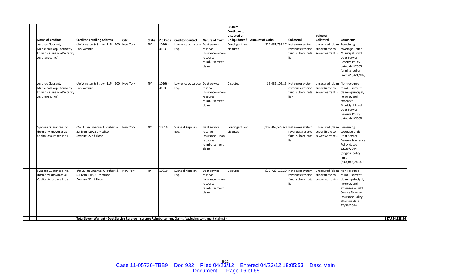|                             |                                                                                                           |          |              |        |                                  |                        | <b>Is Claim</b>    |                        |                                   |                               |                         |                 |
|-----------------------------|-----------------------------------------------------------------------------------------------------------|----------|--------------|--------|----------------------------------|------------------------|--------------------|------------------------|-----------------------------------|-------------------------------|-------------------------|-----------------|
|                             |                                                                                                           |          |              |        |                                  |                        | Contingent,        |                        |                                   |                               |                         |                 |
|                             |                                                                                                           |          |              |        |                                  |                        | <b>Disputed or</b> |                        |                                   | Value of                      |                         |                 |
| <b>Name of Creditor</b>     | <b>Creditor's Mailing Address</b>                                                                         | City     | <b>State</b> |        | Zip Code   Creditor Contact      | <b>Nature of Claim</b> | Unliquidated?      | <b>Amount of Claim</b> | <b>Collateral</b>                 | <b>Collateral</b>             | <b>Comments</b>         |                 |
| <b>Assured Guaranty</b>     | c/o Winston & Strawn LLP, 200 New York                                                                    |          | NY.          | 10166- | Lawrence A. Larose, Debt service |                        | Contingent and     |                        | \$22,031,755.37 Net sewer system  | unsecured (claim              | Remaining               |                 |
| Municipal Corp. (formerly   | Park Avenue                                                                                               |          |              | 4193   | Esq.                             | reserve                | disputed           |                        | revenues; reserve                 | subordinate to                | coverage under          |                 |
|                             |                                                                                                           |          |              |        |                                  | insurance -- non-      |                    |                        | fund; subordinate                 | sewer warrants)               | <b>Municipal Bond</b>   |                 |
| known as Financial Security |                                                                                                           |          |              |        |                                  |                        |                    |                        |                                   |                               | Debt Service            |                 |
| Assurance, Inc.)            |                                                                                                           |          |              |        |                                  | recourse               |                    |                        | lien                              |                               |                         |                 |
|                             |                                                                                                           |          |              |        |                                  | reimbursement          |                    |                        |                                   |                               | <b>Reserve Policy</b>   |                 |
|                             |                                                                                                           |          |              |        |                                  | claim                  |                    |                        |                                   |                               | dated 4/1/2005          |                 |
|                             |                                                                                                           |          |              |        |                                  |                        |                    |                        |                                   |                               | (original policy        |                 |
|                             |                                                                                                           |          |              |        |                                  |                        |                    |                        |                                   |                               | limit \$26,421,902)     |                 |
|                             |                                                                                                           |          |              |        |                                  |                        |                    |                        |                                   |                               |                         |                 |
| <b>Assured Guaranty</b>     | c/o Winston & Strawn LLP, 200 New York                                                                    |          | <b>NY</b>    | 10166- | Lawrence A. Larose, Debt service |                        | <b>Disputed</b>    |                        | \$5,032,109.16 Net sewer system   | unsecured (claim Non-recourse |                         |                 |
| Municipal Corp. (formerly   | Park Avenue                                                                                               |          |              | 4193   | Esq.                             | reserve                |                    |                        | revenues; reserve                 | subordinate to                | reimbursement           |                 |
| known as Financial Security |                                                                                                           |          |              |        |                                  | insurance -- non-      |                    |                        | fund; subordinate                 | sewer warrants)               | claim -- principal,     |                 |
| Assurance, Inc.)            |                                                                                                           |          |              |        |                                  | recourse               |                    |                        | lien                              |                               | interest, and           |                 |
|                             |                                                                                                           |          |              |        |                                  | reimbursement          |                    |                        |                                   |                               | expenses --             |                 |
|                             |                                                                                                           |          |              |        |                                  | claim                  |                    |                        |                                   |                               | <b>Municipal Bond</b>   |                 |
|                             |                                                                                                           |          |              |        |                                  |                        |                    |                        |                                   |                               | Debt Service            |                 |
|                             |                                                                                                           |          |              |        |                                  |                        |                    |                        |                                   |                               | <b>Reserve Policy</b>   |                 |
|                             |                                                                                                           |          |              |        |                                  |                        |                    |                        |                                   |                               | dated 4/1/2005          |                 |
|                             |                                                                                                           |          |              |        |                                  |                        |                    |                        |                                   |                               |                         |                 |
| Syncora Guarantee Inc.      | c/o Quinn Emanuel Urquhart &                                                                              | New York | <b>NY</b>    | 10010  | Susheel Kirpalani,               | Debt service           | Contingent and     |                        | \$137,469,528.60 Net sewer system | unsecured (claim Remaining    |                         |                 |
| (formerly known as XL       | Sullivan, LLP, 51 Madison                                                                                 |          |              |        | Esq.                             | reserve                | disputed           |                        | revenues; reserve                 | subordinate to                | coverage under          |                 |
| Capital Assurance Inc.)     | Avenue, 22nd Floor                                                                                        |          |              |        |                                  | insurance -- non-      |                    |                        | fund; subordinate                 | sewer warrants)               | Debt Service            |                 |
|                             |                                                                                                           |          |              |        |                                  | recourse               |                    |                        | lien                              |                               | Reserve Insurance       |                 |
|                             |                                                                                                           |          |              |        |                                  | reimbursement          |                    |                        |                                   |                               | Policy dated            |                 |
|                             |                                                                                                           |          |              |        |                                  | claim                  |                    |                        |                                   |                               | 12/30/2004              |                 |
|                             |                                                                                                           |          |              |        |                                  |                        |                    |                        |                                   |                               | (original policy        |                 |
|                             |                                                                                                           |          |              |        |                                  |                        |                    |                        |                                   |                               | limit                   |                 |
|                             |                                                                                                           |          |              |        |                                  |                        |                    |                        |                                   |                               | \$164,863,746.40)       |                 |
|                             |                                                                                                           |          |              |        |                                  |                        |                    |                        |                                   |                               |                         |                 |
| Syncora Guarantee Inc.      | c/o Quinn Emanuel Urquhart &                                                                              | New York | NY.          | 10010  | Susheel Kirpalani,               | Debt service           | Disputed           |                        | \$32,722,119.20 Net sewer system  | unsecured (claim Non-recourse |                         |                 |
| (formerly known as XL       | Sullivan, LLP, 51 Madison                                                                                 |          |              |        | Esq.                             | reserve                |                    |                        | revenues; reserve                 | subordinate to                | reimbursement           |                 |
| Capital Assurance Inc.)     | Avenue, 22nd Floor                                                                                        |          |              |        |                                  | insurance -- non-      |                    |                        | fund; subordinate                 | sewer warrants)               | claim -- principal,     |                 |
|                             |                                                                                                           |          |              |        |                                  | recourse               |                    |                        | lien                              |                               | interest, and           |                 |
|                             |                                                                                                           |          |              |        |                                  | reimbursement          |                    |                        |                                   |                               | expenses -- Debt        |                 |
|                             |                                                                                                           |          |              |        |                                  | claim                  |                    |                        |                                   |                               | Service Reserve         |                 |
|                             |                                                                                                           |          |              |        |                                  |                        |                    |                        |                                   |                               | <b>Insurance Policy</b> |                 |
|                             |                                                                                                           |          |              |        |                                  |                        |                    |                        |                                   |                               | effective date          |                 |
|                             |                                                                                                           |          |              |        |                                  |                        |                    |                        |                                   |                               | 12/30/2004              |                 |
|                             |                                                                                                           |          |              |        |                                  |                        |                    |                        |                                   |                               |                         |                 |
|                             |                                                                                                           |          |              |        |                                  |                        |                    |                        |                                   |                               |                         |                 |
|                             | Total Sewer Warrant - Debt Service Reserve Insurance Reimbursement Claims (excluding contingent claims) = |          |              |        |                                  |                        |                    |                        |                                   |                               |                         | \$37,754,228.36 |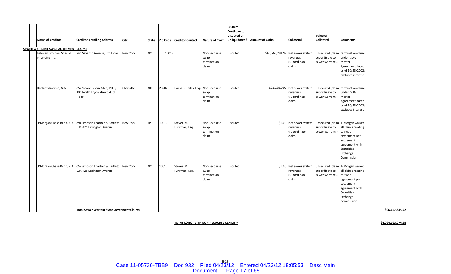|  | <b>Name of Creditor</b>                   | <b>Creditor's Mailing Address</b>                                                     | <b>City</b>     | State     |       | Zip Code Creditor Contact         |                                              | Is Claim<br>Contingent,<br><b>Disputed or</b> | Nature of Claim   Unliquidated?   Amount of Claim | <b>Collateral</b>                                                      | Value of<br><b>Collateral</b>     | <b>Comments</b>                                                                                                                                                    |                 |
|--|-------------------------------------------|---------------------------------------------------------------------------------------|-----------------|-----------|-------|-----------------------------------|----------------------------------------------|-----------------------------------------------|---------------------------------------------------|------------------------------------------------------------------------|-----------------------------------|--------------------------------------------------------------------------------------------------------------------------------------------------------------------|-----------------|
|  |                                           |                                                                                       |                 |           |       |                                   |                                              |                                               |                                                   |                                                                        |                                   |                                                                                                                                                                    |                 |
|  | SEWER WARRANT SWAP AGREEMENT CLAIMS       |                                                                                       |                 |           |       |                                   |                                              |                                               |                                                   |                                                                        |                                   |                                                                                                                                                                    |                 |
|  | Lehman Brothers Special<br>Financing Inc. | 745 Seventh Avenue, 5th Floor                                                         | <b>New York</b> | <b>NY</b> | 10019 |                                   | Non-recourse<br>swap<br>termination<br>claim | Disputed                                      |                                                   | \$65,568,284.92 Net sewer system<br>revenues<br>(subordinate<br>claim) | subordinate to<br>sewer warrants) | unsecured (claim termination claim<br>under ISDA<br>Master<br>Agreement dated<br>as of 10/23/2002;<br>excludes interest                                            |                 |
|  | Bank of America, N.A.                     | c/o Moore & Van Allen, PLLC,<br>100 North Tryon Street, 47th<br>Floor                 | Charlotte       | NC        | 28202 | David L. Eades, Esq. Non-recourse | swap<br>termination<br>claim                 | Disputed                                      |                                                   | \$31,188,960 Net sewer system<br>revenues<br>(subordinate<br>claim)    | subordinate to<br>sewer warrants) | unsecured (claim termination claim<br>under ISDA<br>Master<br>Agreement dated<br>as of 10/23/2002;<br>excludes interest                                            |                 |
|  | JPMorgan Chase Bank, N.A.                 | c/o Simpson Thacher & Bartlett<br>LLP, 425 Lexington Avenue                           | New York        | <b>NY</b> | 10017 | Steven M.<br>Fuhrman, Esq.        | Non-recourse<br>swap<br>termination<br>claim | Disputed                                      |                                                   | \$1.00 Net sewer system<br>revenues<br>(subordinate<br>claim)          | subordinate to<br>sewer warrants) | unsecured (claim JPMorgan waived<br>all claims relating<br>to swap<br>agreement per<br>settlement<br>agreement with<br>Securities<br>Exchange<br>Commission        |                 |
|  |                                           | JPMorgan Chase Bank, N.A. c/o Simpson Thacher & Bartlett<br>LLP, 425 Lexington Avenue | <b>New York</b> | <b>NY</b> | 10017 | Steven M.<br>Fuhrman, Esg.        | Non-recourse<br>swap<br>termination<br>claim | Disputed                                      |                                                   | \$1.00 Net sewer system<br>revenues<br>(subordinate<br>claim)          | subordinate to<br>sewer warrants) | unsecured (claim JPMorgan waived<br>all claims relating<br>to swap<br>agreement per<br>settlement<br>agreement with<br><b>Securities</b><br>Exchange<br>Commission |                 |
|  |                                           | Total Sewer Warrant Swap Agreement Claims                                             |                 |           |       |                                   |                                              |                                               |                                                   |                                                                        |                                   |                                                                                                                                                                    | \$96,757,245.92 |

**TOTAL LONG‐TERM NON‐RECOURSE CLAIMS <sup>=</sup> \$4,084,563,974.28**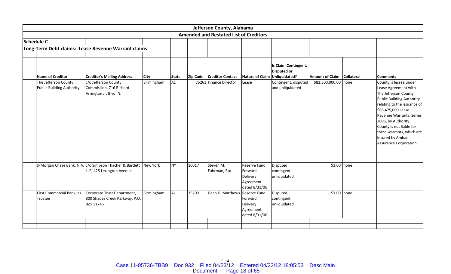|                                                          |                                                                                       |             |              |       | Jefferson County, Alabama                     |                                                                   |                                                             |                        |                   |                                                                                                                                                                                                                                                                                                                           |
|----------------------------------------------------------|---------------------------------------------------------------------------------------|-------------|--------------|-------|-----------------------------------------------|-------------------------------------------------------------------|-------------------------------------------------------------|------------------------|-------------------|---------------------------------------------------------------------------------------------------------------------------------------------------------------------------------------------------------------------------------------------------------------------------------------------------------------------------|
|                                                          |                                                                                       |             |              |       | <b>Amended and Restated List of Creditors</b> |                                                                   |                                                             |                        |                   |                                                                                                                                                                                                                                                                                                                           |
| Schedule C                                               |                                                                                       |             |              |       |                                               |                                                                   |                                                             |                        |                   |                                                                                                                                                                                                                                                                                                                           |
|                                                          | Long-Term Debt claims: Lease Revenue Warrant claims                                   |             |              |       |                                               |                                                                   |                                                             |                        |                   |                                                                                                                                                                                                                                                                                                                           |
|                                                          |                                                                                       |             |              |       |                                               |                                                                   |                                                             |                        |                   |                                                                                                                                                                                                                                                                                                                           |
| Name of Creditor                                         | <b>Creditor's Mailing Address</b>                                                     | <b>City</b> | <b>State</b> |       | Zip Code   Creditor Contact                   | <b>Nature of Claim</b>                                            | Is Claim Contingent,<br><b>Disputed or</b><br>Unliquidated? | <b>Amount of Claim</b> | <b>Collateral</b> | <b>Comments</b>                                                                                                                                                                                                                                                                                                           |
| The Jefferson County<br><b>Public Building Authority</b> | c/o Jefferson County<br>Commission, 716 Richard<br>Arrington Jr. Blvd. N.             | Birmingham  | <b>AL</b>    |       | 35263 Finance Director                        | Lease                                                             | Contingent, disputed<br>and unliquidated                    | \$82,500,000.00 none   |                   | County is lessee under<br>Lease Agreement with<br>The Jefferson County<br><b>Public Building Authority</b><br>relating to the issuance of<br>\$86,475,000 Lease<br>Revenue Warrants, Series<br>2006, by Authority.<br>County is not liable for<br>these warrants, which are<br>insured by Ambac<br>Assurance Corporation. |
|                                                          | JPMorgan Chase Bank, N.A. c/o Simpson Thacher & Bartlett<br>LLP, 425 Lexington Avenue | New York    | <b>NY</b>    | 10017 | Steven M.<br>Fuhrman, Esq.                    | Reserve Fund<br>Forward<br>Delivery<br>Agreement<br>dated 8/31/06 | Disputed;<br>contingent;<br>unliquidated                    | $$1.00$ none           |                   |                                                                                                                                                                                                                                                                                                                           |
| First Commercial Bank, as<br><b>Trustee</b>              | Corporate Trust Department,<br>800 Shades Creek Parkway, P.O.<br>Box 11746            | Birmingham  | <b>AL</b>    | 35209 | Dean D. Matthews Reserve Fund                 | Forward<br>Delivery<br>Agreement<br>dated 8/31/06                 | Disputed;<br>contingent;<br>unliquidated                    | $$1.00$ none           |                   |                                                                                                                                                                                                                                                                                                                           |
|                                                          |                                                                                       |             |              |       |                                               |                                                                   |                                                             |                        |                   |                                                                                                                                                                                                                                                                                                                           |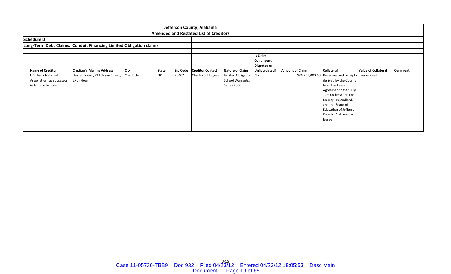|                                                                      |                                                                    |             |              |                 | Jefferson County, Alabama                     |                                                          |                                               |                        |                                                                                                                                                                                                                                                           |                            |                |
|----------------------------------------------------------------------|--------------------------------------------------------------------|-------------|--------------|-----------------|-----------------------------------------------|----------------------------------------------------------|-----------------------------------------------|------------------------|-----------------------------------------------------------------------------------------------------------------------------------------------------------------------------------------------------------------------------------------------------------|----------------------------|----------------|
|                                                                      |                                                                    |             |              |                 | <b>Amended and Restated List of Creditors</b> |                                                          |                                               |                        |                                                                                                                                                                                                                                                           |                            |                |
| <b>Schedule D</b>                                                    |                                                                    |             |              |                 |                                               |                                                          |                                               |                        |                                                                                                                                                                                                                                                           |                            |                |
|                                                                      | Long-Term Debt Claims: Conduit Financing Limited Obligation claims |             |              |                 |                                               |                                                          |                                               |                        |                                                                                                                                                                                                                                                           |                            |                |
|                                                                      |                                                                    |             |              |                 |                                               |                                                          |                                               |                        |                                                                                                                                                                                                                                                           |                            |                |
|                                                                      |                                                                    |             |              |                 |                                               |                                                          | <b>Is Claim</b><br>Contingent,<br>Disputed or |                        |                                                                                                                                                                                                                                                           |                            |                |
| Name of Creditor                                                     | <b>Creditor's Mailing Address</b>                                  | <b>City</b> | <b>State</b> | <b>Zip Code</b> | <b>Creditor Contact</b>                       | Nature of Claim                                          | Unliquidated?                                 | <b>Amount of Claim</b> | <b>Collateral</b>                                                                                                                                                                                                                                         | <b>Value of Collateral</b> | <b>Comment</b> |
| U.S. Bank National<br>Association, as successor<br>indenture trustee | Hearst Tower, 214 Tryon Street,<br>27th Floor                      | Charlotte   | <b>NC</b>    | 28202           | Charles S. Hodges                             | Limited Obligation No<br>School Warrants,<br>Series 2000 |                                               |                        | \$26,255,000.00 Revenues and receipts oversecured<br>derived by the County<br>from the Lease<br>Agreement dated July<br>1, 2000 between the<br>County, as landlord,<br>and the Board of<br><b>Education of Jefferson</b><br>County, Alabama, as<br>lessee |                            |                |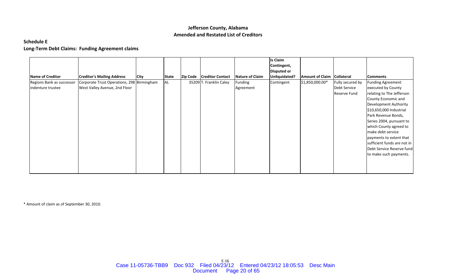### **Schedule E**

# **Long‐Term Debt Claims: Funding Agreement claims**

|                           |                                            |             |              |                             |                        | <b>Is Claim</b>    |                        |                   |                             |
|---------------------------|--------------------------------------------|-------------|--------------|-----------------------------|------------------------|--------------------|------------------------|-------------------|-----------------------------|
|                           |                                            |             |              |                             |                        | Contingent,        |                        |                   |                             |
|                           |                                            |             |              |                             |                        | <b>Disputed or</b> |                        |                   |                             |
| <b>Name of Creditor</b>   | <b>Creditor's Mailing Address</b>          | <b>City</b> | <b>State</b> | Zip Code   Creditor Contact | <b>Nature of Claim</b> | Unliquidated?      | <b>Amount of Claim</b> | <b>Collateral</b> | <b>Comments</b>             |
| Regions Bank as successor | Corporate Trust Operations, 298 Birmingham |             | AL.          | 35209 T. Franklin Caley     | Funding                | Contingent         | \$1,850,000.00*        | Fully secured by  | <b>Funding Agreement</b>    |
| indenture trustee         | West Valley Avenue, 2nd Floor              |             |              |                             | Agreement              |                    |                        | Debt Service      | executed by County          |
|                           |                                            |             |              |                             |                        |                    |                        | Reserve Fund      | relating to The Jefferson   |
|                           |                                            |             |              |                             |                        |                    |                        |                   | County Economic and         |
|                           |                                            |             |              |                             |                        |                    |                        |                   | Development Authority       |
|                           |                                            |             |              |                             |                        |                    |                        |                   | \$10,650,000 Industrial     |
|                           |                                            |             |              |                             |                        |                    |                        |                   | Park Revenue Bonds,         |
|                           |                                            |             |              |                             |                        |                    |                        |                   | Series 2004, pursuant to    |
|                           |                                            |             |              |                             |                        |                    |                        |                   | which County agreed to      |
|                           |                                            |             |              |                             |                        |                    |                        |                   | make debt service           |
|                           |                                            |             |              |                             |                        |                    |                        |                   | payments to extent that     |
|                           |                                            |             |              |                             |                        |                    |                        |                   | sufficient funds are not in |
|                           |                                            |             |              |                             |                        |                    |                        |                   | Debt Service Reserve fund   |
|                           |                                            |             |              |                             |                        |                    |                        |                   | to make such payments.      |
|                           |                                            |             |              |                             |                        |                    |                        |                   |                             |
|                           |                                            |             |              |                             |                        |                    |                        |                   |                             |
|                           |                                            |             |              |                             |                        |                    |                        |                   |                             |

\* Amount of claim as of September 30, 2010.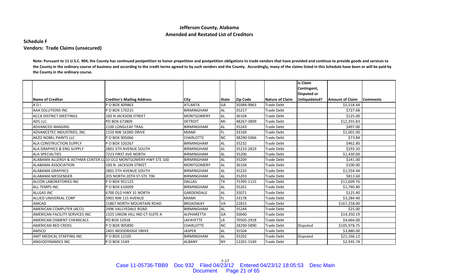## **Schedule F Vendors: Trade Claims (unsecured)**

Note: Pursuant to 11 U.S.C. 904, the County has continued postpetition to honor prepetition and postpetition obligations to trade vendors that have provided and continue to provide goods and services to the County in the ordinary course of business and according to the credit terms agreed to by such vendors and the County. Accordingly, many of the claims listed in this Schedule have been or will be paid by **the County in the ordinary course.**

|                                                                       |                                   |                   |              |            |                   | <b>Is Claim</b><br>Contingent, |                        |                  |
|-----------------------------------------------------------------------|-----------------------------------|-------------------|--------------|------------|-------------------|--------------------------------|------------------------|------------------|
|                                                                       |                                   |                   |              |            |                   | <b>Disputed or</b>             |                        |                  |
| <b>Name of Creditor</b>                                               | <b>Creditor's Mailing Address</b> | <b>City</b>       | <b>State</b> | Zip Code   | Nature of Claim   | Unliquidated?                  | <b>Amount of Claim</b> | <b>IComments</b> |
| ADI                                                                   | P O BOX 409863                    | <b>ATLANTA</b>    | GA           | 30384-9863 | <b>Trade Debt</b> |                                | \$5,518.44             |                  |
| AAA SOLUTIONS INC                                                     | P O BOX 170215                    | <b>BIRMINGHAM</b> | AL           | 35217      | Trade Debt        |                                | \$727.68               |                  |
| <b>ACCA DISTRICT MEETINGS</b>                                         | 100 N JACKSON STREET              | <b>MONTGOMERY</b> | AL           | 36104      | Trade Debt        |                                | \$125.00               |                  |
| ADS LLC                                                               | PO BOX 673809                     | <b>DETROIT</b>    | MI           | 48267-3809 | <b>Trade Debt</b> |                                | \$12,355.83            |                  |
| ADVANCED IMAGING                                                      | <b>2100 LONGLEAF TRAIL</b>        | <b>BIRMINGHAM</b> | <b>AL</b>    | 35243      | Trade Debt        |                                | \$497.00               |                  |
| ADVANCETEC INDUSTRIES, INC.                                           | 1150 NW 163RD DRIVE               | <b>MIAMI</b>      | FL           | 33169      | <b>Trade Debt</b> |                                | \$1,001.00             |                  |
| <b>AKZO NOBEL PAINTS LLC</b>                                          | P O BOX 905066                    | <b>CHARLOTTE</b>  | <b>NC</b>    | 38290-5066 | Trade Debt        |                                | \$73.84                |                  |
| <b>ALA CONSTRUCTION SUPPLY</b>                                        | P O BOX 320267                    | <b>BIRMINGHAM</b> | <b>AL</b>    | 35232      | <b>Trade Debt</b> |                                | \$462.80               |                  |
| ALA GRAPHICS & ENG SUPPLY                                             | 2801 5TH AVENUE SOUTH             | <b>BIRMINGHAM</b> | <b>AL</b>    | 35233-2819 | <b>Trade Debt</b> |                                | \$293.50               |                  |
| <b>ALA SPECIALTIES</b>                                                | 7223 FIRST AVE NORTH              | <b>BIRMINGHAM</b> | <b>AL</b>    | 35206      | <b>Trade Debt</b> |                                | \$1,430.00             |                  |
| ALABAMA ALLERGY & ASTHMA CENTER LL $110\,$ OLD MONTGOMERY HWY STE 100 |                                   | <b>BIRMINGHAM</b> | <b>AL</b>    | 35209      | <b>Trade Debt</b> |                                | \$141.00               |                  |
| <b>ALABAMA ASSOCIATION</b>                                            | 100 N. JACKSON STREET             | <b>MONTGOMERY</b> | AL.          | 36104      | <b>Trade Debt</b> |                                | \$100.00               |                  |
| <b>ALABAMA GRAPHICS</b>                                               | 2801 5TH AVENUE SOUTH             | <b>BIRMINGHAM</b> | AL.          | 35233      | Trade Debt        |                                | \$1,554.44             |                  |
| ALABAMA MESSENGER                                                     | 205 NORTH 20TH ST-STE 706         | <b>BIRMINGHAM</b> | AL.          | 35203      | <b>Trade Debt</b> |                                | \$813.60               |                  |
| ALCON LABORATORIES INC                                                | P O BOX 951125                    | <b>DALLAS</b>     | TX           | 75395-1125 | <b>Trade Debt</b> |                                | \$11,609.76            |                  |
| <b>ALL TEMPS INC</b>                                                  | P O BOX 610009                    | <b>BIRMINGHAM</b> | AL.          | 35261      | <b>Trade Debt</b> |                                | \$1,740.80             |                  |
| <b>ALLGAS INC</b>                                                     | 6700 OLD HWY 31 NORTH             | <b>GARDENDALE</b> | AL           | 35071      | <b>Trade Debt</b> |                                | \$125.40               |                  |
| ALLIED UNIVERSAL CORP                                                 | 3901 NW 115 AVENUE                | <b>MIAMI</b>      | FL           | 33178      | <b>Trade Debt</b> |                                | \$3,284.40             |                  |
| <b>AMCAD</b>                                                          | <b>15867 NORTH MOUNTAIN ROAD</b>  | <b>BROADWAY</b>   | VA           | 22815      | <b>Trade Debt</b> |                                | \$167,258.00           |                  |
| AMERICAN COMPUTER (ACCI)                                              | 2496 VALLYEDALE ROAD              | <b>BIRMINGHAM</b> | <b>AL</b>    | 35244      | <b>Trade Debt</b> |                                | \$25.00                |                  |
| AMERICAN FACILITY SERVICES INC                                        | 1325 UNION HILL IND CT-SUITE A    | <b>ALPHARETTA</b> | GA           | 30040      | <b>Trade Debt</b> |                                | \$14,350.19            |                  |
| <b>AMERICAN OSMENT CHEMICALS</b>                                      | PO BOX 52918                      | LAFAYETTE         | LA           | 70505-2918 | <b>Trade Debt</b> |                                | \$4,664.00             |                  |
| <b>AMERICAN RED CROSS</b>                                             | P O BOX 905890                    | <b>CHARLOTTE</b>  | <b>NC</b>    | 28290-5890 | <b>Trade Debt</b> | Disputed                       | \$105,978.75           |                  |
| AMSCO                                                                 | 2401 WOODRIDGE DRIVE              | <b>JASPER</b>     | AL.          | 35504      | <b>Trade Debt</b> |                                | \$3,880.00             |                  |
| AMT MEDICAL STAFFING INC                                              | P O BOX 12105                     | <b>BIRMINGHAM</b> | AL.          | 35202      | <b>Trade Debt</b> | Disputed                       | \$21,166.12            |                  |
| ANGIODYNAMICS INC                                                     | P O BOX 1549                      | <b>ALBANY</b>     | <b>NY</b>    | 12201-1549 | Trade Debt        |                                | \$2,935.74             |                  |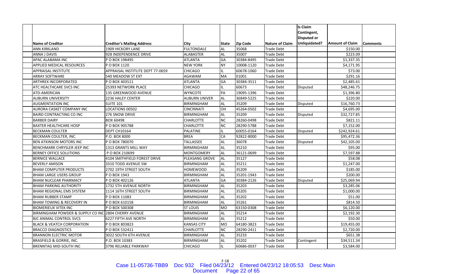|                                                      |                                   |                      |               |                 |                        | <b>Is Claim</b>    |                        |                 |
|------------------------------------------------------|-----------------------------------|----------------------|---------------|-----------------|------------------------|--------------------|------------------------|-----------------|
|                                                      |                                   |                      |               |                 |                        | Contingent,        |                        |                 |
|                                                      |                                   |                      |               |                 |                        | <b>Disputed or</b> |                        |                 |
| <b>Name of Creditor</b>                              | <b>Creditor's Mailing Address</b> | City                 | <b>IState</b> | <b>Zip Code</b> | <b>Nature of Claim</b> | Unliquidated?      | <b>Amount of Claim</b> | <b>Comments</b> |
| ANN KIRKLAND                                         | 1909 HICKORY LANE                 | <b>FULTONDALE</b>    | AL.           | 35068           | <b>Trade Debt</b>      |                    | \$150.00               |                 |
| ANNA J DAVIS                                         | 928 INDEPENDENCE DRIVE            | <b>ALABASTER</b>     | <b>AL</b>     | 35007           | <b>Trade Debt</b>      |                    | \$223.09               |                 |
| APAC ALABAMA INC                                     | P O BOX 198495                    | <b>ATLANTA</b>       | GA            | 30384-8495      | <b>Trade Debt</b>      |                    | \$1,337.35             |                 |
| APPLIED MEDICAL RESOURCES                            | P O BOX 1120                      | <b>NEW YORK</b>      | NΥ            | 10008-1120      | <b>Trade Debt</b>      |                    | \$4,171.95             |                 |
| APPRAISAL INSTITUTE                                  | APPRAISAL INSTITUTE DEPT 77-0659  | <b>CHICAGO</b>       | IL            | 60678-1060      | <b>Trade Debt</b>      |                    | \$73.00                |                 |
| <b>ARRAY SOFTWARE</b>                                | 540 MEADOW ST EXT                 | AGAWAM               | MA            | 01001           | Trade Debt             |                    | \$291.16               |                 |
| ARTHREX INCORPORATED                                 | PO BOX 403511                     | <b>ATLANTA</b>       | GA            | 30384-3511      | <b>Trade Debt</b>      |                    | \$2,485.61             |                 |
| ATC HEALTHCARE SVCS INC                              | 25393 NETWORK PLACE               | CHICAGO              | IL.           | 60673           | Trade Debt             | Disputed           | \$48,246.75            |                 |
| ATD-AMERICAN                                         | 135 GREENWOOD AVENUE              | <b>WYNCOTE</b>       | PA            | 19095-1396      | <b>Trade Debt</b>      |                    | \$1,396.80             |                 |
| <b>AUBURN UNIVERSITY</b>                             | 2236 HALEY CENTER                 | <b>AUBURN UNIVER</b> | AL            | 36849-5225      | <b>Trade Debt</b>      |                    | \$220.00               |                 |
| <b>AUGMENTATION INC</b>                              | <b>SUITE 101</b>                  | <b>BIRMINGHAM</b>    | <b>AL</b>     | 35209           | <b>Trade Debt</b>      | Disputed           | \$16,760.73            |                 |
| AURORA CASKET COMPANY INC                            | LOCATIONS 00502                   | <b>CINCINNATI</b>    | HO            | 45264-0502      | Trade Debt             |                    | \$4,695.00             |                 |
| BAIRD CONTRACTING CO INC                             | 276 SNOW DRIVE                    | <b>BIRMINGHAM</b>    | <b>AL</b>     | 35209           | Trade Debt             | Disputed           | \$32,727.85            |                 |
| <b>BARBER DAIRY</b>                                  | BOX 60498                         | <b>CHARLOTTE</b>     | <b>NC</b>     | 28260-0498      | <b>Trade Debt</b>      |                    | \$821.11               |                 |
| <b>BAXTER HEALTHCARE HOSP</b>                        | P O BOX 905788                    | <b>CHARLOTTE</b>     | <b>NC</b>     | 28290-5788      | <b>Trade Debt</b>      |                    | \$7,152.00             |                 |
| <b>BECKMAN COULTER</b>                               | <b>DEPT CH10164</b>               | <b>PALATINE</b>      | IL.           | 60055-0164      | <b>Trade Debt</b>      | <b>Disputed</b>    | \$242,924.61           |                 |
| BECKMAN COULTER, INC.                                | P.O. BOX 8000                     | <b>BREA</b>          | CA            | 92822-8000      | <b>Trade Debt</b>      |                    | \$95,472.36            |                 |
| <b>BEN ATKINSON MOTORS INC</b>                       | P O BOX 780070                    | <b>TALLASSEE</b>     | AL            | 36078           | Trade Debt             | Disputed           | \$42,105.00            |                 |
| <b>BENCHMARK CHRYSLER JEEP INC</b>                   | 1313 GRANTS MILL WAY              | <b>BIRMINGHAM</b>    | <b>AL</b>     | 35210           | <b>Trade Debt</b>      |                    | \$95.00                |                 |
| BERNEY OFFICE SOLUTIONS                              | P O BOX 210699                    | <b>MONTGOMERY</b>    | <b>AL</b>     | 36121-0699      | Trade Debt             |                    | \$7,597.88             |                 |
| <b>BERNICE WALLACE</b>                               | 4104 SMITHFIELD FOREST DRIVE      | PLEASANG GROVE       | <b>AL</b>     | 35127           | <b>Trade Debt</b>      |                    | \$58.08                |                 |
| <b>BEVERLY AMISON</b>                                | 3310 TODD AVENUE SW               | <b>BIRMINGHAM</b>    | <b>AL</b>     | 35211           | <b>Trade Debt</b>      |                    | \$1,247.00             |                 |
| <b>BHAM COMPUTER PRODUCTS</b>                        | 2702 19TH STREET SOUTH            | <b>HOMEWOOD</b>      | <b>AL</b>     | 35209           | <b>Trade Debt</b>      |                    | \$185.00               |                 |
| BHAM LARGE USERS GROUP                               | P O BOX 1943                      | <b>BIRMINGHAM</b>    | <b>AL</b>     | 35201-1943      | Trade Debt             |                    | \$200.00               |                 |
| <b>BHAM NUCLEAR PHARMACY</b>                         | PO BOX 402126                     | <b>ATLANTA</b>       | GA            | 30384-2126      | <b>Trade Debt</b>      | Disputed           | \$25,069.94            |                 |
| <b>BHAM PARKING AUTHORITY</b>                        | 1732 5TH AVENUE NORTH             | <b>BIRMINGHAM</b>    | AL            | 35203           | <b>Trade Debt</b>      |                    | \$3,285.06             |                 |
| <b>BHAM REGIONAL EMS SYSTEM</b>                      | 1114 16TH STREET SOUTH            | <b>BIRMINGHAM</b>    | <b>AL</b>     | 35205           | <b>Trade Debt</b>      |                    | \$1,000.00             |                 |
| <b>BHAM RUBBER STAMP</b>                             | P O BOX 11083                     | <b>BIRMINGHAM</b>    | <b>AL</b>     | 35202           | <b>Trade Debt</b>      |                    | \$51.00                |                 |
| BHAM TOWING & RECOVERY IN                            | P O BOX 610158                    | <b>BIRMINGHAM</b>    | <b>AL</b>     | 35261           | <b>Trade Debt</b>      |                    | \$814.50               |                 |
| <b>BIOMERIEUX VITEK INC</b>                          | P O BOX 500308                    | <b>ST LOUIS</b>      | <b>MO</b>     | 63150-0308      | Trade Debt             |                    | \$6,120.00             |                 |
| BIRMINGHAM POWDER & SUPPLY CO INC 2804 CHERRY AVENUE |                                   | <b>BIRMINGHAM</b>    | <b>AL</b>     | 35214           | Trade Debt             |                    | \$2,192.30             |                 |
| <b>BJC ANIMAL CONTROL SVCS</b>                       | <b>6227 FIFTH AVE NORTH</b>       | <b>BIRMINGHAM</b>    | <b>AL</b>     | 35212           | <b>Trade Debt</b>      |                    | \$50.00                |                 |
| <b>BLACK &amp; VEATCH CORPORATION</b>                | P O BOX 803823                    | <b>KANSAS CITY</b>   | <b>MO</b>     | 64180-3823      | <b>Trade Debt</b>      |                    | \$19,455.00            |                 |
| <b>BRACCO DIAGNOSTICS</b>                            | P O BOX 532411                    | CHARLOTTE            | <b>NC</b>     | 28290-2411      | Trade Debt             |                    | \$2,720.00             |                 |
| <b>BRANNON ELECTRIC MOTOR</b>                        | 3022 SOUTH 6TH AVENUE             | <b>BIRMINGHAM</b>    | <b>AL</b>     | 35233           | Trade Debt             |                    | \$651.38               |                 |
| BRASFIELD & GORRIE, INC.                             | P.O. BOX 10383                    | <b>BIRMINGHAM</b>    | AL.           | 35202           | Trade Debt             | Contingent         | \$34,511.34            |                 |
| <b>BRENNTAG MID-SOUTH INC</b>                        | 3796 RELIABLE PARKWAY             | <b>CHICAGO</b>       | IL            | 60686-0037      | <b>Trade Debt</b>      |                    | \$3,584.00             |                 |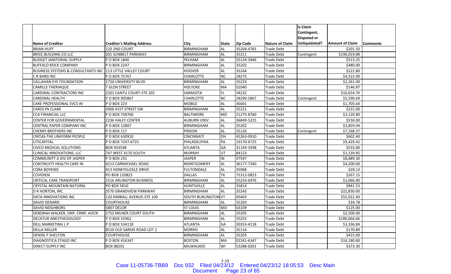|                                               |                                   |                            |              |                 |                        | Is Claim           |                        |                 |
|-----------------------------------------------|-----------------------------------|----------------------------|--------------|-----------------|------------------------|--------------------|------------------------|-----------------|
|                                               |                                   |                            |              |                 |                        | Contingent,        |                        |                 |
|                                               |                                   |                            |              |                 |                        | <b>Disputed or</b> |                        |                 |
| <b>Name of Creditor</b>                       | <b>Creditor's Mailing Address</b> | City                       | <b>State</b> | <b>Zip Code</b> | <b>Nature of Claim</b> | Unliquidated?      | <b>Amount of Claim</b> | <b>Comments</b> |
| <b>BRIAN HUFF</b>                             | 120 2ND COURT                     | <b>BIRMINGHAM</b>          | AL           | 35204-4765      | <b>Trade Debt</b>      |                    | \$201.50               |                 |
| <b>BRICE BUILDING CO LLC</b>                  | <b>201 SUNBELT PARKWAY</b>        | <b>BIRMINGHAM</b>          | AL.          | 35211           | <b>Trade Debt</b>      | Contingent         | \$196,019.88           |                 |
| <b>BUDGET JANITORIAL SUPPLY</b>               | P O BOX 1846                      | PELHAM                     | AL           | 35124-5846      | <b>Trade Debt</b>      |                    | \$513.25               |                 |
| <b>BUFFALO ROCK COMPANY</b>                   | P O BOX 2247                      | <b>BIRMINGHAM</b>          | <b>AL</b>    | 35202           | <b>Trade Debt</b>      |                    | \$480.00               |                 |
| <b>BUSINESS SYSTEMS &amp; CONSULTANTS INC</b> | 113 LITTLE VALLEY COURT           | <b>HOOVER</b>              | AL           | 35244           | Trade Debt             |                    | \$222.80               |                 |
| C R BARD INC                                  | P O BOX 75767                     | <b>CHARLOTTE</b>           | <b>NC</b>    | 28275           | Trade Debt             |                    | \$4,515.00             |                 |
| CALLAHAN EYE FOUNDATION                       | 1720 UNIVERSITY BLVD              | <b>BIRMINGHAM</b>          | <b>AL</b>    | 35233           | Trade Debt             |                    | \$2,261.00             |                 |
| CAMILLE THERIAQUE                             | 7 GLEN STREET                     | HOLYOKE                    | MA           | 01040           | Trade Debt             |                    | \$146.87               |                 |
| CARDINAL CONTRACTORS INC                      | 2201 CANTU COURT-STE 202          | SARASOTA                   | FL.          | 34232           | <b>Trade Debt</b>      |                    | \$10,654.70            |                 |
| <b>CARDINAL HEALTH</b>                        | P O BOX 905867                    | <b>CHARLOTTE</b>           | <b>NC</b>    | 28290-5867      | <b>Trade Debt</b>      | Contingent         | \$5,590.69             |                 |
| CARE PROFESSIONAL SVCS IN                     | P O BOX 223                       | <b>MOBILE</b>              | AL           | 36601           | <b>Trade Debt</b>      |                    | \$1,705.64             |                 |
| CAROLYN CLARK                                 | 3900 41ST STREET SW               | <b>BIRMINGHAM</b>          | <b>AL</b>    | 35221           | Trade Debt             |                    | \$215.00               |                 |
| CCA FINANCIAL LLC                             | P O BOX 758760                    | <b>BALTIMORE</b>           | <b>MD</b>    | 21275-8760      | <b>Trade Debt</b>      |                    | \$3,120.80             |                 |
| <b>CENTER FOR GOVERNMENTAL</b>                | 2236 HALEY CENTER                 | <b>AUBURN UNIV</b>         | <b>AL</b>    | 36849-5225      | <b>Trade Debt</b>      |                    | \$550.00               |                 |
| CENTRAL PAPER COMPANY INC                     | P O BOX 12807                     | <b>BIRMINGHAM</b>          | <b>AL</b>    | 35202           | <b>Trade Debt</b>      |                    | \$3,859.94             |                 |
| <b>CHERRY BROTHERS INC</b>                    | P O BOX 117                       | PINSON                     | <b>AL</b>    | 35126           | <b>Trade Debt</b>      | Contingent         | \$7,268.37             |                 |
| <b>CINTAS-THE UNIFORM PEOPLE</b>              | PO BOX 630910                     | <b>CINCINNATI</b>          | HO           | 45263-0910      | Trade Debt             |                    | \$602.40               |                 |
| CITICAPITAL                                   | POBOX 7247-6725                   | PHILADELPHIA               | PA           | 19170-6725      | Trade Debt             |                    | \$9,429.42             |                 |
| <b>CIVCO MEDICAL SOLUTIONS</b>                | BOX 933598                        | <b>ATLANTA</b>             | GA           | 31193-3598      | Trade Debt             |                    | \$533.00               |                 |
| CLINICAL INNOVATIONS, LLC                     | 747 WEST 4170 SOUTH               | <b>MURRAY</b>              | UT           | 84123           | Trade Debt             |                    | \$1,139.85             |                 |
| COMMUNITY A DIV OF JASPER                     | P O BOX 231                       | <b>JASPER</b>              | IN           | 47547           | Trade Debt             |                    | \$8,889.30             |                 |
| CONTINUITY HEALTH CARE IN                     | 4212 CARMICHAEL ROAD              | <b>MONTGOMERY</b>          | AL           | 36177-7340      | <b>Trade Debt</b>      |                    | \$4,200.00             |                 |
| <b>CORA BOYKINS</b>                           | 913 HONEYSUCKLE DRIVE             | <b>FULTONDALE</b>          | AL           | 35068           | Trade Debt             |                    | \$28.13                |                 |
| <b>COVIDIEN</b>                               | PO BOX 120823                     | <b>DALLAS</b>              | <b>TX</b>    | 75312-0823      | Trade Debt             |                    | \$267.15               |                 |
| <b>CRITICAL CARE TRANSPORT</b>                | <b>1516 ARLINGTON BUSINESS</b>    | <b>BIRMINGHAM</b>          | AL           | 35233-6976      | <b>Trade Debt</b>      |                    | \$1,066.00             |                 |
| CRYSTAL MOUNTAIN NATURAL                      | PO BOX 5810                       | <b>HUNTSVILLE</b>          | <b>AL</b>    | 35814           | <b>Trade Debt</b>      |                    | \$841.53               |                 |
| D R HORTON, INC.                              | 3570 GRANDVIEW PARKWAY            | <b>BIRMINGHAM</b>          | AL           | 35243           | <b>Trade Debt</b>      |                    | \$22,830.00            |                 |
| DATA INNOVATIONS INC                          | 120 KIMBALL AVENUE-STE 100        | <b>SOUTH BURLINGTON VT</b> |              | 05403           | Trade Debt             |                    | \$55,022.40            |                 |
| <b>DAVID DENARD</b>                           | <b>COURTHOUSE</b>                 | <b>BIRMINGHAM</b>          | <b>AL</b>    | 35203           | Trade Debt             |                    | \$34.78                |                 |
| <b>DAVID NEIGHBORS</b>                        | <b>5807 DELOR</b>                 | <b>ST LOUIS</b>            | <b>MO</b>    | 63109           | Trade Debt             |                    | \$125.00               |                 |
| DEBORAH WALKER, DNP, CRNP, AOCN               | 2752 MILNER COURT SOUTH           | <b>BIRMINGHAM</b>          | AL           | 35205           | <b>Trade Debt</b>      |                    | \$2,500.00             |                 |
| <b>DECATUR ANESTHESIOLOGY</b>                 | P O BOX 55962                     | <b>BIRMINGHAM</b>          | <b>AL</b>    | 35255           | <b>Trade Debt</b>      |                    | \$180,666.66           |                 |
| <b>DELL MARKETING L P</b>                     | P O BOX 534118                    | <b>ATLANTA</b>             | GA           | 30353-4118      | <b>Trade Debt</b>      |                    | \$3,336.84             |                 |
| <b>DELLA MILLER</b>                           | 8510 OLD SARDIS ROAD LOT 2        | <b>MORRIS</b>              | AL           | 35116           | Trade Debt             |                    | \$170.89               |                 |
| <b>DENISE P SHELTON</b>                       | COURTHOUSE                        | <b>BIRMINGHAM</b>          | AL           | 35203           | Trade Debt             |                    | \$415.00               |                 |
| DIAGNOSTICA STAGO INC                         | PO BOX 416347                     | <b>BOSTON</b>              | MA           | 02241-6347      | Trade Debt             |                    | \$16,180.80            |                 |
| DIRECT SUPPLY INC                             | BOX 88201                         | MILWAUKEE                  | WI           | 53288-0201      | <b>Trade Debt</b>      |                    | \$373.30               |                 |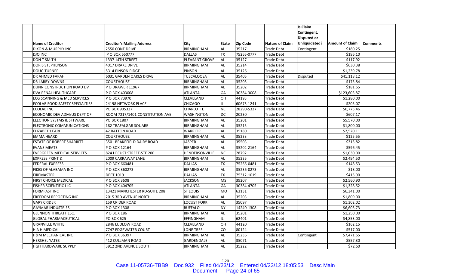|                                        |                                   |                    |              |                 |                        | Is Claim           |                        |                 |
|----------------------------------------|-----------------------------------|--------------------|--------------|-----------------|------------------------|--------------------|------------------------|-----------------|
|                                        |                                   |                    |              |                 |                        | Contingent,        |                        |                 |
|                                        |                                   |                    |              |                 |                        | <b>Disputed or</b> |                        |                 |
| <b>Name of Creditor</b>                | <b>Creditor's Mailing Address</b> | City               | <b>State</b> | <b>Zip Code</b> | <b>Nature of Claim</b> | Unliquidated?      | <b>Amount of Claim</b> | <b>Comments</b> |
| <b>DIXON &amp; MURPHY INC</b>          | 2550 CONE DRIVE                   | <b>BIRMINGHAM</b>  | AL           | 35217           | Trade Debt             | Contingent         | \$180.25               |                 |
| <b>DJO INC</b>                         | P O BOX 650777                    | <b>DALLAS</b>      | <b>TX</b>    | 75265-0777      | <b>Trade Debt</b>      |                    | \$196.10               |                 |
| <b>DON T SMITH</b>                     | 1337 14TH STREET                  | PLEASANT GROVE     | <b>AL</b>    | 35127           | Trade Debt             |                    | \$117.92               |                 |
| <b>DORIS STEPHENSON</b>                | 4017 DRAKE DRIVE                  | <b>BIRMINGHAM</b>  | <b>AL</b>    | 35214           | <b>Trade Debt</b>      |                    | \$630.38               |                 |
| <b>DOUG TURNER</b>                     | 5314 PINSON RIDGE                 | PINSON             | AL           | 35126           | <b>Trade Debt</b>      |                    | \$1,239.78             |                 |
| DR AHMED FARAH                         | <b>6031 GARDEN OAKES DRIVE</b>    | <b>TUSCALOOSA</b>  | <b>AL</b>    | 35405           | <b>Trade Debt</b>      | Disputed           | \$41,118.12            |                 |
| DR LARRY DOWNS                         | <b>COURTHOUSE</b>                 | <b>BIRMINGHAM</b>  | AL           | 35203           | Trade Debt             |                    | \$175.84               |                 |
| DUNN CONSTRUCTION ROAD DV              | <b>PO DRAWER 11967</b>            | <b>BIRMINGHAM</b>  | AL.          | 35202           | Trade Debt             |                    | \$181.65               |                 |
| DVA RENAL HEALTHCARE                   | P O BOX 403008                    | <b>ATLANTA</b>     | GA           | 30384-3008      | <b>Trade Debt</b>      |                    | \$123,603.87           |                 |
| <b>ECG SCANNING &amp; MED SERVICES</b> | P O BOX 73970                     | CLEVELAND          | <b>OH</b>    | 44193           | <b>Trade Debt</b>      |                    | \$1,280.00             |                 |
| <b>ECOLAB FOOD SAFETY SPECIALTIES</b>  | 24198 NETWORK PLACE               | <b>CHICAGO</b>     |              | 60673-1241      | <b>Trade Debt</b>      |                    | \$205.07               |                 |
| <b>ECOLAB INC</b>                      | PO BOX 905327                     | <b>CHARLOTTE</b>   | <b>NC</b>    | 28290-5327      | <b>Trade Debt</b>      |                    | \$6,775.46             |                 |
| ECONOMIC DEV ADM/US DEPT OF            | ROOM 7217/1401 CONSTITUTION AVE   | <b>WASHINGTON</b>  | <b>DC</b>    | 20230           | Trade Debt             |                    | \$607.17               |                 |
| <b>ELECTION SYSTMS &amp; SFTWARE</b>   | PO BOX 1807                       | <b>BIRMINGHAM</b>  | <b>AL</b>    | 35201           | <b>Trade Debt</b>      |                    | \$5,570.00             |                 |
| ELECTRONIC COMMUNICATIONS              | 182 TRAFALGAR SQUARE              | <b>BIRMINGHAM</b>  | AL           | 35215           | <b>Trade Debt</b>      |                    | \$1,800.00             |                 |
| <b>ELIZABETH EARL</b>                  | <b>42 BATTON ROAD</b>             | <b>WARRIOR</b>     | <b>AL</b>    | 35180           | <b>Trade Debt</b>      |                    | \$2,520.11             |                 |
| <b>EMMA HEARD</b>                      | <b>COURTHOUSE</b>                 | <b>BIRMINGHAM</b>  | <b>AL</b>    | 35233           | Trade Debt             |                    | \$125.55               |                 |
| <b>ESTATE OF ROBERT SHARRITT</b>       | 3501 BRAKEFIELD DAIRY ROAD        | <b>JASPER</b>      | <b>AL</b>    | 35503           | Trade Debt             |                    | \$315.82               |                 |
| <b>EVANS MEATS</b>                     | P O BOX 12164                     | <b>BIRMINGHAM</b>  | AL           | 35202-2164      | Trade Debt             |                    | \$596.45               |                 |
| <b>EVERGREEN MEDICAL SERVICES</b>      | 824 LOCUST STREET-STE 200         | HENDERSONVILLE     | <b>NC</b>    | 28792           | <b>Trade Debt</b>      |                    | \$1,030.00             |                 |
| <b>EXPRESS PRINT &amp;</b>             | 2009 CARRAWAY LANE                | <b>BIRMINGHAM</b>  | <b>AL</b>    | 35235           | <b>Trade Debt</b>      |                    | \$2,494.50             |                 |
| <b>FEDERAL EXPRESS</b>                 | PO BOX 660481                     | <b>DALLAS</b>      | <b>TX</b>    | 75266-0481      | <b>Trade Debt</b>      |                    | \$148.53               |                 |
| FIKES OF ALABAMA INC                   | PO BOX 360273                     | <b>BIRMINGHAM</b>  | AL           | 35236-0273      | <b>Trade Debt</b>      |                    | \$13.00                |                 |
| <b>FIREMASTER</b>                      | <b>DEPT 1019</b>                  | <b>DALLAS</b>      | <b>TX</b>    | 75312-1019      | Trade Debt             |                    | \$415.90               |                 |
| FIRST CHOICE MEDICAL                   | P O BOX 3608                      | <b>JACKSON</b>     | MS           | 39207           | Trade Debt             |                    | \$2,560.90             |                 |
| FISHER SCIENTIFIC LLC                  | PO BOX 404705                     | <b>ATLANTA</b>     | GA           | 30384-4705      | <b>Trade Debt</b>      |                    | \$1,328.52             |                 |
| <b>FORMFAST INC</b>                    | 13421 MANCHESTER RD-SUITE 208     | <b>ST LOUIS</b>    | <b>MO</b>    | 63131           | <b>Trade Debt</b>      |                    | \$6,341.00             |                 |
| FREEDOM REPORTING INC                  | 2015 3RD AVENUE NORTH             | <b>BIRMINGHAM</b>  | AL           | 35203           | Trade Debt             |                    | \$1,809.00             |                 |
| <b>GARY CRIDER</b>                     | 159 CRIDER ROAD                   | <b>LOCUST FORK</b> | AL           | 35097           | Trade Debt             |                    | \$1,302.02             |                 |
| <b>GAYMAR INDUSTRIES</b>               | P O BOX 1308                      | <b>BUFFALO</b>     | <b>NY</b>    | 14240-1308      | Trade Debt             |                    | \$6,603.73             |                 |
| <b>GLENNON THREATT ESQ</b>             | P O BOX 186                       | <b>BIRMINGHAM</b>  | AL           | 35201           | Trade Debt             |                    | \$1,250.00             |                 |
| <b>GLOBAL PHARMACEUTICAL</b>           | PO BOX 625                        | EFFINGHAM          | IL           | 62401           | <b>Trade Debt</b>      |                    | \$4,853.00             |                 |
| <b>GRANVILLE WHITE</b>                 | 2846 LUDLOW ROAD                  | CLEVELAND          | OH           | 44120           | Trade Debt             |                    | \$162.15               |                 |
| <b>HAHMEDICAL</b>                      | 7747 EDGEWATER COURT              | <b>LONE TREE</b>   | CO           | 80124           | <b>Trade Debt</b>      |                    | \$517.00               |                 |
| <b>H&amp;M MECHANICAL INC</b>          | P O BOX 36397                     | <b>BIRMINGHAM</b>  | AL           | 35236           | Trade Debt             | Contingent         | \$7,471.65             |                 |
| <b>HERSHEL YATES</b>                   | 412 CULLMAN ROAD                  | GARDENDALE         | AL           | 35071           | Trade Debt             |                    | \$557.30               |                 |
| <b>HGH HARDWARE SUPPLY</b>             | 3912 2ND AVENUE SOUTH             | <b>BIRMINGHAM</b>  | AL           | 35222           | <b>Trade Debt</b>      |                    | \$72.60                |                 |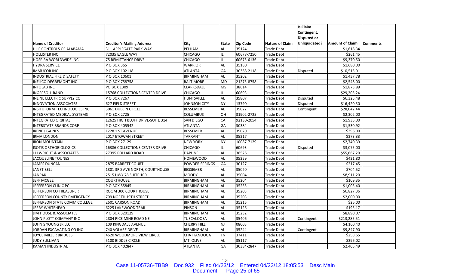|                                     |                                       |                       |              |                 |                        | <b>Is Claim</b>    |                        |                 |
|-------------------------------------|---------------------------------------|-----------------------|--------------|-----------------|------------------------|--------------------|------------------------|-----------------|
|                                     |                                       |                       |              |                 |                        | Contingent,        |                        |                 |
|                                     |                                       |                       |              |                 |                        | <b>Disputed or</b> |                        |                 |
| <b>Name of Creditor</b>             | <b>Creditor's Mailing Address</b>     | City                  | <b>State</b> | <b>Zip Code</b> | <b>Nature of Claim</b> | Unliquidated?      | <b>Amount of Claim</b> | <b>Comments</b> |
| HILE CONTROLS OF ALABAMA            | 311 APPLEGATE PARK WAY                | PELHAM                | AL           | 35124           | <b>Trade Debt</b>      |                    | \$1,618.34             |                 |
| <b>HOLLISTER INC</b>                | 72035 EAGLE WAY                       | <b>CHICAGO</b>        | IL           | 60678-7250      | <b>Trade Debt</b>      |                    | \$261.45               |                 |
| HOSPIRA WORLDWIDE INC               | <b>75 REMITTANCE DRIVE</b>            | <b>CHICAGO</b>        | IL.          | 60675-6136      | <b>Trade Debt</b>      |                    | \$9,370.50             |                 |
| <b>HYDRA SERVICE</b>                | P O BOX 365                           | <b>WARRIOR</b>        | <b>AL</b>    | 35180           | <b>Trade Debt</b>      |                    | \$1,680.00             |                 |
| <b>IMMUCOR INC</b>                  | PO BOX 102118                         | <b>ATLANTA</b>        | GA           | 30368-2118      | Trade Debt             | Disputed           | \$10,515.01            |                 |
| <b>INDUSTRIAL FIRE &amp; SAFETY</b> | P O BOX 10601                         | <b>BIRMINGHAM</b>     | <b>AL</b>    | 35202           | <b>Trade Debt</b>      |                    | \$1,437.78             |                 |
| <b>INFILCO DEGREMONT INC</b>        | P O BOX 758758                        | <b>BALTIMORE</b>      | <b>MD</b>    | 21275-8758      | <b>Trade Debt</b>      |                    | \$2,548.00             |                 |
| <b>INFOLAB INC</b>                  | PO BOX 1309                           | CLARKSDALE            | <b>MS</b>    | 38614           | <b>Trade Debt</b>      |                    | \$1,873.89             |                 |
| <b>INGERSOLL RAND</b>               | <b>15768 COLLECTIONS CENTER DRIVE</b> | <b>CHICAGO</b>        | IL.          | 60693           | <b>Trade Debt</b>      |                    | \$29,205.24            |                 |
| <b>INLINE ELECTRIC SUPPLY CO</b>    | P O BOX 7267                          | <b>HUNTSVILLE</b>     | <b>AL</b>    | 35807           | <b>Trade Debt</b>      | Disputed           | \$6,325.48             |                 |
| <b>INNOVATION ASSOCIATES</b>        | 627 FIELD STREET                      | <b>JOHNSON CITY</b>   | <b>NY</b>    | 13790           | <b>Trade Debt</b>      | Disputed           | \$16,420.50            |                 |
| <b>INSITUFORM TECHNOLOGIES INC</b>  | 3061 DUBLIN CIRCLE                    | <b>BESSEMER</b>       | <b>AL</b>    | 35022           | <b>Trade Debt</b>      | Contingent         | \$28,042.44            |                 |
| INTEGRATED MEDICAL SYSTEMS          | P O BOX 2725                          | COLUMBUS              | OH           | 31902-2725      | <b>Trade Debt</b>      |                    | \$2,302.00             |                 |
| <b>INTEGRATED ORBITAL</b>           | 12625 HIGH BLUFF DRIVE-SUITE 314      | <b>SAN DIEGO</b>      | CA           | 92130-2054      | <b>Trade Debt</b>      |                    | \$1,935.00             |                 |
| <b>INTERSTATE BRANDS CORP</b>       | P O BOX 405542                        | <b>ATLANTA</b>        | GA           | 30384           | <b>Trade Debt</b>      |                    | \$1,530.92             |                 |
| <b>IRENE J GAINES</b>               | 1228 1 ST AVENUE                      | <b>BESSEMER</b>       | <b>AL</b>    | 35020           | <b>Trade Debt</b>      |                    | \$396.00               |                 |
| <b>IRMA LONDON</b>                  | 2017 ETOWAH STREET                    | <b>TARRANT</b>        | <b>AL</b>    | 35217           | <b>Trade Debt</b>      |                    | \$373.33               |                 |
| <b>IRON MOUNTAIN</b>                | P O BOX 27129                         | <b>NEW YORK</b>       | <b>NY</b>    | 10087-7129      | <b>Trade Debt</b>      |                    | \$2,740.39             |                 |
| <b>ISOTIS ORTHOBIOLOGICS</b>        | 16386 COLLECTIONS CENTER DRIVE        | <b>CHICAGO</b>        | IL.          | 60693           | Trade Debt             | Disputed           | \$3,075.00             |                 |
| J H WRIGHT & ASSOCIATES             | 27395 POLLARD ROAD                    | <b>DAPHNE</b>         | <b>AL</b>    | 36526           | <b>Trade Debt</b>      |                    | \$55,667.20            |                 |
| <b>JACQUELINE TOUNES</b>            |                                       | <b>HOMEWOOD</b>       | AL           | 35259           | <b>Trade Debt</b>      |                    | \$421.80               |                 |
| <b>JAMES DUNCAN</b>                 | <b>2875 BARRETT COURT</b>             | <b>POWDER SPRINGS</b> | GA           | 30127           | <b>Trade Debt</b>      |                    | \$217.45               |                 |
| <b>JANET BELL</b>                   | 1801 3RD AVE NORTH, COURTHOUSE        | <b>BESSEMER</b>       | AL           | 35020           | <b>Trade Debt</b>      |                    | \$704.52               |                 |
| <b>JANPAK</b>                       | 2515 HWY 78 SUITE 100                 | <b>MOODY</b>          | AL.          | 35004           | <b>Trade Debt</b>      |                    | \$8,911.20             |                 |
| <b>JEFF MCGEE</b>                   | COURTHOUSE                            | <b>BIRMINGHAM</b>     | <b>AL</b>    | 35204           | Trade Debt             |                    | \$109.35               |                 |
| JEFFERSON CLINIC PC                 | P O BOX 55845                         | <b>BIRMINGHAM</b>     | <b>AL</b>    | 35255           | <b>Trade Debt</b>      |                    | \$1,005.40             |                 |
| JEFFERSON CO TREASURER              | ROOM 300 COURTHOUSE                   | <b>BIRMINGHAM</b>     | <b>AL</b>    | 35203           | <b>Trade Debt</b>      |                    | \$6,827.36             |                 |
| JEFFERSON COUNTY EMERGENCY          | 709 NORTH 19TH STREET                 | <b>BIRMINGHAM</b>     | <b>AL</b>    | 35203           | <b>Trade Debt</b>      |                    | \$2,000.00             |                 |
| JEFFERSON STATE COMM COLLEGE        | 2601 CARSON ROAD                      | <b>BIRMINGHAM</b>     | <b>AL</b>    | 35215           | Trade Debt             |                    | \$25.00                |                 |
| JERRY WHITEHEAD                     | 6225 LAKEWOOD TRAIL                   | <b>PINSON</b>         | AL.          | 35126           | Trade Debt             |                    | \$195.17               |                 |
| <b>JIM HOUSE &amp; ASSOCIATES</b>   | P O BOX 320129                        | <b>BIRMINGHAM</b>     | <b>AL</b>    | 35232           | <b>Trade Debt</b>      |                    | \$8,890.07             |                 |
| JOHN PLOTT COMPANY INC              | 2804 RICE MINE ROAD NE                | <b>TUSCALOOSA</b>     | AL           | 35406           | <b>Trade Debt</b>      | Contingent         | \$213,285.51           |                 |
| JOHN S YOUNG JR LLC                 | 109 KINGDALE AVENUE                   | <b>CHERRY HILL</b>    | <b>NJ</b>    | 08003           | <b>Trade Debt</b>      |                    | \$4,160.40             |                 |
| JORDAN EXCAVATING CO INC            | 740 VOLARE DRIVE                      | <b>BIRMINGHAM</b>     | <b>AL</b>    | 35244           | Trade Debt             | Contingent         | \$9,847.90             |                 |
| JOYCE MILLER BRIDGES                | 4620 WOODMORE VIEW CIRCLE             | CHATTANOOGA           | <b>TN</b>    | 37411           | Trade Debt             |                    | \$258.65               |                 |
| JUDY SULLIVAN                       | 5100 BIDDLE CIRCLE                    | MT. OLIVE             | AL           | 35117           | <b>Trade Debt</b>      |                    | \$396.02               |                 |
| KAMAN INDUSTRIAL                    | P O BOX 402847                        | ATLANTA               | GA           | 30384-2847      | <b>Trade Debt</b>      |                    | \$2,405.49             |                 |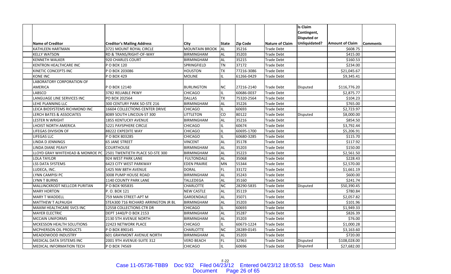|                                  |                                     |                       |              |                 |                        | <b>Is Claim</b>    |                        |                 |
|----------------------------------|-------------------------------------|-----------------------|--------------|-----------------|------------------------|--------------------|------------------------|-----------------|
|                                  |                                     |                       |              |                 |                        | Contingent,        |                        |                 |
|                                  |                                     |                       |              |                 |                        | <b>Disputed or</b> |                        |                 |
| <b>Name of Creditor</b>          | <b>Creditor's Mailing Address</b>   | City                  | <b>State</b> | <b>Zip Code</b> | <b>Nature of Claim</b> | Unliquidated?      | <b>Amount of Claim</b> | <b>Comments</b> |
| KATHLEEN HARTMAN                 | 3721 MOUNT ROYAL CIRCLE             | <b>MOUNTAIN BROOK</b> | AL           | 35216           | <b>Trade Debt</b>      |                    | \$608.75               |                 |
| <b>KELLY WATSON</b>              | RD & TRANS/RIGHT-OF-WAY             | <b>BIRMINGHAM</b>     | AL.          | 35203           | <b>Trade Debt</b>      |                    | \$415.00               |                 |
| <b>KENNETH WALKER</b>            | 920 CHARLES COURT                   | <b>BIRMINGHAM</b>     | <b>AL</b>    | 35215           | Trade Debt             |                    | \$160.53               |                 |
| KENTRON HEALTHCARE INC           | P O BOX 120                         | SPRINGFIELD           | <b>TN</b>    | 37172           | <b>Trade Debt</b>      |                    | \$234.00               |                 |
| KINETIC CONCEPTS INC             | P O BOX 203086                      | <b>HOUSTON</b>        | ТX           | 77216-3086      | <b>Trade Debt</b>      |                    | \$21,045.67            |                 |
| <b>KONE INC</b>                  | P O BOX 429                         | <b>MOLINE</b>         | IL.          | 61266-0429      | <b>Trade Debt</b>      |                    | \$9,345.41             |                 |
| LABORATORY CORPORATION OF        |                                     |                       |              |                 |                        |                    |                        |                 |
| AMERICA                          | P O BOX 12140                       | <b>BURLINGTON</b>     | NС           | 27216-2140      | <b>Trade Debt</b>      | Disputed           | \$116,776.20           |                 |
| LABSCO                           | 3782 RELIABLE PKWY                  | <b>CHICAGO</b>        | IL.          | 60686-0037      | <b>Trade Debt</b>      |                    | \$2,875.77             |                 |
| LANGUAGE LINE SERVICES INC       | PO BOX 202564                       | <b>DALLAS</b>         | <b>TX</b>    | 75320-2564      | <b>Trade Debt</b>      |                    | \$104.23               |                 |
| LEHE PLANNING LLC                | 300 CENTURY PARK SO-STE 216         | <b>BIRMINGHAM</b>     | <b>AL</b>    | 35226           | <b>Trade Debt</b>      |                    | \$765.00               |                 |
| LEICA BIOSYSTEMS RICHMOND INC    | 16604 COLLECTIONS CENTER DRIVE      | <b>CHICAGO</b>        | IL.          | 60693           | <b>Trade Debt</b>      |                    | \$2,723.97             |                 |
| LERCH BATES & ASSOCIATES         | 8089 SOUTH LINCOLN-ST 300           | LITTLETON             | CO           | 80122           | <b>Trade Debt</b>      | <b>Disputed</b>    | \$8,000.00             |                 |
| <b>LESTER N WRIGHT</b>           | <b>1855 KENTUCKY AVENUE</b>         | <b>BIRMINGHAM</b>     | <b>AL</b>    | 35216           | Trade Debt             |                    | \$854.50               |                 |
| LHOIST NORTH AMERICA             | 5221 PAYSPHERE CIRCLE               | <b>CHICAGO</b>        |              | 60674           | <b>Trade Debt</b>      |                    | \$3,792.44             |                 |
| LIFEGAS DIVISION OF              | 88222 EXPEDITE WAY                  | <b>CHICAGO</b>        | IL.          | 60695-1700      | <b>Trade Debt</b>      |                    | \$5,206.91             |                 |
| LIFEGAS LLC                      | P O BOX 803285                      | CHICAGO               | IL.          | 60680-3285      | <b>Trade Debt</b>      |                    | \$115.70               |                 |
| <b>LINDA D JENNINGS</b>          | <b>65 JANE STREET</b>               | <b>VINCENT</b>        | <b>AL</b>    | 35178           | Trade Debt             |                    | \$117.92               |                 |
| LINDA DIANE PEAVY                | <b>COURTHOUSE</b>                   | <b>BIRMINGHAM</b>     | AL           | 35203           | Trade Debt             |                    | \$150.00               |                 |
| LLOYD GRAY WHITEHEAD & MONROE PC | 2501 TWENTIETH PLACE SO-STE 300     | <b>BIRMINGHAM</b>     | <b>AL</b>    | 35223           | <b>Trade Debt</b>      |                    | \$2,561.50             |                 |
| <b>LOLA TAYLOR</b>               | 924 WEST PARK LANE                  | <b>FULTONDALE</b>     | <b>AL</b>    | 35068           | <b>Trade Debt</b>      |                    | \$228.43               |                 |
| <b>LSS DATA SYSTEMS</b>          | 6423 CITY WEST PARKWAY              | <b>EDEN PRAIRIE</b>   | MN           | 55344           | <b>Trade Debt</b>      |                    | \$2,570.00             |                 |
| LUDECA, INC.                     | 1425 NW 88TH AVENUE                 | <b>DORAL</b>          | FL.          | 33172           | Trade Debt             |                    | \$1,661.19             |                 |
| LYNN CAMPISI PC                  | 3008 PUMP HOUSE ROAD                | <b>BIRMINGHAM</b>     | <b>AL</b>    | 35243           | Trade Debt             |                    | \$600.00               |                 |
| LYNN T BURNS                     | <b>1140 COUNTY PARK LANE</b>        | TALLEDEGA             | <b>AL</b>    | 35160           | Trade Debt             |                    | \$241.74               |                 |
| MALLINCKRODT NELLCOR PURITAN     | P O BOX 905835                      | CHARLOTTE             | <b>NC</b>    | 28290-5835      | <b>Trade Debt</b>      | <b>Disputed</b>    | \$50,390.45            |                 |
| <b>MARY HORTON</b>               | P.O. BOX 121                        | <b>NEW CASTLE</b>     | AL           | 35119           | <b>Trade Debt</b>      |                    | \$780.84               |                 |
| <b>MARY T WADDELL</b>            | 759 MAIN STREET-APT M               | <b>GARDENDALE</b>     | <b>AL</b>    | 35071           | <b>Trade Debt</b>      |                    | \$2,057.82             |                 |
| <b>MATTHEW T ALPAUGH</b>         | STEA300 716 RICHARD ARRINGTON JR BL | <b>BIRMINGHAM</b>     | <b>AL</b>    | 35203           | Trade Debt             |                    | \$101.96               |                 |
| MAXIM HEALTHCARE SVCS INC        | 12558 COLLECTIONS CTR DR            | <b>CHICAGO</b>        | IL.          | 60693           | Trade Debt             |                    | \$1,949.33             |                 |
| <b>MAYER ELECTRIC</b>            | DEPT 1440/P O BOX 2153              | <b>BIRMINGHAM</b>     | <b>AL</b>    | 35287           | Trade Debt             |                    | \$826.39               |                 |
| <b>MCCAIN UNIFORMS</b>           | 2130 5TH AVENUE NORTH               | <b>BIRMINGHAM</b>     | <b>AL</b>    | 35203           | <b>Trade Debt</b>      |                    | \$76.00                |                 |
| MCKESSON HEALTH SOLUTIONS        | 22423 NETWORK PLACE                 | <b>CHICAGO</b>        | IL           | 60673-1224      | <b>Trade Debt</b>      |                    | \$1,000.28             |                 |
| MCPHERSON OIL PRODUCTS           | P O BOX 890145                      | CHARLOTTE             | <b>NC</b>    | 28289-0145      | <b>Trade Debt</b>      |                    | \$3,163.60             |                 |
| MEADOWOOD INDUSTRY               | <b>601 GRAYMONT AVENUE NORTH</b>    | <b>BIRMINGHAM</b>     | <b>AL</b>    | 35203           | Trade Debt             |                    | \$720.00               |                 |
| MEDICAL DATA SYSTEMS INC         | 2001 9TH AVENUE-SUITE 312           | <b>VERO BEACH</b>     | FL.          | 32963           | Trade Debt             | Disputed           | \$108,028.00           |                 |
| MEDICAL INFORMATION TECH         | P O BOX 74569                       | <b>CHICAGO</b>        | IL.          | 60696           | <b>Trade Debt</b>      | Disputed           | \$27,682.00            |                 |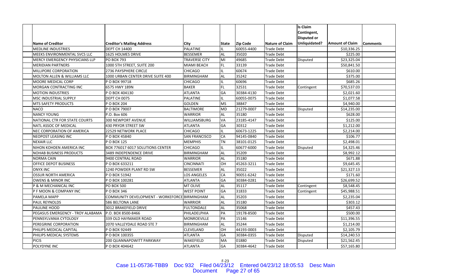|                                  |                                               |                      |              |                 |                        | <b>Is Claim</b>    |                        |                 |
|----------------------------------|-----------------------------------------------|----------------------|--------------|-----------------|------------------------|--------------------|------------------------|-----------------|
|                                  |                                               |                      |              |                 |                        | Contingent,        |                        |                 |
|                                  |                                               |                      |              |                 |                        | <b>Disputed or</b> |                        |                 |
| <b>Name of Creditor</b>          | <b>Creditor's Mailing Address</b>             | City                 | <b>State</b> | <b>Zip Code</b> | <b>Nature of Claim</b> | Unliquidated?      | <b>Amount of Claim</b> | <b>Comments</b> |
| <b>MEDLINE INDUSTRIES</b>        | <b>DEPT CH 14400</b>                          | <b>PALATINE</b>      | IL.          | 60055-4400      | <b>Trade Debt</b>      |                    | \$10,336.25            |                 |
| MEEKS ENVIRONMENTAL SVCS LLC     | <b>1625 HOLMES DRIVE</b>                      | <b>BESSEMER</b>      | <b>AL</b>    | 35020           | <b>Trade Debt</b>      |                    | \$225.00               |                 |
| MERCY EMERGENCY PHYSICIANS LLP   | <b>PO BOX 793</b>                             | <b>TRAVERSE CITY</b> | MI           | 49685           | <b>Trade Debt</b>      | Disputed           | \$23,325.04            |                 |
| <b>MERIDIAN PARTNERS</b>         | 1000 5TH STREET, SUITE 200                    | MIAMI BEACH          | <b>FL</b>    | 33139           | <b>Trade Debt</b>      |                    | \$50,841.50            |                 |
| MILLIPORE CORPORATION            | 2736 PAYSPHERE CIRCLE                         | <b>CHICAGO</b>       | IL.          | 60674           | <b>Trade Debt</b>      |                    | \$610.00               |                 |
| MOLTON ALLEN & WILLIAMS LLC      | 1000 URBAN CENTER DRIVE SUITE 400             | <b>BIRMINGHAM</b>    | AL           | 35242           | <b>Trade Debt</b>      |                    | \$375.00               |                 |
| MOORE MEDICAL CORP               | P O BOX 99718                                 | <b>CHICAGO</b>       | IL           | 60696           | <b>Trade Debt</b>      |                    | \$685.26               |                 |
| MORGAN CONTRACTING INC           | 6575 HWY 189N                                 | <b>BAKER</b>         | <b>FL</b>    | 32531           | <b>Trade Debt</b>      | Contingent         | \$70,537.03            |                 |
| <b>MOTION INDUSTRIES</b>         | P O BOX 404130                                | <b>ATLANTA</b>       | GA           | 30384-4130      | <b>Trade Debt</b>      |                    | \$2,021.60             |                 |
| <b>MSC INDUSTRIAL SUPPLY</b>     | DEPT CH 0075                                  | <b>PALATINE</b>      | IL           | 60055-0075      | <b>Trade Debt</b>      |                    | \$1,077.58             |                 |
| <b>MTS SAFETY PRODUCTS</b>       | P O BOX 204                                   | GOLDEN               | <b>MS</b>    | 38847           | <b>Trade Debt</b>      |                    | \$4,940.00             |                 |
| <b>NACO</b>                      | P O BOX 79007                                 | <b>BALTIMORE</b>     | <b>MD</b>    | 21279-0007      | <b>Trade Debt</b>      | Disputed           | \$14,235.00            |                 |
| <b>NANCY YOUNG</b>               | P.O. Box 606                                  | WARRIOR              | <b>AL</b>    | 35180           | <b>Trade Debt</b>      |                    | \$628.00               |                 |
| NATIONAL CTR FOR STATE COURTS    | <b>300 NEWPORT AVENUE</b>                     | WILLIAMSBURG         | VA           | 23185-4147      | <b>Trade Debt</b>      |                    | \$125.00               |                 |
| NATL ASSOC OF MEDICAL            | 430 PRYOR STREET SW                           | <b>ATLANTA</b>       | GA           | 30312           | <b>Trade Debt</b>      |                    | \$1,212.00             |                 |
| NEC CORPORATION OF AMERICA       | 22529 NETWORK PLACE                           | <b>CHICAGO</b>       | IL           | 60673-1225      | <b>Trade Debt</b>      |                    | \$2,214.00             |                 |
| NEOPOST LEASING INC              | P O BOX 45840                                 | <b>SAN FRANCISCO</b> | CA           | 94145-0840      | <b>Trade Debt</b>      |                    | \$106.77               |                 |
| <b>NEXAIR LLC</b>                | P O BOX 125                                   | <b>MEMPHIS</b>       | <b>TN</b>    | 38101-0125      | <b>Trade Debt</b>      |                    | \$2,498.01             |                 |
| NIHON KOHDEN AMERICA INC         | BOX 776017 6017 SOLUTIONS CENTER              | <b>CHICAGO</b>       | IL.          | 60677-6000      | <b>Trade Debt</b>      | Disputed           | \$4,325.46             |                 |
| <b>NOHAB BUSINESS PRODUCTS</b>   | 3489 INDEPENDENCE DRIVE                       | <b>BIRMINGHAM</b>    | <b>AL</b>    | 35209           | <b>Trade Debt</b>      |                    | \$8,992.12             |                 |
| <b>NORMA CAIN</b>                | 9400 CENTRAL ROAD                             | <b>WARRIOR</b>       | AL           | 35180           | <b>Trade Debt</b>      |                    | \$671.88               |                 |
| OFFICE DEPOT BUSINESS            | PO BOX 633211                                 | <b>CINCINNATI</b>    | OH           | 45263-3211      | <b>Trade Debt</b>      |                    | \$9,645.45             |                 |
| <b>ONYX INC</b>                  | 1240 POWDER PLANT RD SW                       | <b>BESSEMER</b>      | <b>AL</b>    | 35022           | Trade Debt             |                    | \$21,327.13            |                 |
| <b>OSSUR NORTH AMERICA</b>       | P O BOX 51942                                 | <b>LOS ANGELES</b>   | CA           | 90051-6242      | <b>Trade Debt</b>      |                    | \$171.60               |                 |
| <b>OWENS &amp; MINOR INC</b>     | P O BOX 100281                                | <b>ATLANTA</b>       | GA           | 30384-0281      | <b>Trade Debt</b>      |                    | \$26,699.52            |                 |
| P & M MECHANICAL INC             | <b>PO BOX 500</b>                             | MT OLIVE             | AL           | 35117           | <b>Trade Debt</b>      | Contingent         | \$8,548.45             |                 |
| P F MOON & COMPANY INC           | P O BOX 346                                   | <b>WEST POINT</b>    | GA           | 31833           | <b>Trade Debt</b>      | Contingent         | \$45,988.51            |                 |
| PAMELA MAPP                      | COMMUNITY DEVELOPMENT - WORKEFORCE BIRMINGHAM |                      | AL           | 35203           | <b>Trade Debt</b>      |                    | \$2,235.04             |                 |
| PAUL REYNOLDS                    | 586 BELTONA LANE                              | <b>WARRIOR</b>       | AL           | 35180           | <b>Trade Debt</b>      |                    | \$303.12               |                 |
| PAULINE HOOD                     | 3012 BRAKEFIELD DRIVE                         | <b>FULTONDALE</b>    | <b>AL</b>    | 35068           | <b>Trade Debt</b>      |                    | \$457.43               |                 |
| PEGASUS EMERGENCY - TROY ALABAMA | P.O. BOX 8500-8466                            | PHILADELPHIA         | PA           | 19178-8500      | <b>Trade Debt</b>      |                    | \$500.00               |                 |
| PENNSYLVANIA CYTOLOGY            | 339 OLD HAYMAKER ROAD                         | <b>MONROEVILLE</b>   | PA           | 15146           | <b>Trade Debt</b>      |                    | \$11,396.55            |                 |
| PEREGRINE CORPORATION            | 2070 VALLEYDALE ROAD STE 7                    | <b>BIRMINGHAM</b>    | <b>AL</b>    | 35244           | <b>Trade Debt</b>      |                    | \$1,214.00             |                 |
| PHILIPS MEDICAL CAPITAL          | P O BOX 92449                                 | CLEVELAND            | OH           | 44193-0003      | <b>Trade Debt</b>      |                    | \$2,105.79             |                 |
| PHILIPS MEDICAL SYSTEMS          | P O BOX 100355                                | <b>ATLANTA</b>       | GA           | 30384-0355      | Trade Debt             | Disputed           | \$14,240.53            |                 |
| <b>PICIS</b>                     | 200 QUANNAPOWITT PARKWAY                      | WAKEFIELD            | MA           | 01880           | Trade Debt             | Disputed           | \$21,562.45            |                 |
| POLYDYNE INC                     | P O BOX 404642                                | <b>ATLANTA</b>       | GA           | 30384-4642      | <b>Trade Debt</b>      |                    | \$57,165.80            |                 |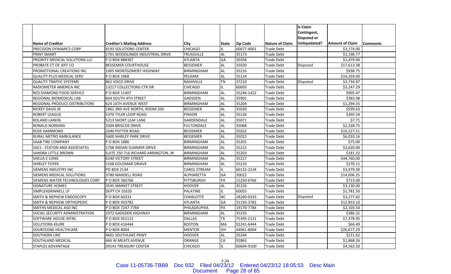|                                     |                                     |                     |              |                 |                        | <b>Is Claim</b>    |                        |                 |
|-------------------------------------|-------------------------------------|---------------------|--------------|-----------------|------------------------|--------------------|------------------------|-----------------|
|                                     |                                     |                     |              |                 |                        | Contingent,        |                        |                 |
|                                     |                                     |                     |              |                 |                        | <b>Disputed or</b> |                        |                 |
| <b>Name of Creditor</b>             | <b>Creditor's Mailing Address</b>   | City                | <b>State</b> | <b>Zip Code</b> | <b>Nature of Claim</b> | Unliquidated?      | <b>Amount of Claim</b> | <b>Comments</b> |
| PRECISION DYNAMICS CORP             | <b>4193 SOLUTIONS CENTER</b>        | <b>CHICAGO</b>      |              | 60677-4001      | Trade Debt             |                    | \$3,174.00             |                 |
| PRINT SMART                         | 1701 WOODLANDS INDUSTRIAL DRIVE     | <b>TRUSSVILLE</b>   | AL           | 35173           | Trade Debt             |                    | \$1,190.77             |                 |
| PRIORITY MEDICAL SOLUTIONS LLC      | P O BOX 888387                      | <b>ATLANTA</b>      | GA           | 30356           | Trade Debt             |                    | \$1,479.00             |                 |
| PROBATE CT OF JEFF CO               | <b>BESSEMER COURTHOUSE</b>          | <b>BESSEMER</b>     | AL           | 35020           | <b>Trade Debt</b>      | <b>Disputed</b>    | \$17,613.38            |                 |
| PROMOTIONAL CREATIONS INC           | 1005 MONTGOMERY HIGHWAY             | <b>BIRMINGHAM</b>   | AL           | 35216           | Trade Debt             |                    | \$938.75               |                 |
| <b>QUALITY PLUS MEDICAL SERV</b>    | P O BOX 1968                        | PELHAM              | <b>AL</b>    | 35124           | <b>Trade Debt</b>      |                    | \$14,359.00            |                 |
| <b>QUALITY TRAFFIC SYSTEMS</b>      | 862 VISCO DRIVE                     | NASHVILLE           | <b>TN</b>    | 37210           | Trade Debt             | Disputed           | \$3,734.87             |                 |
| RADIOMETER AMERICA INC              | 13217 COLLECTIONS CTR DR            | <b>CHICAGO</b>      |              | 60693           | Trade Debt             |                    | \$3,247.29             |                 |
| RED DIAMOND FOOD SERVICE            | P O BOX 11407                       | <b>BIRMINGHAM</b>   | <b>AL</b>    | 35246-1422      | <b>Trade Debt</b>      |                    | \$905.47               |                 |
| REGIONAL BIOMEDICAL LAB             | <b>604 SOUTH 4TH STREET</b>         | <b>GADSDEN</b>      | <b>AL</b>    | 35901           | <b>Trade Debt</b>      |                    | \$383.08               |                 |
| REGIONAL PRODUCE DISTRIBUTORS       | 624 16TH AVENUE WEST                | <b>BIRMINGHAM</b>   | <b>AL</b>    | 35204           | Trade Debt             |                    | \$1,294.55             |                 |
| RICKEY DAVIS JR                     | 1801 3RD AVE NORTH, ROOM 209        | <b>BESSEMER</b>     | AL           | 35020           | <b>Trade Debt</b>      |                    | \$599.63               |                 |
| ROBERT LEAGUE                       | 5370 TYLER LOOP ROAD                | <b>PINSON</b>       | AL.          | 35126           | Trade Debt             |                    | \$395.54               |                 |
| ROLAND LARKIN                       | 5213 SHORT LEAF LANE                | <b>GARDENDALE</b>   | <b>AL</b>    | 35071           | Trade Debt             |                    | \$7.71                 |                 |
| RONALD NORMAN                       | 3304 BRISCOE DRIVE                  | <b>FULTONDALE</b>   | AL           | 35068           | <b>Trade Debt</b>      |                    | \$2,328.75             |                 |
| ROSE HAMMOND                        | 2040 POTTER ROAD                    | <b>BESSEMER</b>     | <b>AL</b>    | 35022           | <b>Trade Debt</b>      |                    | \$10,527.51            |                 |
| RURAL METRO AMBULANCE               | 5600 SHIRLEY PARK DRIVE             | <b>BESSEMER</b>     | <b>AL</b>    | 35022           | Trade Debt             |                    | \$6,010.16             |                 |
| SAAB TIRE COMPANY                   | P O BOX 1886                        | <b>BIRMINGHAM</b>   | <b>AL</b>    | 35201           | Trade Debt             |                    | \$75.00                |                 |
| <b>SACS - STATON AND ASSOCIATES</b> | 1708 INDIAN SUMMER DRIVE            | <b>BIRMINGHAM</b>   | AL           | 35215           | Trade Debt             |                    | \$3,620.00             |                 |
| <b>SANDRA LITTLE BROWN</b>          | SUITE 250 716 RICHARD ARRINGTON, JR | <b>BIRMINGHAM</b>   | <b>AL</b>    | 35203           | Trade Debt             |                    | \$181.32               |                 |
| SHELIA E LONG                       | <b>6240 VICTORY STREET</b>          | <b>BIRMINGHAM</b>   | AL           | 35217           | <b>Trade Debt</b>      |                    | \$44,760.00            |                 |
| <b>SHIRLEY TOYER</b>                | 5168 GOLDMAR DRIAVE                 | <b>BIRMINGHAM</b>   | AL           | 35210           | Trade Debt             |                    | \$270.11               |                 |
| SIEMENS INDUSTRY INC                | PO BOX 2134                         | <b>CAROL STREAM</b> | IL.          | 60132-2134      | Trade Debt             |                    | \$3,979.30             |                 |
| SIEMENS MEDICAL SOLUTIONS           | 3780 MANSELL ROAD                   | <b>ALPHARETTA</b>   | GA           | 30022           | Trade Debt             |                    | \$14,006.25            |                 |
| SIEMENS WATER TECHNOLOGIES CORP     | P O BOX 360766                      | PITTSBURGH          | PA           | 15250-6766      | Trade Debt             |                    | \$713.00               |                 |
| <b>SIGNATURE HOMES</b>              | 3545 MARKET STREET                  | <b>HOOVER</b>       | AL           | 35226           | <b>Trade Debt</b>      |                    | \$3,130.00             |                 |
| SIMPLEXGRINNELL LP                  | <b>DEPT CH 10320</b>                | PALATINE            |              | 60055           | Trade Debt             |                    | \$1,781.50             |                 |
| <b>SMITH &amp; NEPHEW ENDOSCOPY</b> | PO BOX 60333                        | <b>CHARLOTTE</b>    | NC.          | 28260-0333      | <b>Trade Debt</b>      | <b>Disputed</b>    | \$3,277.62             |                 |
| SMITH & NEPHEW ORTHOPEDIC           | P O BOX 933782                      | <b>ATLANTA</b>      | GA           | 31193-3782      | Trade Debt             |                    | \$12,853.10            |                 |
| SMITHS MEDICAL ASD INC              | POBOX 7247-7784                     | PHILADELPHIA        | PA           | 19170-7784      | Trade Debt             |                    | \$2,103.54             |                 |
| SOCIAL SECURITY ADMINISTRATION      | 1972 GADSDEN HIGHWAY                | <b>BIRMINGHAM</b>   | <b>AL</b>    | 35235           | Trade Debt             |                    | \$386.31               |                 |
| SOFTWARE HOUSE INTNL                | P O BOX 952121                      | <b>DALLAS</b>       | <b>TX</b>    | 75395-2121      | <b>Trade Debt</b>      |                    | \$7,378.95             |                 |
| <b>SOLUTIONS 4SURE</b>              | P O BOX 416444                      | <b>BOSTON</b>       | MA           | 02241-6444      | Trade Debt             |                    | \$66.49                |                 |
| SOURCEONE HEALTHCARE                | P O BOX 8004                        | <b>MENTOR</b>       | OH           | 44061-8004      | Trade Debt             |                    | \$26,677.29            |                 |
| SOUTHERN LINC                       | <b>4601 SOUTHLAKE PKWY</b>          | HOOVER              | AL           | 35244           | Trade Debt             |                    | \$211.62               |                 |
| SOUTHLAND MEDICAL                   | 466 W MEATS AVENUE                  | ORANGE              | СA           | 92865           | Trade Debt             |                    | \$1,868.26             |                 |
| STAPLES ADVANTAGE                   | 39143 TREASURY CENTER               | <b>CHICAGO</b>      |              | 60694-9100      | Trade Debt             |                    | \$4,562.50             |                 |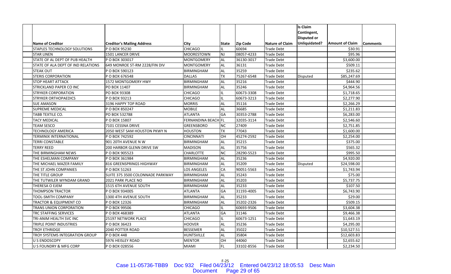|                                     |                                   |                     |           |                 |                   | <b>Is Claim</b>    |                        |                 |
|-------------------------------------|-----------------------------------|---------------------|-----------|-----------------|-------------------|--------------------|------------------------|-----------------|
|                                     |                                   |                     |           |                 |                   | Contingent,        |                        |                 |
|                                     |                                   |                     |           |                 |                   | <b>Disputed or</b> |                        |                 |
| <b>Name of Creditor</b>             | <b>Creditor's Mailing Address</b> | City                | State     | <b>Zip Code</b> | Nature of Claim   | Unliquidated?      | <b>Amount of Claim</b> | <b>Comments</b> |
| <b>STAPLES TECHNOLOGY SOLUTIONS</b> | P O BOX 95230                     | <b>CHICAGO</b>      | IL.       | 60694           | <b>Trade Debt</b> |                    | \$30.91                |                 |
| <b>STAR LINEN</b>                   | <b>1501 LANCER DRIVE</b>          | <b>MOORESTOWN</b>   | <b>NJ</b> | 08057-4233      | <b>Trade Debt</b> |                    | \$95.96                |                 |
| STATE OF AL DEPT OF PUB HEALTH      | P O BOX 303017                    | <b>MONTGOMERY</b>   | <b>AL</b> | 36130-3017      | <b>Trade Debt</b> |                    | \$3,600.00             |                 |
| STATE OF ALA DEPT OF IND RELATIONS  | 649 MONROE ST-RM 2228/FIN DIV     | <b>MONTGOMERY</b>   | AL        | 36131           | <b>Trade Debt</b> |                    | \$509.11               |                 |
| <b>STEAK OUT</b>                    | P O BOX 590123                    | <b>BIRMINGHAM</b>   | <b>AL</b> | 35259           | <b>Trade Debt</b> |                    | \$235.62               |                 |
| <b>STERIS CORPORATION</b>           | PO BOX 676548                     | <b>DALLAS</b>       | <b>TX</b> | 75267-6548      | Trade Debt        | <b>Disputed</b>    | \$85,247.69            |                 |
| <b>STOP HEART ATTACK</b>            | 1572 MONTGOMERY HWY               | <b>BIRMINGHAM</b>   | <b>AL</b> | 35216           | Trade Debt        |                    | \$444.90               |                 |
| STRICKLAND PAPER CO INC             | PO BOX 11407                      | <b>BIRMINGHAM</b>   | AL        | 35246           | Trade Debt        |                    | \$4,964.56             |                 |
| <b>STRYKER CORPORATION</b>          | PO BOX 93308                      | <b>CHICAGO</b>      |           | 60673-3308      | <b>Trade Debt</b> |                    | \$1,718.65             |                 |
| <b>STRYKER ORTHOPAEDICS</b>         | PO BOX 93213                      | <b>CHICAGO</b>      |           | 60673-3213      | <b>Trade Debt</b> |                    | \$2,277.90             |                 |
| <b>SUE AMASON</b>                   | 3196 HAPPY TOP ROAD               | <b>MORRIS</b>       | AL        | 35116           | Trade Debt        |                    | \$2,266.29             |                 |
| SUPREME MEDICAL                     | PO BOX 850247                     | <b>MOBILE</b>       | AL        | 36685           | <b>Trade Debt</b> |                    | \$1,211.83             |                 |
| TABB TEXTILE CO.                    | PO BOX 532788                     | <b>ATLANTA</b>      | GA        | 30353-2788      | Trade Debt        |                    | \$6,283.00             |                 |
| <b>TACY MEDICAL</b>                 | PO BOX 15807                      | FERNANDINA BEACH FL |           | 32035-3114      | Trade Debt        |                    | \$2,546.60             |                 |
| <b>TEAM SESCO</b>                   | 7101 CESSNA DRIVE                 | GREENSBORO          | <b>NC</b> | 27409           | <b>Trade Debt</b> |                    | \$2,751.85             |                 |
| <b>TECHNOLOGY AMERICA</b>           | 2050 WEST SAM HOUSTON PKWY N      | <b>HOUSTON</b>      | <b>TX</b> | 77043           | <b>Trade Debt</b> |                    | \$1,600.00             |                 |
| TERMINIX INTERNATIONAL              | PO BOX 742592                     | <b>CINCINNATI</b>   | OН        | 45274-2592      | <b>Trade Debt</b> |                    | \$2,254.00             |                 |
| <b>TERRI CONSTABLE</b>              | 901 20TH AVENUE N W               | <b>BIRMINGHAM</b>   | <b>AL</b> | 35215           | Trade Debt        |                    | \$375.00               |                 |
| <b>TERRY REED</b>                   | 200 HARBOR GLENN DRIVE SW         | MADISON             | AL        | 35756           | Trade Debt        |                    | \$565.32               |                 |
| THE BIRMINGHAM NEWS                 | P O BOX 905523                    | <b>CHARLOTTE</b>    | NC        | 28290-5523      | <b>Trade Debt</b> |                    | \$995.50               |                 |
| THE ESHELMAN COMPANY                | P O BOX 361984                    | <b>BIRMINGHAM</b>   | AL.       | 35236           | <b>Trade Debt</b> |                    | \$4,920.00             |                 |
| THE MICHAEL MAZER FAMILY            | 816 GREENSPRINGS HIGHWAY          | <b>BIRMINGHAM</b>   | AL        | 35209           | Trade Debt        | <b>Disputed</b>    | \$24,598.00            |                 |
| THE ST JOHN COMPANIES               | P O BOX 51263                     | <b>LOS ANGELES</b>  | CA        | 90051-5563      | <b>Trade Debt</b> |                    | \$1,743.94             |                 |
| THE TITLE GROUP                     | SUITE 375 3500 COLONNADE PARKWAY  | <b>BIRMINGHAM</b>   | <b>AL</b> | 35243           | Trade Debt        |                    | \$75.00                |                 |
| THE TUTWILER WYNDAM GRAND           | 2021 PARK PLACE NO                | <b>BIRMINGHAM</b>   | <b>AL</b> | 35203           | Trade Debt        |                    | \$5,737.75             |                 |
| THERESA O EJEM                      | 1515 6TH AVENUE SOUTH             | <b>BIRMINGHAM</b>   | <b>AL</b> | 35233           | Trade Debt        |                    | \$107.50               |                 |
| <b>THOMPSON TRACTOR</b>             | P O BOX 934005                    | <b>ATLANTA</b>      | GA        | 31193-4005      | <b>Trade Debt</b> |                    | \$6,743.90             |                 |
| TOOL-SMITH COMPANY                  | 1300 4TH AVENUE SOUTH             | <b>BIRMINGHAM</b>   | <b>AL</b> | 35233           | <b>Trade Debt</b> |                    | \$29.00                |                 |
| <b>TRACTOR &amp; EQUIPMENT CO</b>   | PO BOX 12326                      | <b>BIRMINGHAM</b>   | <b>AL</b> | 35202-2326      | <b>Trade Debt</b> |                    | \$509.15               |                 |
| TRANS UNION CORPORATION             | P O BOX 99506                     | <b>CHICAGO</b>      | IL.       | 60693-9506      | Trade Debt        |                    | \$3,604.38             |                 |
| TRC STAFFING SERVICES               | P O BOX 468389                    | <b>ATLANTA</b>      | GA        | 31146           | <b>Trade Debt</b> |                    | \$9,466.38             |                 |
| TRI-ANIM HEALTH SVC INC             | 25197 NETWORK PLACE               | <b>CHICAGO</b>      |           | 60673-1251      | <b>Trade Debt</b> |                    | \$1,643.19             |                 |
| TRIPLE POINT INDUSTRIES             | PO BOX 36423                      | <b>HOOVER</b>       | AL        | 35236           | Trade Debt        |                    | \$4,295.00             |                 |
| <b>TROY ETHRIDGE</b>                | 2040 POTTER ROAD                  | <b>BESSEMER</b>     | AL        | 35022           | <b>Trade Debt</b> |                    | \$10,527.51            |                 |
| TROY SYSTEMS INTEGRATION GROUP      | P O BOX 448                       | HUNTSVILLE          | AL        | 35804           | Trade Debt        |                    | \$12,603.83            |                 |
| <b>U S ENDOSCOPY</b>                | 5976 HEISLEY ROAD                 | MENTOR              | OH        | 44060           | Trade Debt        |                    | \$2,655.62             |                 |
| <b>U S FOUNDRY &amp; MFG CORP</b>   | PO BOX 028556                     | <b>MIAMI</b>        | FL.       | 33102-8556      | <b>Trade Debt</b> |                    | \$2,234.50             |                 |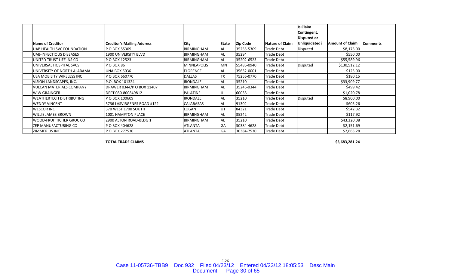|                                  |                                   |                    |           |                 |                   | Is Claim<br>Contingent, |                        |                  |
|----------------------------------|-----------------------------------|--------------------|-----------|-----------------|-------------------|-------------------------|------------------------|------------------|
|                                  |                                   |                    |           |                 |                   | Disputed or             |                        |                  |
| Name of Creditor                 | <b>Creditor's Mailing Address</b> | <b>City</b>        | State     | <b>Zip Code</b> | Nature of Claim   | Unliquidated?           | <b>Amount of Claim</b> | <b>IComments</b> |
| UAB HEALTH SVC FOUNDATION        | P O BOX 55309                     | <b>BIRMINGHAM</b>  | AL        | 35255-5309      | Trade Debt        | Disputed                | \$8,175.00             |                  |
| <b>UAB-INFECTIOUS DISEASES</b>   | 1900 UNIVERSITY BLVD              | <b>BIRMINGHAM</b>  | AL        | 35294           | Trade Debt        |                         | \$550.00               |                  |
| UNITED TRUST LIFE INS CO         | P O BOX 12523                     | <b>BIRMINGHAM</b>  | AL        | 35202-6523      | <b>Trade Debt</b> |                         | \$55,589.96            |                  |
| UNIVERSAL HOSPITAL SVCS          | P O BOX 86                        | <b>MINNEAPOLIS</b> | <b>MN</b> | 55486-0940      | Trade Debt        | Disputed                | \$130,512.12           |                  |
| UNIVERSITY OF NORTH ALABAMA      | <b>UNA BOX 5036</b>               | <b>FLORENCE</b>    | AL        | 35632-0001      | Trade Debt        |                         | \$125.00               |                  |
| <b>USA MOBILITY WIRELESS INC</b> | P O BOX 660770                    | <b>DALLAS</b>      | ТX        | 75266-0770      | <b>Trade Debt</b> |                         | \$180.15               |                  |
| VISION LANDSCAPES, INC.          | P.O. BOX 101324                   | <b>IRONDALE</b>    | AL        | 35210           | Trade Debt        |                         | \$33,909.77            |                  |
| <b>VULCAN MATERIALS COMPANY</b>  | DRAWER 0344/P O BOX 11407         | <b>BIRMINGHAM</b>  | AL        | 35246-0344      | Trade Debt        |                         | \$499.42               |                  |
| <b>WW GRAINGER</b>               | DEPT 080-800849812                | <b>PALATINE</b>    | IL        | 60038           | Trade Debt        |                         | \$1,020.78             |                  |
| <b>WEATHERTECH DISTRIBUTING</b>  | P O BOX 100609                    | <b>IRONDALE</b>    | AL        | 35210           | Trade Debt        | Disputed                | \$8,900.00             |                  |
| <b>WENDY VINCENT</b>             | 5736 LASVIRGENES ROAD #122        | CALABASAS          | AL        | 91302           | Trade Debt        |                         | \$605.26               |                  |
| <b>WESCOR INC</b>                | 370 WEST 1700 SOUTH               | LOGAN              | <b>UT</b> | 84321           | Trade Debt        |                         | \$542.32               |                  |
| <b>WILLIE JAMES BROWN</b>        | 1001 HAMPTON PLACE                | <b>BIRMINGHAM</b>  | <b>AL</b> | 35242           | Trade Debt        |                         | \$117.92               |                  |
| <b>WOOD-FRUITTICHER GROC CO</b>  | 2900 ALTON ROAD-BLDG 1            | <b>BIRMINGHAM</b>  | AL        | 35210           | Trade Debt        |                         | \$43,320.08            |                  |
| <b>ZEP MANUFACTURING CO</b>      | P O BOX 404628                    | <b>ATLANTA</b>     | GA        | 30384-4628      | <b>Trade Debt</b> |                         | \$2,151.69             |                  |
| <b>ZIMMER US INC</b>             | P O BOX 277530                    | <b>ATLANTA</b>     | GA        | 30384-7530      | <b>Trade Debt</b> |                         | \$2,663.28             |                  |

**TOTAL TRADE**

**CLAIMS \$3,683,281.24**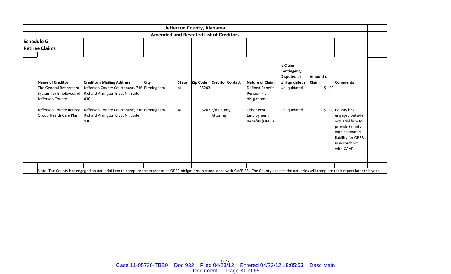| Jefferson County, Alabama                |                                                     |                                                                                                           |  |                 |                                                                                                       |                                                                       |                           |  |                                                                                                                                                                                |  |  |  |  |
|------------------------------------------|-----------------------------------------------------|-----------------------------------------------------------------------------------------------------------|--|-----------------|-------------------------------------------------------------------------------------------------------|-----------------------------------------------------------------------|---------------------------|--|--------------------------------------------------------------------------------------------------------------------------------------------------------------------------------|--|--|--|--|
|                                          |                                                     |                                                                                                           |  |                 |                                                                                                       |                                                                       |                           |  |                                                                                                                                                                                |  |  |  |  |
|                                          |                                                     |                                                                                                           |  |                 |                                                                                                       |                                                                       |                           |  |                                                                                                                                                                                |  |  |  |  |
|                                          |                                                     |                                                                                                           |  |                 |                                                                                                       |                                                                       |                           |  |                                                                                                                                                                                |  |  |  |  |
|                                          |                                                     |                                                                                                           |  |                 |                                                                                                       |                                                                       |                           |  |                                                                                                                                                                                |  |  |  |  |
| <b>Creditor's Mailing Address</b>        |                                                     | <b>State</b>                                                                                              |  |                 | Nature of Claim                                                                                       | <b>Is Claim</b><br>Contingent,<br><b>Disputed or</b><br>Unliquidated? | Amount of<br><b>Claim</b> |  |                                                                                                                                                                                |  |  |  |  |
| Richard Arrington Blvd. N., Suite<br>430 |                                                     | <b>AL</b>                                                                                                 |  |                 | Defined Benefit<br><b>Pension Plan</b><br>obligations                                                 | Unliquidated                                                          |                           |  |                                                                                                                                                                                |  |  |  |  |
| Richard Arrington Blvd. N., Suite<br>430 |                                                     | <b>AL</b>                                                                                                 |  | Attorney        | <b>Other Post</b><br>Employment<br>Benefits (OPEB)                                                    | Unliquidated                                                          |                           |  |                                                                                                                                                                                |  |  |  |  |
|                                          | System for Employees of<br>Jefferson County Retiree | <b>City</b><br>Jefferson County Courthouse, 716 Birmingham<br>Jefferson County Courthouse, 716 Birmingham |  | <b>Zip Code</b> | <b>Amended and Restated List of Creditors</b><br><b>Creditor Contact</b><br>35203<br>35203 c/o County |                                                                       |                           |  | <b>Comments</b><br>\$1.00<br>\$1.00 County has<br>engaged outside<br>actuarial firm to<br>provide County<br>with estimated<br>liability for OPEB<br>in accordance<br>with GAAP |  |  |  |  |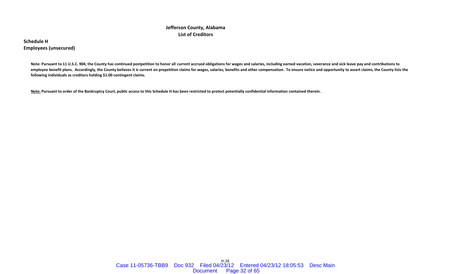## **Jefferson County, Alabama List of Creditors**

**Schedule HEmployees (unsecured)**

> Note: Pursuant to 11 U.S.C. 904, the County has continued postpetition to honor all current accrued obligations for wages and salaries, including earned vacation, severance and sick leave pay and contributions to employee benefit plans. Accordingly, the County believes it is current on prepetition claims for wages, salaries, benefits and other compensation. To ensure notice and opportunity to assert claims, the County lists the **following individuals as creditors holding \$1.00 contingent claims.**

<u>Note:</u> Pursuant to order of the Bankruptcy Court, public access to this Schedule H has been restricted to protect potentially confidential information contained therein.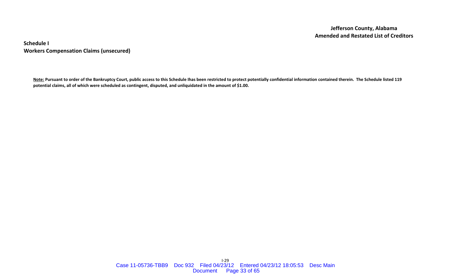**Schedule I Workers Compensation Claims (unsecured)**

<u>Note:</u> Pursuant to order of the Bankruptcy Court, public access to this Schedule Ihas been restricted to protect potentially confidential information contained therein. The Schedule listed 119 potential claims, all of which were scheduled as contingent, disputed, and unliquidated in the amount of \$1.00.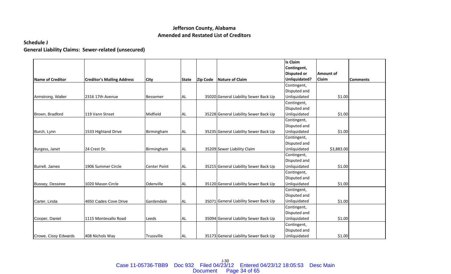## **Schedule J**

**General Liability Claims: Sewer‐related (unsecured)**

|                      |                                   |                     |              |                 |                                       | <b>Is Claim</b>    |            |                 |
|----------------------|-----------------------------------|---------------------|--------------|-----------------|---------------------------------------|--------------------|------------|-----------------|
|                      |                                   |                     |              |                 |                                       | Contingent,        |            |                 |
|                      |                                   |                     |              |                 |                                       | <b>Disputed or</b> | Amount of  |                 |
| Name of Creditor     | <b>Creditor's Mailing Address</b> | <b>City</b>         | <b>State</b> | <b>Zip Code</b> | Nature of Claim                       | Unliquidated?      | Claim      | <b>Comments</b> |
|                      |                                   |                     |              |                 |                                       | Contingent,        |            |                 |
|                      |                                   |                     |              |                 |                                       | Disputed and       |            |                 |
| Armstrong, Walter    | 2316 17th Avenue                  | <b>Bessemer</b>     | <b>AL</b>    |                 | 35020 General Liability Sewer Back Up | Unliquidated       | \$1.00     |                 |
|                      |                                   |                     |              |                 |                                       | Contingent,        |            |                 |
|                      |                                   |                     |              |                 |                                       | Disputed and       |            |                 |
| Brown, Bradford      | 119 Vann Street                   | Midfield            | <b>AL</b>    |                 | 35228 General Liability Sewer Back Up | Unliquidated       | \$1.00     |                 |
|                      |                                   |                     |              |                 |                                       | Contingent,        |            |                 |
|                      |                                   |                     |              |                 |                                       | Disputed and       |            |                 |
| Burch, Lynn          | 1533 Highland Drive               | Birmingham          | AL.          |                 | 35235 General Liability Sewer Back Up | Unliquidated       | \$1.00     |                 |
|                      |                                   |                     |              |                 |                                       | Contingent,        |            |                 |
|                      |                                   |                     |              |                 |                                       | Disputed and       |            |                 |
| Burgess, Janet       | 24 Crest Dr.                      | Birmingham          | <b>AL</b>    |                 | 35209 Sewer Liability Claim           | Unliquidated       | \$3,883.00 |                 |
|                      |                                   |                     |              |                 |                                       | Contingent,        |            |                 |
|                      |                                   |                     |              |                 |                                       | Disputed and       |            |                 |
| Burrell, James       | 1906 Summer Circle                | <b>Center Point</b> | <b>AL</b>    |                 | 35215 General Liability Sewer Back Up | Unliquidated       | \$1.00     |                 |
|                      |                                   |                     |              |                 |                                       | Contingent,        |            |                 |
|                      |                                   |                     |              |                 |                                       | Disputed and       |            |                 |
| Bussey, Dessiree     | 1020 Mason Circle                 | Odenville           | <b>AL</b>    |                 | 35120 General Liability Sewer Back Up | Unliquidated       | \$1.00     |                 |
|                      |                                   |                     |              |                 |                                       | Contingent,        |            |                 |
|                      |                                   |                     |              |                 |                                       | Disputed and       |            |                 |
| Carter, Linda        | 4650 Cades Cove Drive             | Gardendale          | AL.          |                 | 35071 General Liability Sewer Back Up | Unliquidated       | \$1.00     |                 |
|                      |                                   |                     |              |                 |                                       | Contingent,        |            |                 |
|                      |                                   |                     |              |                 |                                       | Disputed and       |            |                 |
| Cooper, Daniel       | 1115 Montevallo Road              | Leeds               | AL.          |                 | 35094 General Liability Sewer Back Up | Unliquidated       | \$1.00     |                 |
|                      |                                   |                     |              |                 |                                       | Contingent,        |            |                 |
|                      |                                   |                     |              |                 |                                       | Disputed and       |            |                 |
| Crowe, Cissy Edwards | 408 Nichols Way                   | Trussville          | <b>AL</b>    |                 | 35173 General Liability Sewer Back Up | Unliquidated       | \$1.00     |                 |

J‐30 Case 11-05736-TBB9 Doc 932 Filed 04/23/12 Entered 04/23/12 18:05:53 Desc MainDocument Page 34 of 65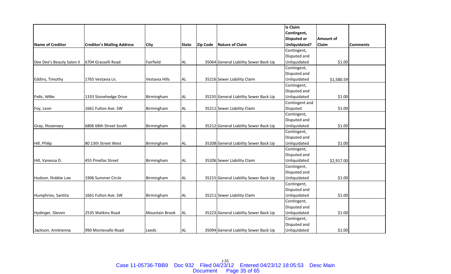|                           |                                   |                       |              |                 |                                       | Is Claim           |                  |                 |
|---------------------------|-----------------------------------|-----------------------|--------------|-----------------|---------------------------------------|--------------------|------------------|-----------------|
|                           |                                   |                       |              |                 |                                       | Contingent,        |                  |                 |
|                           |                                   |                       |              |                 |                                       | <b>Disputed or</b> | <b>Amount of</b> |                 |
| <b>Name of Creditor</b>   | <b>Creditor's Mailing Address</b> | <b>City</b>           | <b>State</b> | <b>Zip Code</b> | Nature of Claim                       | Unliquidated?      | Claim            | <b>Comments</b> |
|                           |                                   |                       |              |                 |                                       | Contingent,        |                  |                 |
|                           |                                   |                       |              |                 |                                       | Disputed and       |                  |                 |
| Dee Dee's Beauty Salon II | 6704 Grasselli Road               | Fairfield             | AL           |                 | 35064 General Liability Sewer Back Up | Unliquidated       | \$1.00           |                 |
|                           |                                   |                       |              |                 |                                       | Contingent,        |                  |                 |
|                           |                                   |                       |              |                 |                                       | Disputed and       |                  |                 |
| Eddins, Timothy           | 1765 Vestavia Ln.                 | Vestavia Hills        | <b>AL</b>    |                 | 35216 Sewer Liability Claim           | Unliquidated       | \$1,580.59       |                 |
|                           |                                   |                       |              |                 |                                       | Contingent,        |                  |                 |
|                           |                                   |                       |              |                 |                                       | Disputed and       |                  |                 |
| Fells, Willie             | 1333 Stonehedge Drive             | Birmingham            | <b>AL</b>    |                 | 35235 General Liability Sewer Back Up | Unliquidated       | \$1.00           |                 |
|                           |                                   |                       |              |                 |                                       | Contingent and     |                  |                 |
| Foy, Leon                 | 1661 Fulton Ave. SW               | Birmingham            | AL           |                 | 35211 Sewer Liability Claim           | Disputed           | \$1.00           |                 |
|                           |                                   |                       |              |                 |                                       | Contingent,        |                  |                 |
|                           |                                   |                       |              |                 |                                       | Disputed and       |                  |                 |
| Gray, Rosemary            | 6806 68th Street South            | Birmingham            | <b>AL</b>    |                 | 35212 General Liability Sewer Back Up | Unliquidated       | \$1.00           |                 |
|                           |                                   |                       |              |                 |                                       | Contingent,        |                  |                 |
|                           |                                   |                       |              |                 |                                       | Disputed and       |                  |                 |
| Hill, Philip              | 80 13th Street West               | Birmingham            | <b>AL</b>    |                 | 35208 General Liability Sewer Back Up | Unliquidated       | \$1.00           |                 |
|                           |                                   |                       |              |                 |                                       | Contingent,        |                  |                 |
|                           |                                   |                       |              |                 |                                       | Disputed and       |                  |                 |
| Hill, Vanessa D.          | 455 Pinellas Street               | Birmingham            | <b>AL</b>    |                 | 35206 Sewer Liability Claim           | Unliquidated       | \$2,917.00       |                 |
|                           |                                   |                       |              |                 |                                       | Contingent,        |                  |                 |
|                           |                                   |                       |              |                 |                                       | Disputed and       |                  |                 |
| Hudson, Robbie Lee        | 1906 Summer Circle                | Birmingham            | <b>AL</b>    |                 | 35215 General Liability Sewer Back Up | Unliquidated       | \$1.00           |                 |
|                           |                                   |                       |              |                 |                                       | Contingent,        |                  |                 |
|                           |                                   |                       |              |                 |                                       | Disputed and       |                  |                 |
| Humphries, Santita        | 1661 Fulton Ave. SW               | Birmingham            | <b>AL</b>    |                 | 35211 Sewer Liability Claim           | Unliquidated       | \$1.00           |                 |
|                           |                                   |                       |              |                 |                                       | Contingent,        |                  |                 |
|                           |                                   |                       |              |                 |                                       | Disputed and       |                  |                 |
| Hydinger, Steven          | 2535 Watkins Road                 | <b>Mountain Brook</b> | <b>AL</b>    |                 | 35223 General Liability Sewer Back Up | Unliquidated       | \$1.00           |                 |
|                           |                                   |                       |              |                 |                                       | Contingent,        |                  |                 |
|                           |                                   |                       |              |                 |                                       | Disputed and       |                  |                 |
| Jackson, Anntrienna       | 990 Montevallo Road               | Leeds                 | <b>AL</b>    |                 | 35094 General Liability Sewer Back Up | Unliquidated       | \$1.00           |                 |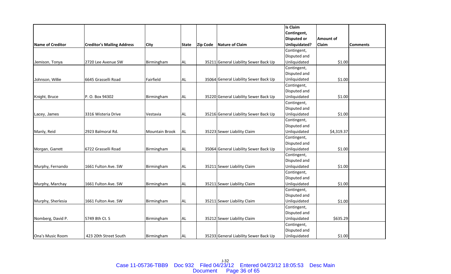|                         |                                   |                |              |                 |                                       | <b>Is Claim</b>    |            |                 |
|-------------------------|-----------------------------------|----------------|--------------|-----------------|---------------------------------------|--------------------|------------|-----------------|
|                         |                                   |                |              |                 |                                       | Contingent,        |            |                 |
|                         |                                   |                |              |                 |                                       | <b>Disputed or</b> | Amount of  |                 |
| <b>Name of Creditor</b> | <b>Creditor's Mailing Address</b> | <b>City</b>    | <b>State</b> | <b>Zip Code</b> | Nature of Claim                       | Unliquidated?      | Claim      | <b>Comments</b> |
|                         |                                   |                |              |                 |                                       | Contingent,        |            |                 |
|                         |                                   |                |              |                 |                                       | Disputed and       |            |                 |
| Jemison, Tonya          | 2720 Lee Avenue SW                | Birmingham     | <b>AL</b>    |                 | 35211 General Liability Sewer Back Up | Unliquidated       | \$1.00     |                 |
|                         |                                   |                |              |                 |                                       | Contingent,        |            |                 |
|                         |                                   |                |              |                 |                                       | Disputed and       |            |                 |
| Johnson, Willie         | 6645 Grasselli Road               | Fairfield      | AL           |                 | 35064 General Liability Sewer Back Up | Unliquidated       | \$1.00     |                 |
|                         |                                   |                |              |                 |                                       | Contingent,        |            |                 |
|                         |                                   |                |              |                 |                                       | Disputed and       |            |                 |
| Knight, Bruce           | P. O. Box 94302                   | Birmingham     | <b>AL</b>    |                 | 35220 General Liability Sewer Back Up | Unliquidated       | \$1.00     |                 |
|                         |                                   |                |              |                 |                                       | Contingent,        |            |                 |
|                         |                                   |                |              |                 |                                       | Disputed and       |            |                 |
| Lacey, James            | 3316 Wisteria Drive               | Vestavia       | <b>AL</b>    |                 | 35216 General Liability Sewer Back Up | Unliquidated       | \$1.00     |                 |
|                         |                                   |                |              |                 |                                       | Contingent,        |            |                 |
|                         |                                   |                |              |                 |                                       | Disputed and       |            |                 |
| Manly, Reid             | 2923 Balmoral Rd.                 | Mountain Brook | AL           |                 | 35223 Sewer Liability Claim           | Unliquidated       | \$4,319.37 |                 |
|                         |                                   |                |              |                 |                                       | Contingent,        |            |                 |
|                         |                                   |                |              |                 |                                       | Disputed and       |            |                 |
| Morgan, Garrett         | 6722 Grasselli Road               | Birmingham     | <b>AL</b>    |                 | 35064 General Liability Sewer Back Up | Unliquidated       | \$1.00     |                 |
|                         |                                   |                |              |                 |                                       | Contingent,        |            |                 |
|                         |                                   |                |              |                 |                                       | Disputed and       |            |                 |
| Murphy, Fernando        | 1661 Fulton Ave. SW               | Birmingham     | <b>AL</b>    |                 | 35211 Sewer Liability Claim           | Unliquidated       | \$1.00     |                 |
|                         |                                   |                |              |                 |                                       | Contingent,        |            |                 |
|                         |                                   |                |              |                 |                                       | Disputed and       |            |                 |
| Murphy, Marchay         | 1661 Fulton Ave. SW               | Birmingham     | AL.          |                 | 35211 Sewer Liability Claim           | Unliquidated       | \$1.00     |                 |
|                         |                                   |                |              |                 |                                       | Contingent,        |            |                 |
|                         |                                   |                |              |                 |                                       | Disputed and       |            |                 |
| Murphy, Sherlesia       | 1661 Fulton Ave. SW               | Birmingham     | <b>AL</b>    |                 | 35211 Sewer Liability Claim           | Unliquidated       | \$1.00     |                 |
|                         |                                   |                |              |                 |                                       | Contingent,        |            |                 |
|                         |                                   |                |              |                 |                                       | Disputed and       |            |                 |
| Nomberg, David P.       | 5749 8th Ct. S                    | Birmingham     | <b>AL</b>    |                 | 35212 Sewer Liability Claim           | Unliquidated       | \$635.29   |                 |
|                         |                                   |                |              |                 |                                       | Contingent,        |            |                 |
|                         |                                   |                |              |                 |                                       | Disputed and       |            |                 |
| Ona's Music Room        | 423 20th Street South             | Birmingham     | AL.          |                 | 35233 General Liability Sewer Back Up | Unliquidated       | \$1.00     |                 |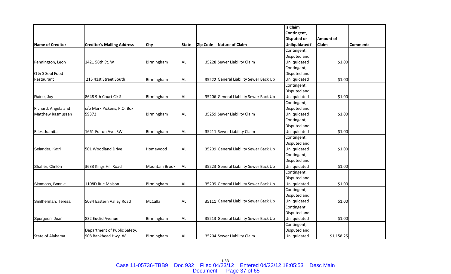|                          |                                   |                |              |                 |                                       | Is Claim           |            |                 |
|--------------------------|-----------------------------------|----------------|--------------|-----------------|---------------------------------------|--------------------|------------|-----------------|
|                          |                                   |                |              |                 |                                       | Contingent,        |            |                 |
|                          |                                   |                |              |                 |                                       | <b>Disputed or</b> | Amount of  |                 |
| Name of Creditor         | <b>Creditor's Mailing Address</b> | <b>City</b>    | <b>State</b> | <b>Zip Code</b> | Nature of Claim                       | Unliquidated?      | Claim      | <b>Comments</b> |
|                          |                                   |                |              |                 |                                       | Contingent,        |            |                 |
|                          |                                   |                |              |                 |                                       | Disputed and       |            |                 |
| Pennington, Leon         | 1421 56th St. W                   | Birmingham     | AL           |                 | 35228 Sewer Liability Claim           | Unliquidated       | \$1.00     |                 |
|                          |                                   |                |              |                 |                                       | Contingent,        |            |                 |
| Q & S Soul Food          |                                   |                |              |                 |                                       | Disputed and       |            |                 |
| Restaurant               | 215 41st Street South             | Birmingham     | <b>AL</b>    |                 | 35222 General Liability Sewer Back Up | Unliquidated       | \$1.00     |                 |
|                          |                                   |                |              |                 |                                       | Contingent,        |            |                 |
|                          |                                   |                |              |                 |                                       | Disputed and       |            |                 |
| Raine, Joy               | 8648 9th Court Cir S              | Birmingham     | <b>AL</b>    |                 | 35206 General Liability Sewer Back Up | Unliquidated       | \$1.00     |                 |
|                          |                                   |                |              |                 |                                       | Contingent,        |            |                 |
| Richard, Angela and      | c/o Mark Pickens, P.O. Box        |                |              |                 |                                       | Disputed and       |            |                 |
| <b>Matthew Rasmussen</b> | 59372                             | Birmingham     | <b>AL</b>    |                 | 35259 Sewer Liability Claim           | Unliquidated       | \$1.00     |                 |
|                          |                                   |                |              |                 |                                       | Contingent,        |            |                 |
|                          |                                   |                |              |                 |                                       | Disputed and       |            |                 |
| Riles, Juanita           | 1661 Fulton Ave. SW               | Birmingham     | <b>AL</b>    |                 | 35211 Sewer Liability Claim           | Unliquidated       | \$1.00     |                 |
|                          |                                   |                |              |                 |                                       | Contingent,        |            |                 |
|                          |                                   |                |              |                 |                                       | Disputed and       |            |                 |
| Selander, Katri          | 501 Woodland Drive                | Homewood       | <b>AL</b>    |                 | 35209 General Liability Sewer Back Up | Unliquidated       | \$1.00     |                 |
|                          |                                   |                |              |                 |                                       | Contingent,        |            |                 |
|                          |                                   |                |              |                 |                                       | Disputed and       |            |                 |
| Shaffer, Clinton         | 3633 Kings Hill Road              | Mountain Brook | <b>AL</b>    |                 | 35223 General Liability Sewer Back Up | Unliquidated       | \$1.00     |                 |
|                          |                                   |                |              |                 |                                       | Contingent,        |            |                 |
|                          |                                   |                |              |                 |                                       | Disputed and       |            |                 |
| Simmons, Bonnie          | 1108D Rue Maison                  | Birmingham     | <b>AL</b>    |                 | 35209 General Liability Sewer Back Up | Unliquidated       | \$1.00     |                 |
|                          |                                   |                |              |                 |                                       | Contingent,        |            |                 |
|                          |                                   |                |              |                 |                                       | Disputed and       |            |                 |
| Smitherman, Teresa       | 5034 Eastern Valley Road          | McCalla        | <b>AL</b>    |                 | 35111 General Liability Sewer Back Up | Unliquidated       | \$1.00     |                 |
|                          |                                   |                |              |                 |                                       | Contingent,        |            |                 |
|                          |                                   |                |              |                 |                                       | Disputed and       |            |                 |
| Spurgeon, Jean           | 832 Euclid Avenue                 | Birmingham     | AL           |                 | 35213 General Liability Sewer Back Up | Unliquidated       | \$1.00     |                 |
|                          |                                   |                |              |                 |                                       | Contingent,        |            |                 |
|                          | Department of Public Safety,      |                |              |                 |                                       | Disputed and       |            |                 |
| State of Alabama         | 908 Bankhead Hwy. W               | Birmingham     | <b>AL</b>    |                 | 35204 Sewer Liability Claim           | Unliquidated       | \$1,158.25 |                 |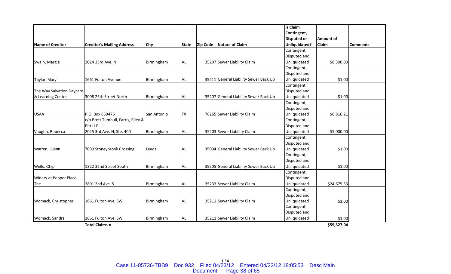|                           |                                    |             |              |                 |                                       | Is Claim           |                  |                 |
|---------------------------|------------------------------------|-------------|--------------|-----------------|---------------------------------------|--------------------|------------------|-----------------|
|                           |                                    |             |              |                 |                                       | Contingent,        |                  |                 |
|                           |                                    |             |              |                 |                                       | <b>Disputed or</b> | <b>Amount of</b> |                 |
| <b>Name of Creditor</b>   | <b>Creditor's Mailing Address</b>  | <b>City</b> | <b>State</b> | <b>Zip Code</b> | <b>Nature of Claim</b>                | Unliquidated?      | Claim            | <b>Comments</b> |
|                           |                                    |             |              |                 |                                       | Contingent,        |                  |                 |
|                           |                                    |             |              |                 |                                       | Disputed and       |                  |                 |
| Swain, Margie             | 2024 33rd Ave. N                   | Birmingham  | AL           |                 | 35207 Sewer Liability Claim           | Unliquidated       | \$8,300.00       |                 |
|                           |                                    |             |              |                 |                                       | Contingent,        |                  |                 |
|                           |                                    |             |              |                 |                                       | Disputed and       |                  |                 |
| Taylor, Mary              | 1661 Fulton Avenue                 | Birmingham  | AL           |                 | 35211 General Liability Sewer Back Up | Unliquidated       | \$1.00           |                 |
|                           |                                    |             |              |                 |                                       | Contingent,        |                  |                 |
| The Way Salvation Daycare |                                    |             |              |                 |                                       | Disputed and       |                  |                 |
| & Learning Center         | 3008 25th Street North             | Birmingham  | <b>AL</b>    |                 | 35207 General Liability Sewer Back Up | Unliquidated       | \$1.00           |                 |
|                           |                                    |             |              |                 |                                       | Contingent,        |                  |                 |
|                           |                                    |             |              |                 |                                       | Disputed and       |                  |                 |
| <b>USAA</b>               | P.O. Box 659476                    | San Antonio | <b>TX</b>    |                 | 78265 Sewer Liability Claim           | Unliquidated       | \$6,816.21       |                 |
|                           | c/o Brett Tumbull, Farris, Riley & |             |              |                 |                                       | Contingent,        |                  |                 |
|                           | Pitt LLP                           |             |              |                 |                                       | Disputed and       |                  |                 |
| Vaughn, Rebecca           | 2025 3rd Ave. N, Ste. 400          | Birmingham  | <b>AL</b>    |                 | 35203 Sewer Liability Claim           | Unliquidated       | \$5,000.00       |                 |
|                           |                                    |             |              |                 |                                       | Contingent,        |                  |                 |
|                           |                                    |             |              |                 |                                       | Disputed and       |                  |                 |
| Warren, Glenn             | 7099 Stoneybrook Crossing          | Leeds       | <b>AL</b>    |                 | 35094 General Liability Sewer Back Up | Unliquidated       | \$1.00           |                 |
|                           |                                    |             |              |                 |                                       | Contingent,        |                  |                 |
|                           |                                    |             |              |                 |                                       | Disputed and       |                  |                 |
| Wells, Chip               | 1322 32nd Street South             | Birmingham  | <b>AL</b>    |                 | 35205 General Liability Sewer Back Up | Unliquidated       | \$1.00           |                 |
|                           |                                    |             |              |                 |                                       | Contingent,        |                  |                 |
| Winery at Pepper Place,   |                                    |             |              |                 |                                       | Disputed and       |                  |                 |
| The                       | 2801 2nd Ave. S                    | Birmingham  | <b>AL</b>    |                 | 35233 Sewer Liability Claim           | Unliquidated       | \$24,675.33      |                 |
|                           |                                    |             |              |                 |                                       | Contingent,        |                  |                 |
|                           |                                    |             |              |                 |                                       | Disputed and       |                  |                 |
| Womack, Christopher       | 1661 Fulton Ave. SW                | Birmingham  | AL           |                 | 35211 Sewer Liability Claim           | Unliquidated       | \$1.00           |                 |
|                           |                                    |             |              |                 |                                       | Contingent,        |                  |                 |
|                           |                                    |             |              |                 |                                       | Disputed and       |                  |                 |
| Womack, Sandra            | 1661 Fulton Ave. SW                | Birmingham  | <b>AL</b>    |                 | 35211 Sewer Liability Claim           | Unliquidated       | \$1.00           |                 |
|                           | <b>Total Claims =</b>              |             |              |                 |                                       |                    | \$59,327.04      |                 |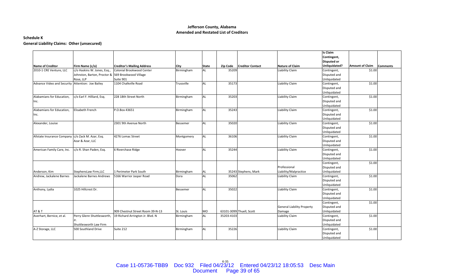#### **Schedule K General Liability Claims: Other (unsecured)**

|                                                   |                             |                                   |                 |           |            |                          |                                   | Is Claim                     |                        |                 |
|---------------------------------------------------|-----------------------------|-----------------------------------|-----------------|-----------|------------|--------------------------|-----------------------------------|------------------------------|------------------------|-----------------|
|                                                   |                             |                                   |                 |           |            |                          |                                   | Contingent,                  |                        |                 |
|                                                   |                             |                                   |                 |           |            |                          |                                   | <b>Disputed or</b>           |                        |                 |
| <b>Name of Creditor</b>                           | Firm Name (c/o)             | <b>Creditor's Mailing Address</b> | City            | State     | Zip Code   | <b>Creditor Contact</b>  | Nature of Claim                   | Unliquidated?                | <b>Amount of Claim</b> | <b>Comments</b> |
| 2010-1 CRE Venture, LLC                           | c/o Haskins W. Jones, Esq., | Colonial Brookwood Center         | Birmingham      | <b>AL</b> | 35209      |                          | Liability Claim                   | Contingent,                  | \$1.00                 |                 |
|                                                   | Johnston, Barton, Proctor & | 569 Brookwood Village             |                 |           |            |                          |                                   | Disputed and                 |                        |                 |
|                                                   | Rose, LLP                   | Suite 901                         |                 |           |            |                          |                                   | Unliquidated                 |                        |                 |
| Advance Video and Security Attention: Joe Bailey  |                             | 1104 Chalkville Road              | Trussville      | AL        | 35173      |                          | Liability Claim                   | Contingent,                  | \$1.00                 |                 |
|                                                   |                             |                                   |                 |           |            |                          |                                   | Disputed and                 |                        |                 |
|                                                   |                             |                                   |                 |           |            |                          |                                   | Unliquidated                 |                        |                 |
| Alabamians for Education.                         | c/o Earl F. Hilliard, Esg.  | 228 18th Street North             | Birmingham      | <b>AL</b> | 35203      |                          | Liability Claim                   | Contingent,                  | \$1.00                 |                 |
| Inc.                                              |                             |                                   |                 |           |            |                          |                                   | Disputed and                 |                        |                 |
|                                                   |                             |                                   |                 |           |            |                          |                                   | Unliquidated                 |                        |                 |
| Alabamians for Education,                         | Elisabeth French            | P.O.Box 43651                     | Birmingham      | AL        | 35243      |                          | Liability Claim                   | Contingent,                  | \$1.00                 |                 |
| Inc.                                              |                             |                                   |                 |           |            |                          |                                   | Disputed and                 |                        |                 |
|                                                   |                             |                                   |                 |           |            |                          |                                   | Unliquidated                 |                        |                 |
| Alexander, Louise                                 |                             | 2301 9th Avenue North             | Bessemer        | AL        | 35020      |                          | Liability Claim                   | Contingent,                  | \$1.00                 |                 |
|                                                   |                             |                                   |                 |           |            |                          |                                   | Disputed and                 |                        |                 |
|                                                   |                             |                                   |                 |           |            |                          |                                   | Unliquidated                 |                        |                 |
| Allstate Insurance Company c/o Zack M. Azar, Esq. |                             | 4276 Lomac Street                 | Montgomery      | <b>AL</b> | 36106      |                          | Liability Claim                   | Contingent,                  | \$1.00                 |                 |
|                                                   | Azar & Azar, LLC            |                                   |                 |           |            |                          |                                   | Disputed and                 |                        |                 |
|                                                   |                             |                                   |                 |           |            |                          |                                   | Unliquidated                 |                        |                 |
| American Family Care, Inc.                        | c/o R. Shan Paden, Esq.     | 6 Riverchase Ridge                | Hoover          | <b>AL</b> | 35244      |                          | Liability Claim                   | Contingent,                  | \$1.00                 |                 |
|                                                   |                             |                                   |                 |           |            |                          |                                   | Disputed and<br>Unliquidated |                        |                 |
|                                                   |                             |                                   |                 |           |            |                          |                                   | Contingent,                  | \$1.00                 |                 |
|                                                   |                             |                                   |                 |           |            |                          | Professional                      | Disputed and                 |                        |                 |
| Anderson, Kim                                     | StephensLaw Firm,LLC        | 1 Perimeter Park South            | Birmingham      | AL        |            | 35243 Stephens, Mark     | Liability/Malpractice             | Unliquidated                 |                        |                 |
| Andrew, Jackalene Barnes                          | Jackalene Barnes Andrews    | 5166 Warrior Jasper Road          | Dora            | AL        | 35062      |                          | Liability Claim                   | Contingent,                  | \$1.00                 |                 |
|                                                   |                             |                                   |                 |           |            |                          |                                   | Disputed and                 |                        |                 |
|                                                   |                             |                                   |                 |           |            |                          |                                   | Unliquidated                 |                        |                 |
| Anthony, Lydia                                    | 1025 Hillcrest Dr.          |                                   | <b>Bessemer</b> | <b>AL</b> | 35022      |                          | Liability Claim                   | Contingent,                  | \$1.00                 |                 |
|                                                   |                             |                                   |                 |           |            |                          |                                   | Disputed and                 |                        |                 |
|                                                   |                             |                                   |                 |           |            |                          |                                   | Unliquidated                 |                        |                 |
|                                                   |                             |                                   |                 |           |            |                          |                                   | Contingent,                  | \$1.00                 |                 |
|                                                   |                             |                                   |                 |           |            |                          | <b>General Liability Property</b> | Disputed and                 |                        |                 |
| <b>AT &amp; T</b>                                 |                             | 909 Chestnut Street Room 39-N-13  | St. Louis       | <b>MO</b> |            | 63101-3099 Thuell, Scott | Damage                            | Unliquidated                 |                        |                 |
| Averhart, Bernice, et al.                         | Perry Glenn Shuttlesworth,  | 19 Richard Arrington Jr. Blvd. N  | Birmingham      | AL        | 35203-4103 |                          | Liability Claim                   | Contingent,                  | \$1.00                 |                 |
|                                                   |                             |                                   |                 |           |            |                          |                                   | Disputed and                 |                        |                 |
|                                                   | Shuttlesworth Law Firm      |                                   |                 |           |            |                          |                                   | Unliquidated                 |                        |                 |
| A-Z Storage, LLC                                  | 500 Southland Drive         | Suite 212                         | Birmingham      | AL        | 35226      |                          | Liability Claim                   | Contingent,                  | \$1.00                 |                 |
|                                                   |                             |                                   |                 |           |            |                          |                                   | Disputed and                 |                        |                 |
|                                                   |                             |                                   |                 |           |            |                          |                                   | Unliquidated                 |                        |                 |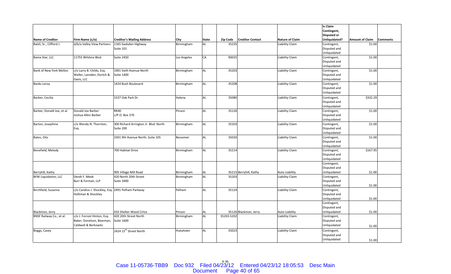|                             |                                                   |                                       |             |              |            |                         |                        | Is Claim                    |                        |                 |
|-----------------------------|---------------------------------------------------|---------------------------------------|-------------|--------------|------------|-------------------------|------------------------|-----------------------------|------------------------|-----------------|
|                             |                                                   |                                       |             |              |            |                         |                        | Contingent,                 |                        |                 |
|                             |                                                   |                                       |             |              |            |                         |                        | <b>Disputed or</b>          |                        |                 |
| <b>Name of Creditor</b>     | Firm Name (c/o)                                   | <b>Creditor's Mailing Address</b>     | City        | <b>State</b> | Zip Code   | <b>Creditor Contact</b> | <b>Nature of Claim</b> | Unliquidated?               | <b>Amount of Claim</b> | <b>Comments</b> |
| Balzli, Sr., Clifford J.    | d/b/a Valley View Partners                        | 1165 Gadsden Highway                  | Birmingham  | AL           | 35235      |                         | Liability Claim        | Contingent,                 | \$1.00                 |                 |
|                             |                                                   | Suite 101                             |             |              |            |                         |                        | Disputed and                |                        |                 |
|                             |                                                   |                                       |             |              |            |                         |                        | Unliquidated                |                        |                 |
| Bama Star, LLC              | 11755 Wilshire Blvd.                              | <b>Suite 2450</b>                     | Los Angeles | CA           | 90025      |                         | Liability Claim        | Contingent,                 | \$1.00                 |                 |
|                             |                                                   |                                       |             |              |            |                         |                        | Disputed and                |                        |                 |
|                             |                                                   |                                       |             |              |            |                         |                        | Unliquidated                |                        |                 |
| Bank of New York Mellon     | c/o Larry B. Childs, Esq.                         | 1901 Sixth Avenue North               | Birmingham  | <b>AL</b>    | 35203      |                         | Liability Claim        | Contingent,                 | \$1.00                 |                 |
|                             | Waller, Lansden, Dortch &                         | <b>Suite 1400</b>                     |             |              |            |                         |                        | Disputed and                |                        |                 |
|                             | Davis, LLC                                        |                                       |             |              |            |                         |                        | Unliquidated                |                        |                 |
| <b>Banks Leroy</b>          |                                                   | 1424 Bush Boulevard                   | Birmingham  | <b>AL</b>    | 35208      |                         | Liability Claim        | Contingent,                 | \$1.00                 |                 |
|                             |                                                   |                                       |             |              |            |                         |                        | Disputed and                |                        |                 |
|                             |                                                   |                                       |             |              |            |                         |                        | Unliquidated                |                        |                 |
| Barber, Cecilia             |                                                   | 1537 Oak Park Dr.                     | Helena      | <b>AL</b>    | 35080      |                         | Liability Claim        | Contingent,                 | \$332.29               |                 |
|                             |                                                   |                                       |             |              |            |                         |                        | Disputed and                |                        |                 |
|                             |                                                   |                                       |             |              |            |                         |                        | Unliquidated                |                        |                 |
| Barber, Donald Joe, et al.  | Donald Joe Barber                                 | <b>RR40</b>                           | Pinson      | <b>AL</b>    | 35126      |                         | Liability Claim        | Contingent,                 | \$1.00                 |                 |
|                             | Joshua Allen Barber                               | c/P.O. Box 370                        |             |              |            |                         |                        | Disputed and                |                        |                 |
|                             |                                                   |                                       |             |              |            |                         |                        | Unliquidated                |                        |                 |
| Barton, Josephine           | c/o Wendy N. Thornton,                            | 300 Richard Arrington Jr. Blvd. North | Birmingham  | <b>AL</b>    | 35203      |                         | Liability Claim        | Contingent,                 | \$1.00                 |                 |
|                             |                                                   | Suite 200                             |             |              |            |                         |                        | Disputed and                |                        |                 |
|                             | Esq.                                              |                                       |             |              |            |                         |                        |                             |                        |                 |
| Bates, Otis                 |                                                   | 2301 9th Avenue North, Suite 105      | Bessemer    | <b>AL</b>    | 35020      |                         | Liability Claim        | Unliquidated<br>Contingent, | \$1.00                 |                 |
|                             |                                                   |                                       |             |              |            |                         |                        | Disputed and                |                        |                 |
|                             |                                                   |                                       |             |              |            |                         |                        | Unliquidated                |                        |                 |
| Benefield, Melody           |                                                   | 700 Habitat Drive                     | Birmingham  | <b>AL</b>    | 35214      |                         | <b>Liability Claim</b> | Contingent,                 | \$167.95               |                 |
|                             |                                                   |                                       |             |              |            |                         |                        | Disputed and                |                        |                 |
|                             |                                                   |                                       |             |              |            |                         |                        | Unliquidated                |                        |                 |
|                             |                                                   |                                       |             |              |            |                         |                        | Contingent,                 |                        |                 |
|                             |                                                   |                                       |             |              |            |                         |                        | Disputed and                |                        |                 |
| Berryhill, Kathy            |                                                   | 905 Village Mill Road                 | Birmingham  | AL           |            | 35215 Berryhill, Kathy  | Auto Liability         | Unliquidated                | \$1.00                 |                 |
| <b>BFW Liquidation, LLC</b> | Derek F. Meek                                     | 420 North 20th Street                 | Birmingham  | <b>AL</b>    | 35203      |                         | Liability Claim        | Contingent,                 |                        |                 |
|                             | Burr & Forman, LLP                                | <b>Suite 3400</b>                     |             |              |            |                         |                        | Disputed and                |                        |                 |
|                             |                                                   |                                       |             |              |            |                         |                        | Unliquidated                | \$1.00                 |                 |
| Birchfield, Suzanne         | c/o Candice J. Shockley, Esq. 2491 Pelham Parkway |                                       | Pelham      | <b>AL</b>    | 35124      |                         | Liability Claim        | Contingent,                 |                        |                 |
|                             | Holliman & Shockley                               |                                       |             |              |            |                         |                        | Disputed and                |                        |                 |
|                             |                                                   |                                       |             |              |            |                         |                        | Unliquidated                | \$1.00                 |                 |
|                             |                                                   |                                       |             |              |            |                         |                        |                             |                        |                 |
|                             |                                                   |                                       |             |              |            |                         |                        | Contingent,                 |                        |                 |
| Blackmon, Jerry             |                                                   | 432 Shelter Wood Cirlce               | Pinson      | AL           |            | 35126 Blackmon, Jerry   | Auto Liability         | Disputed and                | \$1.00                 |                 |
|                             |                                                   |                                       |             | AL           |            |                         |                        | Unliquidated                |                        |                 |
| BNSF Railway Co., et al.    | c/o J. Forrest Hinton, Esq.                       | 420 20th Street North                 | Birmingham  |              | 35203-5202 |                         | Liability Claim        | Contingent,                 |                        |                 |
|                             | Baker, Donelson, Bearman,                         | <b>Suite 1600</b>                     |             |              |            |                         |                        | Disputed and                |                        |                 |
|                             | Caldwell & Berkowitz                              |                                       |             |              |            |                         |                        | Unliquidated                | \$1.00                 |                 |
| Boggs, Casey                |                                                   | 2424 15 <sup>th</sup> Street North    | Hueytown    | <b>AL</b>    | 35023      |                         | Liability Claim        | Contingent,                 |                        |                 |
|                             |                                                   |                                       |             |              |            |                         |                        | Disputed and                |                        |                 |
|                             |                                                   |                                       |             |              |            |                         |                        | Unliquidated                | \$1.00                 |                 |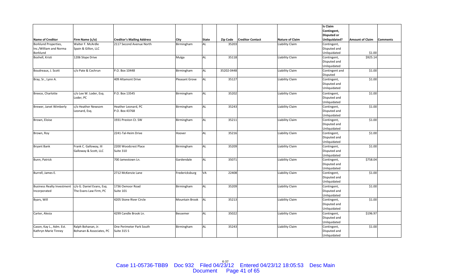|                                   |                           |                                   |                       |       |            |                         |                        | Is Claim           |                        |                 |
|-----------------------------------|---------------------------|-----------------------------------|-----------------------|-------|------------|-------------------------|------------------------|--------------------|------------------------|-----------------|
|                                   |                           |                                   |                       |       |            |                         |                        | Contingent,        |                        |                 |
|                                   |                           |                                   |                       |       |            |                         |                        | <b>Disputed or</b> |                        |                 |
| <b>Name of Creditor</b>           | Firm Name (c/o)           | <b>Creditor's Mailing Address</b> | City                  | State | Zip Code   | <b>Creditor Contact</b> | <b>Nature of Claim</b> | Unliquidated?      | <b>Amount of Claim</b> | <b>Comments</b> |
| Borklund Properties,              | Walter F. McArdle         | 2117 Second Avenue North          | Birmingham            | AL    | 35203      |                         | Liability Claim        | Contingent,        |                        |                 |
| Inc./William and Norma            | Spain & Gillon, LLC       |                                   |                       |       |            |                         |                        | Disputed and       |                        |                 |
| Borklund                          |                           |                                   |                       |       |            |                         |                        | Unliquidated       | \$1.00                 |                 |
| Boshell, Kristi                   | 1206 Slope Drive          |                                   | Mulga                 | AL    | 35118      |                         | Liability Claim        | Contingent,        | \$925.14               |                 |
|                                   |                           |                                   |                       |       |            |                         |                        | Disputed and       |                        |                 |
|                                   |                           |                                   |                       |       |            |                         |                        | Unliquidated       |                        |                 |
| Boudreaux, J. Scott               | c/o Pate & Cochrun        | P.O. Box 10448                    | Birmingham            | AL    | 35202-0448 |                         | Liability Claim        | Contingent and     | \$1.00                 |                 |
|                                   |                           |                                   |                       |       |            |                         |                        | Disputed           |                        |                 |
| Bray, Sr., Lynn A.                |                           | 409 Altamont Drive                | Pleasant Grove        | AL    | 35127      |                         | Liability Claim        | Contingent,        | \$1.00                 |                 |
|                                   |                           |                                   |                       |       |            |                         |                        | Disputed and       |                        |                 |
|                                   |                           |                                   |                       |       |            |                         |                        | Unliquidated       |                        |                 |
|                                   |                           |                                   |                       |       |            |                         |                        |                    |                        |                 |
| Breece, Charlotte                 | c/o Lee W. Loder, Esq.    | P.O. Box 13545                    | Birmingham            | AL    | 35202      |                         | Liability Claim        | Contingent,        | \$1.00                 |                 |
|                                   | Loder, PC                 |                                   |                       |       |            |                         |                        | Disputed and       |                        |                 |
|                                   |                           |                                   |                       |       |            |                         |                        | Unliquidated       |                        |                 |
| Brewer, Janet Wimberly            | c/o Heather Newsom        | Heather Leonard, PC               | Birmingham            | AL    | 35243      |                         | Liability Claim        | Contingent,        | \$1.00                 |                 |
|                                   | Leonard, Esq.             | P.O. Box 43768                    |                       |       |            |                         |                        | Disputed and       |                        |                 |
|                                   |                           |                                   |                       |       |            |                         |                        | Unliquidated       |                        |                 |
| Brown, Eloise                     |                           | 1931 Preston Ct. SW               | Birmingham            | AL    | 35211      |                         | Liability Claim        | Contingent,        | \$1.00                 |                 |
|                                   |                           |                                   |                       |       |            |                         |                        | Disputed and       |                        |                 |
|                                   |                           |                                   |                       |       |            |                         |                        | Unliquidated       |                        |                 |
| Brown, Roy                        |                           | 2241-Tal-Heim Drive               | Hoover                | AL    | 35216      |                         | Liability Claim        | Contingent,        | \$1.00                 |                 |
|                                   |                           |                                   |                       |       |            |                         |                        | Disputed and       |                        |                 |
|                                   |                           |                                   |                       |       |            |                         |                        | Unliquidated       |                        |                 |
| <b>Bryant Bank</b>                | Frank C. Galloway, III    | 2200 Woodcrest Place              | Birmingham            | AL    | 35209      |                         | Liability Claim        | Contingent,        | \$1.00                 |                 |
|                                   | Galloway & Scott, LLC     | Suite 310                         |                       |       |            |                         |                        | Disputed and       |                        |                 |
|                                   |                           |                                   |                       |       |            |                         |                        | Unliquidated       |                        |                 |
| Bunn, Patrick                     |                           | 700 Jamestown Ln.                 | Gardendale            | AL    | 35071      |                         | Liability Claim        | Contingent,        | \$758.04               |                 |
|                                   |                           |                                   |                       |       |            |                         |                        | Disputed and       |                        |                 |
|                                   |                           |                                   |                       |       |            |                         |                        | Unliquidated       |                        |                 |
| Burrell, James E.                 |                           | 2712 McKenzie Lane                | Fredericksburg        | VA    | 22408      |                         | Liability Claim        | Contingent,        | \$1.00                 |                 |
|                                   |                           |                                   |                       |       |            |                         |                        | Disputed and       |                        |                 |
|                                   |                           |                                   |                       |       |            |                         |                        | Unliquidated       |                        |                 |
| <b>Business Realty Investment</b> | c/o G. Daniel Evans, Esq. | 1736 Oxmoor Road                  | Birmingham            | AL    | 35209      |                         | Liability Claim        | Contingent,        | \$1.00                 |                 |
| Incorporated                      | The Evans Law Firm, PC    | Suite 101                         |                       |       |            |                         |                        | Disputed and       |                        |                 |
|                                   |                           |                                   |                       |       |            |                         |                        | Unliquidated       |                        |                 |
| Byars, Will                       |                           | 4205 Stone River Circle           | <b>Mountain Brook</b> | AL    | 35213      |                         | Liability Claim        | Contingent,        | \$1.00                 |                 |
|                                   |                           |                                   |                       |       |            |                         |                        | Disputed and       |                        |                 |
|                                   |                           |                                   |                       |       |            |                         |                        | Unliquidated       |                        |                 |
| Carter, Alesia                    |                           | 4299 Candle Brook Ln.             | Bessemer              | AL    | 35022      |                         | Liability Claim        | Contingent,        | \$196.97               |                 |
|                                   |                           |                                   |                       |       |            |                         |                        | Disputed and       |                        |                 |
|                                   |                           |                                   |                       |       |            |                         |                        | Unliquidated       |                        |                 |
| Cason, Kay L., Adm. Est.          | Ralph Bohanan, Jr.        | One Perimeter Park South          | Birmingham            | AL    | 35243      |                         | Liability Claim        | Contingent,        | \$1.00                 |                 |
| Kathryn Marie Tinney              | Bohanan & Associates, PC  | Suite 315 S                       |                       |       |            |                         |                        | Disputed and       |                        |                 |
|                                   |                           |                                   |                       |       |            |                         |                        | Unliquidated       |                        |                 |

Case 11-05736-TBB9 Doc 932 Filed 04/23/12 Entered 04/23/12 18:05:53 Desc Main<br>Document Page 41 of 65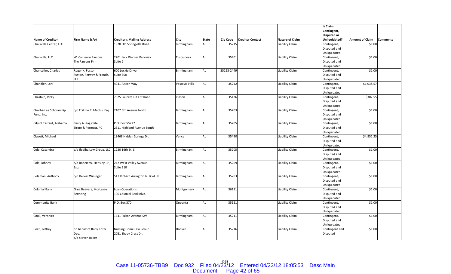|                          |                             |                                   |                |              |            |                         |                        | Is Claim           |                        |                 |
|--------------------------|-----------------------------|-----------------------------------|----------------|--------------|------------|-------------------------|------------------------|--------------------|------------------------|-----------------|
|                          |                             |                                   |                |              |            |                         |                        | Contingent,        |                        |                 |
|                          |                             |                                   |                |              |            |                         |                        | <b>Disputed or</b> |                        |                 |
| <b>Name of Creditor</b>  | Firm Name (c/o)             | <b>Creditor's Mailing Address</b> | <b>City</b>    | <b>State</b> | Zip Code   | <b>Creditor Contact</b> | <b>Nature of Claim</b> | Unliquidated?      | <b>Amount of Claim</b> | <b>Comments</b> |
| Chalkville Center, LLC   |                             | 1920 Old Springville Road         | Birmingham     | AL           | 35215      |                         | Liability Claim        | Contingent,        | \$1.00                 |                 |
|                          |                             |                                   |                |              |            |                         |                        | Disputed and       |                        |                 |
|                          |                             |                                   |                |              |            |                         |                        | Unliquidated       |                        |                 |
| Chalkville, LLC          | W. Cameron Parsons          | 2201 Jack Warner Parkway          | Tuscaloosa     | AL           | 35401      |                         | Liability Claim        | Contingent,        | \$1.00                 |                 |
|                          | The Parsons Firm            | Suite 2                           |                |              |            |                         |                        | Disputed and       |                        |                 |
|                          |                             |                                   |                |              |            |                         |                        | Unliquidated       |                        |                 |
| Chancellor, Charles      | Roger K. Fuston             | 600 Luckie Drive                  | Birmingham     | AL           | 35223-2449 |                         | Liability Claim        | Contingent,        | \$1.00                 |                 |
|                          | Fuston, Petway & French,    | Suite 300                         |                |              |            |                         |                        | Disputed and       |                        |                 |
|                          | LLP                         |                                   |                |              |            |                         |                        | Unliquidated       |                        |                 |
| Chandler, Lori           |                             | 4041 Alston Way                   | Vestavia Hills | AL           | 35242      |                         | Liability Claim        | Contingent,        | \$1,038.57             |                 |
|                          |                             |                                   |                |              |            |                         |                        | Disputed and       |                        |                 |
|                          |                             |                                   |                |              |            |                         |                        | Unliquidated       |                        |                 |
| Chastain, Vicky          |                             | 7325 Faucett Cut Off Road         | Pinson         | AL           | 35126      |                         | <b>Liability Claim</b> | Contingent,        | \$302.55               |                 |
|                          |                             |                                   |                |              |            |                         |                        | Disputed and       |                        |                 |
|                          |                             |                                   |                |              |            |                         |                        | Unliquidated       |                        |                 |
| Chorba-Lee Scholarship   | c/o Erskine R. Mathis, Esq. | 2107 5th Avenue North             | Birmingham     | <b>AL</b>    | 35203      |                         | Liability Claim        | Contingent,        | \$1.00                 |                 |
| Fund, Inc.               |                             |                                   |                |              |            |                         |                        | Disputed and       |                        |                 |
|                          |                             |                                   |                |              |            |                         |                        | Unliquidated       |                        |                 |
| City of Tarrant, Alabama | Barry A. Ragsdale           | P.O. Box 55727                    | Birmingham     | AL           | 35205      |                         | Liability Claim        | Contingent,        | \$1.00                 |                 |
|                          | Sirote & Permutt, PC        | 2311 Highland Avenue South        |                |              |            |                         |                        | Disputed and       |                        |                 |
|                          |                             |                                   |                |              |            |                         |                        | Unliquidated       |                        |                 |
| Clagett, Michael         |                             | 18468 Hidden Springs Dr.          | Vance          | <b>AL</b>    | 35490      |                         | Liability Claim        | Contingent,        | \$4,851.25             |                 |
|                          |                             |                                   |                |              |            |                         |                        | Disputed and       |                        |                 |
|                          |                             |                                   |                |              |            |                         |                        | Unliquidated       |                        |                 |
| Cole, Casandra           | c/o Ifediba Law Group, LLC  | 1220 16th St. S                   | Birmingham     | AL           | 35205      |                         | Liability Claim        | Contingent,        | \$1.00                 |                 |
|                          |                             |                                   |                |              |            |                         |                        | Disputed and       |                        |                 |
|                          |                             |                                   |                |              |            |                         |                        | Unliquidated       |                        |                 |
| Cole, Johnny             | c/o Robert W. Hensley, Jr., | 242 West Valley Avenue            | Birmingham     | AL           | 35209      |                         | Liability Claim        | Contingent,        | \$1.00                 |                 |
|                          | Esq.                        | Suite 210                         |                |              |            |                         |                        | Disputed and       |                        |                 |
|                          |                             |                                   |                |              |            |                         |                        | Unliquidated       |                        |                 |
| Coleman, Anthony         | c/o DeLeal Wininger         | 517 Richard Arrington Jr. Blvd. N | Birmingham     | AL           | 35203      |                         | Liability Claim        | Contingent,        | \$1.00                 |                 |
|                          |                             |                                   |                |              |            |                         |                        | Disputed and       |                        |                 |
|                          |                             |                                   |                |              |            |                         |                        | Unliquidated       |                        |                 |
| <b>Colonial Bank</b>     | Greg Beavers, Mortgage      | Loan Operations                   | Montgomery     | AL           | 36111      |                         | Liability Claim        | Contingent,        | \$1.00                 |                 |
|                          | Servicing                   | 100 Colonial Bank Blvd.           |                |              |            |                         |                        | Disputed and       |                        |                 |
|                          |                             |                                   |                |              |            |                         |                        | Unliquidated       |                        |                 |
| <b>Community Bank</b>    |                             | P.O. Box 370                      | Oneonta        | AL           | 35121      |                         | Liability Claim        | Contingent,        | \$1.00                 |                 |
|                          |                             |                                   |                |              |            |                         |                        | Disputed and       |                        |                 |
|                          |                             |                                   |                |              |            |                         |                        | Unliquidated       |                        |                 |
| Cook, Veronica           |                             | 1441 Fulton Avenue SW             | Birmingham     | AL           | 35211      |                         | Liability Claim        | Contingent,        | \$1.00                 |                 |
|                          |                             |                                   |                |              |            |                         |                        | Disputed and       |                        |                 |
|                          |                             |                                   |                |              |            |                         |                        | Unliquidated       |                        |                 |
| Cozzi, Jeffrey           | on behalf of Ruby Cozzi,    | Nursing Home Law Group            | Hoover         | AL           | 35216      |                         | Liability Claim        | Contingent and     | \$1.00                 |                 |
|                          | Dec.                        | 2031 Shady Crest Dr.              |                |              |            |                         |                        | Disputed           |                        |                 |
|                          | c/o Steven Baker            |                                   |                |              |            |                         |                        |                    |                        |                 |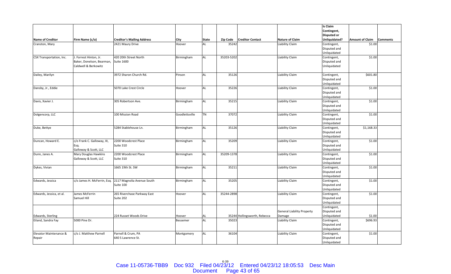|                          |                             |                                   |                |              |                 |                              |                                   | Is Claim                    |                        |                 |
|--------------------------|-----------------------------|-----------------------------------|----------------|--------------|-----------------|------------------------------|-----------------------------------|-----------------------------|------------------------|-----------------|
|                          |                             |                                   |                |              |                 |                              |                                   | Contingent,                 |                        |                 |
|                          |                             |                                   |                |              |                 |                              |                                   | <b>Disputed or</b>          |                        |                 |
| <b>Name of Creditor</b>  | Firm Name (c/o)             | <b>Creditor's Mailing Address</b> | City           | <b>State</b> | <b>Zip Code</b> | <b>Creditor Contact</b>      | <b>Nature of Claim</b>            | Unliquidated?               | <b>Amount of Claim</b> | <b>Comments</b> |
| Cranston, Mary           |                             | 2421 Maury Drive                  | Hoover         | AL           | 35242           |                              | Liability Claim                   | Contingent,                 | \$1.00                 |                 |
|                          |                             |                                   |                |              |                 |                              |                                   | Disputed and                |                        |                 |
|                          |                             |                                   |                |              |                 |                              |                                   | Unliquidated                |                        |                 |
| CSX Transportation, Inc. | J. Forrest Hinton, Jr.      | 420 20th Street North             | Birmingham     | <b>AL</b>    | 35203-5202      |                              | Liability Claim                   | Contingent,                 | \$1.00                 |                 |
|                          | Baker, Donelson, Bearman,   | <b>Suite 1600</b>                 |                |              |                 |                              |                                   | Disputed and                |                        |                 |
|                          | Caldwell & Berkowitz        |                                   |                |              |                 |                              |                                   | Unliquidated                |                        |                 |
|                          |                             |                                   |                |              |                 |                              |                                   |                             |                        |                 |
| Dailey, Marilyn          |                             | 3972 Sharon Church Rd.            | Pinson         | <b>AL</b>    | 35126           |                              | Liability Claim                   | Contingent,                 | \$601.80               |                 |
|                          |                             |                                   |                |              |                 |                              |                                   | Disputed and                |                        |                 |
|                          |                             |                                   |                |              |                 |                              |                                   | Unliquidated                |                        |                 |
| Dansby, Jr., Eddie       |                             | 5070 Lake Crest Circle            | Hoover         | <b>AL</b>    | 35226           |                              | Liability Claim                   | Contingent,                 | \$1.00                 |                 |
|                          |                             |                                   |                |              |                 |                              |                                   | Disputed and                |                        |                 |
|                          |                             |                                   |                |              |                 |                              |                                   | Unliquidated                |                        |                 |
| Davis, Xavier J.         |                             | 305 Robertson Ave.                | Birmingham     | <b>AL</b>    | 35215           |                              | <b>Liability Claim</b>            | Contingent,                 | \$1.00                 |                 |
|                          |                             |                                   |                |              |                 |                              |                                   | Disputed and                |                        |                 |
|                          |                             |                                   |                |              |                 |                              |                                   | Unliquidated                |                        |                 |
| Dolgencorp, LLC          |                             | 100 Mission Road                  | Goodlettsville | <b>TN</b>    | 37072           |                              | Liability Claim                   | Contingent,                 | \$1.00                 |                 |
|                          |                             |                                   |                |              |                 |                              |                                   | Disputed and                |                        |                 |
|                          |                             |                                   |                |              |                 |                              |                                   | Unliquidated                |                        |                 |
| Duke, Bettye             |                             | 5284 Stablehouse Ln.              | Birmingham     | <b>AL</b>    | 35126           |                              | Liability Claim                   | Contingent,                 | \$1,168.33             |                 |
|                          |                             |                                   |                |              |                 |                              |                                   | Disputed and                |                        |                 |
|                          |                             |                                   |                |              |                 |                              |                                   | Unliquidated                |                        |                 |
| Duncan, Howard E.        | c/o Frank C. Galloway, III, | 2200 Woodcrest Place              | Birmingham     | <b>AL</b>    | 35209           |                              | Liability Claim                   | Contingent,                 | \$1.00                 |                 |
|                          | Esq.                        | Suite 310                         |                |              |                 |                              |                                   | Disputed and                |                        |                 |
|                          | Galloway & Scott, LLC       |                                   |                |              |                 |                              |                                   | Unliquidated                |                        |                 |
| Dunn, Janes A.           | Mary Douglas Hawkins        | 2200 Woodcrest Place              | Birmingham     | <b>AL</b>    | 35209-1378      |                              | Liability Claim                   | Contingent,                 | \$1.00                 |                 |
|                          | Galloway & Scott, LLC       | Suite 310                         |                |              |                 |                              |                                   | Disputed and                |                        |                 |
|                          |                             |                                   |                |              |                 |                              |                                   | Unliquidated                |                        |                 |
| Dykes, Vivian            |                             | 1665 19th St. SW                  | Birmingham     | <b>AL</b>    | 35211           |                              | Liability Claim                   | Contingent,                 | \$1.00                 |                 |
|                          |                             |                                   |                |              |                 |                              |                                   | Disputed and                |                        |                 |
|                          |                             |                                   |                |              |                 |                              |                                   | Unliquidated                |                        |                 |
| Edwards, Jessica         | c/o James H. McFerrin, Esq. | 2117 Magnolia Avenue South        | Birmingham     | <b>AL</b>    | 35205           |                              | Liability Claim                   | Contingent,                 | \$1.00                 |                 |
|                          |                             | Suite 100                         |                |              |                 |                              |                                   | Disputed and                |                        |                 |
|                          |                             |                                   |                |              |                 |                              |                                   | Unliquidated                |                        |                 |
| Edwards, Jessica, et al. | James McFerrin              | 265 Riverchase Parkway East       | Hoover         | <b>AL</b>    | 35244-2898      |                              | Liability Claim                   | Contingent,                 | \$1.00                 |                 |
|                          | Samuel Hill                 | Suite 202                         |                |              |                 |                              |                                   | Disputed and                |                        |                 |
|                          |                             |                                   |                |              |                 |                              |                                   | Unliquidated                |                        |                 |
|                          |                             |                                   |                |              |                 |                              |                                   | Contingent,                 |                        |                 |
|                          |                             |                                   |                |              |                 |                              | <b>General Liability Property</b> | Disputed and                |                        |                 |
| Edwards, Sterling        |                             | 224 Russet Woods Drive            | Hoover         | AL           |                 | 35244 Hollingsworth, Rebecca | Damage                            | Unliquidated                | \$1.00                 |                 |
| Eiland, Sandra Fay       | 5000 Pine Dr.               |                                   | Bessemer       | <b>AL</b>    | 35023           |                              | Liability Claim                   | Contingent,                 | \$696.93               |                 |
|                          |                             |                                   |                |              |                 |                              |                                   | Disputed and                |                        |                 |
| Elevator Maintenance &   | c/o J. Matthew Parnell      | Parnell & Crum, PA                |                | <b>AL</b>    | 36104           |                              |                                   | Unliquidated                |                        |                 |
| Repair                   |                             | 640 S Lawrence St.                | Montgomery     |              |                 |                              | Liability Claim                   | Contingent,<br>Disputed and | \$1.00                 |                 |
|                          |                             |                                   |                |              |                 |                              |                                   | Unliquidated                |                        |                 |
|                          |                             |                                   |                |              |                 |                              |                                   |                             |                        |                 |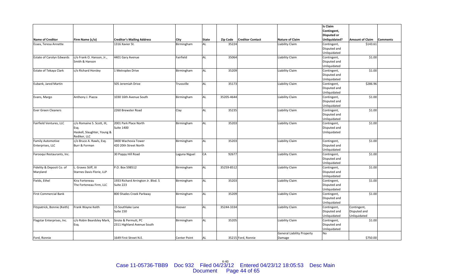|                                  |                             |                                    |                     |              |            |                         |                                   | <b>Is Claim</b>    |                        |                 |
|----------------------------------|-----------------------------|------------------------------------|---------------------|--------------|------------|-------------------------|-----------------------------------|--------------------|------------------------|-----------------|
|                                  |                             |                                    |                     |              |            |                         |                                   | Contingent,        |                        |                 |
|                                  |                             |                                    |                     |              |            |                         |                                   | <b>Disputed or</b> |                        |                 |
| <b>Name of Creditor</b>          | Firm Name (c/o)             | <b>Creditor's Mailing Address</b>  | City                | <b>State</b> | Zip Code   | <b>Creditor Contact</b> | <b>Nature of Claim</b>            | Unliquidated?      | <b>Amount of Claim</b> | <b>Comments</b> |
| Essex, Teresa Annette            |                             | 1316 Xavier St.                    | Birmingham          | AL           | 35224      |                         | Liability Claim                   | Contingent,        | \$143.61               |                 |
|                                  |                             |                                    |                     |              |            |                         |                                   | Disputed and       |                        |                 |
|                                  |                             |                                    |                     |              |            |                         |                                   | Unliquidated       |                        |                 |
| <b>Estate of Carolyn Edwards</b> | c/o Frank O. Hanson, Jr.,   | 4401 Gary Avenue                   | Fairfield           | <b>AL</b>    | 35064      |                         | Liability Claim                   | Contingent,        | \$1.00                 |                 |
|                                  | Smith & Hanson              |                                    |                     |              |            |                         |                                   | Disputed and       |                        |                 |
|                                  |                             |                                    |                     |              |            |                         |                                   | Unliquidated       |                        |                 |
| Estate of Tekaya Clark           | c/o Richard Horsley         | 1 Metroplex Drive                  | Birmingham          | AL           | 35209      |                         | Liability Claim                   | Contingent,        | \$1.00                 |                 |
|                                  |                             |                                    |                     |              |            |                         |                                   | Disputed and       |                        |                 |
|                                  |                             |                                    |                     |              |            |                         |                                   | Unliquidated       |                        |                 |
| Eubank, Jared Martin             |                             | 505 Jeremiah Drive                 | Trussville          | <b>AL</b>    | 35173      |                         | Liability Claim                   | Contingent,        | \$286.96               |                 |
|                                  |                             |                                    |                     |              |            |                         |                                   | Disputed and       |                        |                 |
|                                  |                             |                                    |                     |              |            |                         |                                   | Unliquidated       |                        |                 |
| Evans, Margo                     | Anthony J. Piazza           | 1030 16th Avenue South             | Birmingham          | <b>AL</b>    | 35205-4644 |                         | Liability Claim                   | Contingent,        | \$1.00                 |                 |
|                                  |                             |                                    |                     |              |            |                         |                                   | Disputed and       |                        |                 |
|                                  |                             |                                    |                     |              |            |                         |                                   | Unliquidated       |                        |                 |
| <b>Ever Green Cleaners</b>       |                             | 2260 Brewster Road                 | Clay                | <b>AL</b>    | 35235      |                         | Liability Claim                   | Contingent,        | \$1.00                 |                 |
|                                  |                             |                                    |                     |              |            |                         |                                   | Disputed and       |                        |                 |
|                                  |                             |                                    |                     |              |            |                         |                                   | Unliquidated       |                        |                 |
| Fairfield Ventures, LLC          | c/o Romaine S. Scott, III,  | 2001 Park Place North              | Birmingham          | <b>AL</b>    | 35203      |                         | Liability Claim                   | Contingent,        | \$1.00                 |                 |
|                                  | Esq.                        | <b>Suite 1400</b>                  |                     |              |            |                         |                                   | Disputed and       |                        |                 |
|                                  | Haskell, Slaughter, Young & |                                    |                     |              |            |                         |                                   | Unliquidated       |                        |                 |
|                                  | Rediker, LLC                |                                    |                     |              |            |                         |                                   |                    |                        |                 |
| <b>Family Automotive</b>         | c/o Bruce A. Rawls, Esq.    | 3400 Wachovia Tower                | Birmingham          | <b>AL</b>    | 35203      |                         | Liability Claim                   | Contingent,        | \$1.00                 |                 |
| Enterprises, LLC                 | Burr & Forman               | 420 20th Street North              |                     |              |            |                         |                                   | Disputed and       |                        |                 |
|                                  |                             |                                    |                     |              |            |                         |                                   | Unliquidated       |                        |                 |
| Farooqui Restaurants, Inc.       |                             | 30 Poppy Hill Road                 | Laguna Niguel       | CA           | 92677      |                         | Liability Claim                   | Contingent,        | \$1.00                 |                 |
|                                  |                             |                                    |                     |              |            |                         |                                   | Disputed and       |                        |                 |
|                                  |                             |                                    |                     |              |            |                         |                                   | Unliquidated       |                        |                 |
| Fidelity & Deposit Co. of        | Graves Stiff, III           | P.O. Box 598512                    | Birmingham          | <b>AL</b>    | 35259-8512 |                         | Liability Claim                   | Contingent,        | \$1.00                 |                 |
| Maryland                         | Starnes Davis Florie, LLP   |                                    |                     |              |            |                         |                                   | Disputed and       |                        |                 |
|                                  |                             |                                    |                     |              |            |                         |                                   | Unliquidated       |                        |                 |
| Fields, Ethel                    | Kira Forteneau              | 1933 Richard Arrington Jr. Blvd. S | Birmingham          | <b>AL</b>    | 35203      |                         | <b>Liability Claim</b>            | Contingent,        | \$1.00                 |                 |
|                                  | The Forteneau Firm, LLC     | Suite 223                          |                     |              |            |                         |                                   | Disputed and       |                        |                 |
|                                  |                             |                                    |                     |              |            |                         |                                   | Unliquidated       |                        |                 |
| <b>First Commercial Bank</b>     |                             | 800 Shades Creek Parkway           | Birmingham          | <b>AL</b>    | 35209      |                         | Liability Claim                   | Contingent,        | \$1.00                 |                 |
|                                  |                             |                                    |                     |              |            |                         |                                   | Disputed and       |                        |                 |
|                                  |                             |                                    |                     |              |            |                         |                                   | Unliquidated       |                        |                 |
| Fitzpatrick, Bonnie (Keith)      | Frank Wayne Keith           | 15 Southlake Lane                  | Hoover              | <b>AL</b>    | 35244-3334 |                         | Liability Claim                   | Contingent,        | Contingent,            |                 |
|                                  |                             | Suite 150                          |                     |              |            |                         |                                   | Disputed and       | Disputed and           |                 |
|                                  |                             |                                    |                     |              |            |                         |                                   | Unliquidated       | Unliquidated           |                 |
| Flagstar Enterprises, Inc.       | c/o Robin Beardsley Mark,   | Sirote & Permutt, PC               | Birmingham          | <b>AL</b>    | 35205      |                         | Liability Claim                   | Contingent,        | \$1.00                 |                 |
|                                  | Esq.                        | 2311 Highland Avenue South         |                     |              |            |                         |                                   | Disputed and       |                        |                 |
|                                  |                             |                                    |                     |              |            |                         |                                   | Unliquidated       |                        |                 |
|                                  |                             |                                    |                     |              |            |                         | <b>General Liability Property</b> | No                 |                        |                 |
| Ford, Ronnie                     |                             | 1649 First Street N.E.             | <b>Center Point</b> | AL           |            | 35215 Ford, Ronnie      | Damage                            |                    | \$750.00               |                 |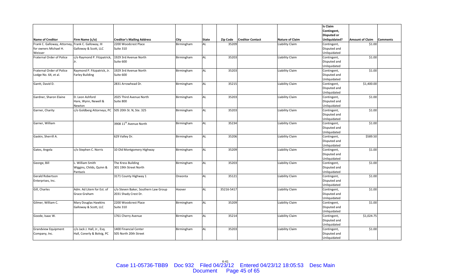|                              |                                                     |                                      |             |              |            |                         |                        | Is Claim           |                        |                 |
|------------------------------|-----------------------------------------------------|--------------------------------------|-------------|--------------|------------|-------------------------|------------------------|--------------------|------------------------|-----------------|
|                              |                                                     |                                      |             |              |            |                         |                        | Contingent,        |                        |                 |
|                              |                                                     |                                      |             |              |            |                         |                        | <b>Disputed or</b> |                        |                 |
| <b>Name of Creditor</b>      | Firm Name (c/o)                                     | <b>Creditor's Mailing Address</b>    | <b>City</b> | <b>State</b> | Zip Code   | <b>Creditor Contact</b> | <b>Nature of Claim</b> | Unliquidated?      | <b>Amount of Claim</b> | <b>Comments</b> |
| Frank C. Galloway, Attorney, | Frank C. Galloway, III                              | 2200 Woodcrest Place                 | Birmingham  | AL           | 35209      |                         | Liability Claim        | Contingent,        | \$1.00                 |                 |
| for owners Michael H.        | Galloway & Scott, LLC                               | Suite 310                            |             |              |            |                         |                        | Disputed and       |                        |                 |
| Weisser                      |                                                     |                                      |             |              |            |                         |                        | Unliquidated       |                        |                 |
| Fraternal Order of Police    | c/o Raymond P. Fitzpatrick,                         | 1929 3rd Avenue North                | Birmingham  | <b>AL</b>    | 35203      |                         | Liability Claim        | Contingent,        | \$1.00                 |                 |
|                              | Jr.                                                 | Suite 600                            |             |              |            |                         |                        | Disputed and       |                        |                 |
|                              |                                                     |                                      |             |              |            |                         |                        | Unliquidated       |                        |                 |
| Fraternal Order of Police    | Raymond P. Fitzpatrick, Jr.                         | 1929 3rd Avenue North                | Birmingham  | AL           | 35203      |                         | Liability Claim        | Contingent,        | \$1.00                 |                 |
| Lodge No. 64, et al.         | <b>Farley Building</b>                              | Suite 600                            |             |              |            |                         |                        | Disputed and       |                        |                 |
|                              |                                                     |                                      |             |              |            |                         |                        | Unliquidated       |                        |                 |
| Gantt, David D.              |                                                     | 2831 Arrowhead Dr.                   | Birmingham  | AL           | 35215      |                         | Liability Claim        | Contingent,        | \$1,400.00             |                 |
|                              |                                                     |                                      |             |              |            |                         |                        | Disputed and       |                        |                 |
|                              |                                                     |                                      |             |              |            |                         |                        | Unliquidated       |                        |                 |
| Gardner, Sharon Elaine       | D. Leon Ashford                                     | 2025 Third Avenue North              | Birmingham  | <b>AL</b>    | 35203      |                         | Liability Claim        | Contingent,        | \$1.00                 |                 |
|                              | Hare, Wynn, Newell &                                | Suite 800                            |             |              |            |                         |                        | Disputed and       |                        |                 |
|                              | Newton                                              |                                      |             |              |            |                         |                        | Unliquidated       |                        |                 |
| Garner, Charity              | c/o Goldberg Attorneys, PC 505 20th St. N, Ste. 325 |                                      | Birmingham  | AL           | 35203      |                         | Liability Claim        | Contingent,        | \$1.00                 |                 |
|                              |                                                     |                                      |             |              |            |                         |                        | Disputed and       |                        |                 |
|                              |                                                     |                                      |             |              |            |                         |                        | Unliquidated       |                        |                 |
| Garner, William              |                                                     | 3908 11 <sup>th</sup> Avenue North   | Birmingham  | AL           | 35234      |                         | Liability Claim        | Contingent,        | \$1.00                 |                 |
|                              |                                                     |                                      |             |              |            |                         |                        | Disputed and       |                        |                 |
|                              |                                                     |                                      |             |              |            |                         |                        | Unliquidated       |                        |                 |
| Gaskin, Sherrill A.          |                                                     | 629 Valley Dr.                       | Birmingham  | AL           | 35206      |                         | Liability Claim        | Contingent,        | \$589.50               |                 |
|                              |                                                     |                                      |             |              |            |                         |                        | Disputed and       |                        |                 |
|                              |                                                     |                                      |             |              |            |                         |                        | Unliquidated       |                        |                 |
| Gates, Angela                | c/o Stephen C. Norris                               | 10 Old Montgomery Highway            | Birmingham  | AL           | 35209      |                         | Liability Claim        | Contingent,        | \$1.00                 |                 |
|                              |                                                     |                                      |             |              |            |                         |                        | Disputed and       |                        |                 |
|                              |                                                     |                                      |             |              |            |                         |                        | Unliquidated       |                        |                 |
| George, Bill                 | William Smith                                       | The Kress Building                   | Birmingham  | AL           | 35203      |                         | Liability Claim        | Contingent,        | \$1.00                 |                 |
|                              | Wiggins, Childs, Quinn &                            | 301 19th Street North                |             |              |            |                         |                        | Disputed and       |                        |                 |
|                              | Pantazis                                            |                                      |             |              |            |                         |                        | Unliquidated       |                        |                 |
| <b>Gerald Robertson</b>      |                                                     | 3171 County Highway 1                | Oneonta     | AL           | 35121      |                         | Liability Claim        | Contingent,        | \$1.00                 |                 |
| Enterprises, Inc.            |                                                     |                                      |             |              |            |                         |                        | Disputed and       |                        |                 |
|                              |                                                     |                                      |             |              |            |                         |                        | Unliquidated       |                        |                 |
| Gill, Charles                | Adm. Ad Litem for Est. of                           | c/o Steven Baker, Southern Law Group | Hoover      | <b>AL</b>    | 35216-5417 |                         | <b>Liability Claim</b> | Contingent,        | \$1.00                 |                 |
|                              | Grace Graham                                        | 2031 Shady Crest Dr.                 |             |              |            |                         |                        | Disputed and       |                        |                 |
|                              |                                                     |                                      |             |              |            |                         |                        | Unliquidated       |                        |                 |
| Gilmer, William C.           | Mary Douglas Hawkins                                | 2200 Woodcrest Place                 | Birmingham  | AL           | 35209      |                         | Liability Claim        | Contingent,        | \$1.00                 |                 |
|                              | Galloway & Scott, LLC                               | Suite 310                            |             |              |            |                         |                        | Disputed and       |                        |                 |
|                              |                                                     |                                      |             |              |            |                         |                        | Unliquidated       |                        |                 |
| Goode, Isaac W.              |                                                     | 1761 Cherry Avenue                   | Birmingham  | AL           | 35214      |                         | Liability Claim        | Contingent,        | \$1,024.75             |                 |
|                              |                                                     |                                      |             |              |            |                         |                        | Disputed and       |                        |                 |
|                              |                                                     |                                      |             |              |            |                         |                        | Unliquidated       |                        |                 |
| <b>Grandview Equipment</b>   | c/o Jack J. Hall, Jr., Esq.                         | 1400 Financial Center                | Birmingham  | AL           | 35203      |                         | Liability Claim        | Contingent,        | \$1.00                 |                 |
| Company, Inc.                | Hall, Conerly & Bolvig, PC                          | 505 North 20th Street                |             |              |            |                         |                        | Disputed and       |                        |                 |
|                              |                                                     |                                      |             |              |            |                         |                        | Unliquidated       |                        |                 |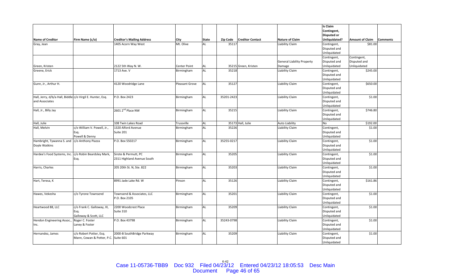|                                                            |                                      |                                   |                       |              |                 |                         |                                   | <b>Is Claim</b>    |                        |                 |
|------------------------------------------------------------|--------------------------------------|-----------------------------------|-----------------------|--------------|-----------------|-------------------------|-----------------------------------|--------------------|------------------------|-----------------|
|                                                            |                                      |                                   |                       |              |                 |                         |                                   | Contingent,        |                        |                 |
|                                                            |                                      |                                   |                       |              |                 |                         |                                   | <b>Disputed or</b> |                        |                 |
| <b>Name of Creditor</b>                                    | Firm Name (c/o)                      | <b>Creditor's Mailing Address</b> | <b>City</b>           | <b>State</b> | <b>Zip Code</b> | <b>Creditor Contact</b> | <b>Nature of Claim</b>            | Unliquidated?      | <b>Amount of Claim</b> | <b>Comments</b> |
| Gray, Jean                                                 |                                      | 1405 Acorn Way West               | Mt. Olive             | AL           | 35117           |                         | Liability Claim                   | Contingent,        | \$81.00                |                 |
|                                                            |                                      |                                   |                       |              |                 |                         |                                   | Disputed and       |                        |                 |
|                                                            |                                      |                                   |                       |              |                 |                         |                                   | Unliquidated       |                        |                 |
|                                                            |                                      |                                   |                       |              |                 |                         |                                   | Contingent,        | Contingent,            |                 |
|                                                            |                                      |                                   |                       |              |                 |                         | <b>General Liability Property</b> | Disputed and       | Disputed and           |                 |
| Green, Kristen                                             |                                      | 2122 5th Way N. W.                | <b>Center Point</b>   | AL           |                 | 35215 Green, Kristen    | Damage                            | Unliquidated       | Unliquidated           |                 |
| Greene, Erick                                              |                                      | 1713 Ave. V                       | Birmingham            | <b>AL</b>    | 35218           |                         | Liability Claim                   | Contingent,        | \$245.00               |                 |
|                                                            |                                      |                                   |                       |              |                 |                         |                                   | Disputed and       |                        |                 |
|                                                            |                                      |                                   |                       |              |                 |                         |                                   | Unliquidated       |                        |                 |
| Gunn, Jr., Arthur H.                                       |                                      | 4120 Woodridge Lane               | <b>Pleasant Grove</b> | <b>AL</b>    | 35127           |                         | <b>Liability Claim</b>            | Contingent,        | \$650.00               |                 |
|                                                            |                                      |                                   |                       |              |                 |                         |                                   | Disputed and       |                        |                 |
|                                                            |                                      |                                   |                       |              |                 |                         |                                   | Unliquidated       |                        |                 |
| Hall, Jerry, d/b/a Hall, Biddle c/o Virgil E. Hunter, Esq. |                                      | P.O. Box 2423                     | Birmingham            | <b>AL</b>    | 35201-2423      |                         | Liability Claim                   | Contingent,        | \$1.00                 |                 |
| and Associates                                             |                                      |                                   |                       |              |                 |                         |                                   | Disputed and       |                        |                 |
|                                                            |                                      |                                   |                       |              |                 |                         |                                   | Unliquidated       |                        |                 |
| Hall, Jr., Billy Jay                                       |                                      | 2601 2 <sup>nd</sup> Place NW     | Birmingham            | <b>AL</b>    | 35215           |                         | Liability Claim                   | Contingent,        | \$746.80               |                 |
|                                                            |                                      |                                   |                       |              |                 |                         |                                   | Disputed and       |                        |                 |
|                                                            |                                      |                                   |                       |              |                 |                         |                                   | Unliquidated       |                        |                 |
| Hall, Julie                                                |                                      | 108 Twin Lakes Road               | Trussville            | AL           |                 | 35173 Hall, Julie       | <b>Auto Liability</b>             | No                 | \$192.00               |                 |
| Hall, Melvin                                               | c/o William V. Powell, Jr.,          | 1320 Alford Avenue                | Birmingham            | <b>AL</b>    | 35226           |                         | Liability Claim                   | Contingent,        | \$1.00                 |                 |
|                                                            | Esg.                                 | Suite 201                         |                       |              |                 |                         |                                   | Disputed and       |                        |                 |
|                                                            | Powell & Denny                       |                                   |                       |              |                 |                         |                                   | Unliquidated       |                        |                 |
| Hambright, Tywanna S. and                                  | c/o Anthony Piazza                   | P.O. Box 550217                   | Birmingham            | <b>AL</b>    | 35255-0217      |                         | Liability Claim                   | Contingent,        | \$1.00                 |                 |
| Doyle Watkins                                              |                                      |                                   |                       |              |                 |                         |                                   | Disputed and       |                        |                 |
|                                                            |                                      |                                   |                       |              |                 |                         |                                   | Unliquidated       |                        |                 |
| Hardee's Food Systems, Inc.                                | c/o Robin Beardsley Mark,            | Sirote & Permutt, PC              | Birmingham            | <b>AL</b>    | 35205           |                         | Liability Claim                   | Contingent,        | \$1.00                 |                 |
|                                                            | Esq.                                 | 2311 Highland Avenue South        |                       |              |                 |                         |                                   | Disputed and       |                        |                 |
|                                                            |                                      |                                   |                       |              |                 |                         |                                   | Unliquidated       |                        |                 |
| Harris, Charles                                            |                                      | 205 20th St. N, Ste. 822          | Birmingham            | <b>AL</b>    | 35203           |                         | Liability Claim                   | Contingent,        | \$1.00                 |                 |
|                                                            |                                      |                                   |                       |              |                 |                         |                                   | Disputed and       |                        |                 |
|                                                            |                                      |                                   |                       |              |                 |                         |                                   | Unliquidated       |                        |                 |
| Hart, Teresa, K                                            |                                      | 8991 Jade Lake Rd. W              | Pinson                | <b>AL</b>    | 35126           |                         | Liability Claim                   | Contingent,        | \$161.86               |                 |
|                                                            |                                      |                                   |                       |              |                 |                         |                                   | Disputed and       |                        |                 |
|                                                            |                                      |                                   |                       |              |                 |                         |                                   | Unliquidated       |                        |                 |
| Hawes, Vekesha                                             | c/o Tyrone Townsend                  | Townsend & Associates, LLC        | Birmingham            | <b>AL</b>    | 35201           |                         | Liability Claim                   | Contingent,        | \$1.00                 |                 |
|                                                            |                                      | P.O. Box 2105                     |                       |              |                 |                         |                                   | Disputed and       |                        |                 |
|                                                            |                                      |                                   |                       |              |                 |                         |                                   | Unliquidated       |                        |                 |
| Heartwood 88, LLC                                          | c/o Frank C. Galloway, III,          | 2200 Woodcrest Place              | Birmingham            | <b>AL</b>    | 35209           |                         | Liability Claim                   | Contingent,        | \$1.00                 |                 |
|                                                            | Esq.                                 | Suite 310                         |                       |              |                 |                         |                                   | Disputed and       |                        |                 |
|                                                            | Galloway & Scott, LLC                |                                   |                       |              |                 |                         |                                   | Unliquidated       |                        |                 |
| Hendon Engineering Assoc.,                                 | Roger C. Foster                      | P.O. Box 43798                    | Birmingham            | <b>AL</b>    | 35243-0798      |                         | Liability Claim                   | Contingent,        | \$1.00                 |                 |
| Inc.                                                       | Laney & Foster                       |                                   |                       |              |                 |                         |                                   | Disputed and       |                        |                 |
|                                                            |                                      |                                   |                       |              |                 |                         |                                   | Unliquidated       |                        |                 |
| Hernandez, James                                           | c/o Robert Potter, Esq.              | 2000-B SouthBridge Parkway        | Birmingham            | <b>AL</b>    | 35209           |                         | Liability Claim                   | Contingent,        | \$1.00                 |                 |
|                                                            | Mann, Cowan & Potter, P.C. Suite 601 |                                   |                       |              |                 |                         |                                   | Disputed and       |                        |                 |
|                                                            |                                      |                                   |                       |              |                 |                         |                                   | Unliquidated       |                        |                 |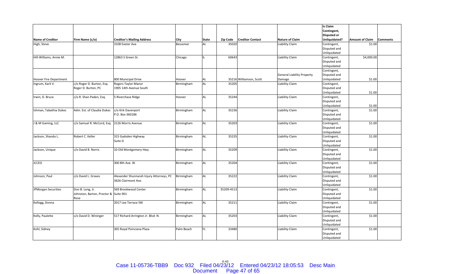|                               |                                       |                                          |            |              |            |                         |                                   | Is Claim           |                        |                 |
|-------------------------------|---------------------------------------|------------------------------------------|------------|--------------|------------|-------------------------|-----------------------------------|--------------------|------------------------|-----------------|
|                               |                                       |                                          |            |              |            |                         |                                   | Contingent,        |                        |                 |
|                               |                                       |                                          |            |              |            |                         |                                   | <b>Disputed or</b> |                        |                 |
| <b>Name of Creditor</b>       | Firm Name (c/o)                       | <b>Creditor's Mailing Address</b>        | City       | <b>State</b> | Zip Code   | <b>Creditor Contact</b> | <b>Nature of Claim</b>            | Unliquidated?      | <b>Amount of Claim</b> | <b>Comments</b> |
| High, Steve                   |                                       | 3108 Exeter Ave                          | Bessemer   | AL           | 35020      |                         | Liability Claim                   | Contingent,        | \$1.00                 |                 |
|                               |                                       |                                          |            |              |            |                         |                                   | Disputed and       |                        |                 |
|                               |                                       |                                          |            |              |            |                         |                                   | Unliquidated       |                        |                 |
| Hill-Williams, Annie M.       |                                       | 12863 S Green St.                        | Chicago    | IL           | 60643      |                         | Liability Claim                   | Contingent,        | \$4,000.00             |                 |
|                               |                                       |                                          |            |              |            |                         |                                   | Disputed and       |                        |                 |
|                               |                                       |                                          |            |              |            |                         |                                   | Unliquidated       |                        |                 |
|                               |                                       |                                          |            |              |            |                         |                                   | Contingent,        |                        |                 |
|                               |                                       |                                          |            |              |            |                         | <b>General Liability Property</b> | Disputed and       |                        |                 |
| <b>Hoover Fire Department</b> |                                       | 800 Municipal Drive                      | Hoover     | AL           |            | 35216 Williamson, Scott | Damage                            | Unliquidated       | \$1.00                 |                 |
| Ingrum, Karli V.              | c/o Roger D. Burton, Esq.             | Rogers-Taylor Manor                      | Birmingham | <b>AL</b>    | 35205      |                         | Liability Claim                   | Contingent,        |                        |                 |
|                               | Roger D. Burton, PC                   | 1905 14th Avenue South                   |            |              |            |                         |                                   | Disputed and       |                        |                 |
|                               |                                       |                                          |            |              |            |                         |                                   | Unliquidated       | \$1.00                 |                 |
| Irwin, D. Bruce               | c/o R. Shan Paden, Esq.               | 5 Riverchase Ridge                       | Hoover     | <b>AL</b>    | 35244      |                         | Liability Claim                   | Contingent,        |                        |                 |
|                               |                                       |                                          |            |              |            |                         |                                   | Disputed and       |                        |                 |
|                               |                                       |                                          |            |              |            |                         |                                   | Unliquidated       | \$1.00                 |                 |
| Ishman, Tabathia Dukes        | Adm. Est. of Claudia Dukes            | c/o Kirk Davenport                       | Birmingham | <b>AL</b>    | 35236      |                         | <b>Liability Claim</b>            | Contingent,        | \$1.00                 |                 |
|                               |                                       | P.O. Box 360186                          |            |              |            |                         |                                   | Disputed and       |                        |                 |
|                               |                                       |                                          |            |              |            |                         |                                   | Unliquidated       |                        |                 |
| J & M Gaming, LLC             | c/o Samuel R. McCord, Esq.            | 2126 Morris Avenue                       | Birmingham | <b>AL</b>    | 35203      |                         | Liability Claim                   | Contingent,        | \$1.00                 |                 |
|                               |                                       |                                          |            |              |            |                         |                                   | Disputed and       |                        |                 |
|                               |                                       |                                          |            |              |            |                         |                                   | Unliquidated       |                        |                 |
| Jackson, Shanda L.            | Robert C. Keller                      | 315 Gadsden Highway                      | Birmingham | <b>AL</b>    | 35235      |                         | Liability Claim                   | Contingent,        | \$1.00                 |                 |
|                               |                                       | Suite D                                  |            |              |            |                         |                                   | Disputed and       |                        |                 |
|                               |                                       |                                          |            |              |            |                         |                                   | Unliquidated       |                        |                 |
| Jackson, Unique               | c/o David B. Norris                   | 10 Old Montgomery Hwy.                   | Birmingham | <b>AL</b>    | 35209      |                         | Liability Claim                   | Contingent,        | \$1.00                 |                 |
|                               |                                       |                                          |            |              |            |                         |                                   | Disputed and       |                        |                 |
|                               |                                       |                                          |            |              |            |                         |                                   | Unliquidated       |                        |                 |
| <b>JCCEO</b>                  |                                       | 300 8th Ave. W                           | Birmingham | <b>AL</b>    | 35204      |                         | Liability Claim                   | Contingent,        | \$1.00                 |                 |
|                               |                                       |                                          |            |              |            |                         |                                   | Disputed and       |                        |                 |
|                               |                                       |                                          |            |              |            |                         |                                   | Unliquidated       |                        |                 |
| Johnson, Paul                 | c/o David L. Graves                   | Alexander Shunnarah Injury Attorneys, PC | Birmingham | <b>AL</b>    | 35222      |                         | Liability Claim                   | Contingent,        | \$1.00                 |                 |
|                               |                                       | 3626 Clairmont Ave.                      |            |              |            |                         |                                   | Disputed and       |                        |                 |
|                               |                                       |                                          |            |              |            |                         |                                   | Unliquidated       |                        |                 |
| <b>JPMorgan Securities</b>    | Don B. Long, Jr.                      | 569 Brookwood Center                     | Birmingham | <b>AL</b>    | 35209-4513 |                         | Liability Claim                   | Contingent,        | \$1.00                 |                 |
|                               | Johnston, Barton, Proctor & Suite 901 |                                          |            |              |            |                         |                                   | Disputed and       |                        |                 |
|                               | Rose                                  |                                          |            |              |            |                         |                                   | Unliquidated       |                        |                 |
| Kellogg, Donna                |                                       | 2017 Lee Terrace SW                      | Birmingham | AL           | 35211      |                         | Liability Claim                   | Contingent,        | \$1.00                 |                 |
|                               |                                       |                                          |            |              |            |                         |                                   | Disputed and       |                        |                 |
|                               |                                       |                                          |            |              |            |                         |                                   | Unliquidated       |                        |                 |
| Kelly, Paulette               | c/o David D. Wininger                 | 517 Richard Arrington Jr. Blvd. N.       | Birmingham | <b>AL</b>    | 35203      |                         | Liability Claim                   | Contingent,        | \$1.00                 |                 |
|                               |                                       |                                          |            |              |            |                         |                                   | Disputed and       |                        |                 |
|                               |                                       |                                          |            |              |            |                         |                                   | Unliquidated       |                        |                 |
| Kohl, Sidney                  |                                       | 305 Royal Poinciana Plaza                | Palm Beach | IFL.         | 33480      |                         | Liability Claim                   | Contingent,        | \$1.00                 |                 |
|                               |                                       |                                          |            |              |            |                         |                                   | Disputed and       |                        |                 |
|                               |                                       |                                          |            |              |            |                         |                                   | Unliquidated       |                        |                 |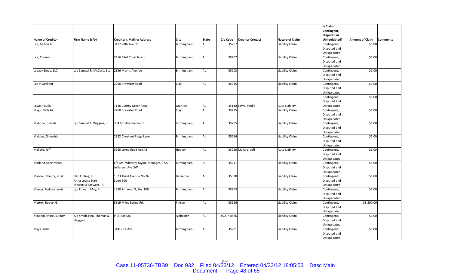|                           |                            |                                         |            |              |            |                         |                        | <b>Is Claim</b>    |                        |                 |
|---------------------------|----------------------------|-----------------------------------------|------------|--------------|------------|-------------------------|------------------------|--------------------|------------------------|-----------------|
|                           |                            |                                         |            |              |            |                         |                        | Contingent,        |                        |                 |
|                           |                            |                                         |            |              |            |                         |                        | <b>Disputed or</b> |                        |                 |
| <b>Name of Creditor</b>   | Firm Name (c/o)            | <b>Creditor's Mailing Address</b>       | City       | <b>State</b> | Zip Code   | <b>Creditor Contact</b> | <b>Nature of Claim</b> | Unliquidated?      | <b>Amount of Claim</b> | <b>Comments</b> |
| Lee, Milton A.            |                            | 3417 28th Ave. N                        | Birmingham | AL           | 35207      |                         | Liability Claim        | Contingent,        | \$1.00                 |                 |
|                           |                            |                                         |            |              |            |                         |                        | Disputed and       |                        |                 |
|                           |                            |                                         |            |              |            |                         |                        | Unliquidated       |                        |                 |
| Lee, Thomas               |                            | 3416 33rd Court North                   | Birmingham | <b>AL</b>    | 35207      |                         | Liability Claim        | Contingent,        | \$1.00                 |                 |
|                           |                            |                                         |            |              |            |                         |                        | Disputed and       |                        |                 |
|                           |                            |                                         |            |              |            |                         |                        | Unliquidated       |                        |                 |
| Legacy Bingo, LLC         | c/o Samuel R. McCord, Esq. | 2126 Morris Avenue                      | Birmingham | <b>AL</b>    | 35203      |                         | Liability Claim        | Contingent,        | \$1.00                 |                 |
|                           |                            |                                         |            |              |            |                         |                        | Disputed and       |                        |                 |
|                           |                            |                                         |            |              |            |                         |                        | Unliquidated       |                        |                 |
| Lot of Xcellent           |                            | 2260 Brewster Road                      | Clay       | <b>AL</b>    | 35235      |                         | Liability Claim        | Contingent,        | \$1.00                 |                 |
|                           |                            |                                         |            |              |            |                         |                        | Disputed and       |                        |                 |
|                           |                            |                                         |            |              |            |                         |                        | Unliquidated       |                        |                 |
|                           |                            |                                         |            |              |            |                         |                        | Contingent,        | \$1.00                 |                 |
|                           |                            |                                         |            |              |            |                         |                        | Disputed and       |                        |                 |
| Lowe, Paulla              |                            | 7116 Cumby Greer Road                   | Quinton    | AL           |            | 35130 Lowe, Paulla      | <b>Auto Liability</b>  | Unliquidated       |                        |                 |
| Magic Nails #2            |                            | 2260 Brewster Road                      | Clay       | <b>AL</b>    | 35235      |                         | Liability Claim        | Contingent,        | \$1.00                 |                 |
|                           |                            |                                         |            |              |            |                         |                        | Disputed and       |                        |                 |
|                           |                            |                                         |            |              |            |                         |                        | Unliquidated       |                        |                 |
| Mahone, Brenda            | c/o Samuel E. Wiggins, III | 334 6th Avenue South                    | Birmingham | <b>AL</b>    | 35205      |                         | Liability Claim        | Contingent,        | \$1.00                 |                 |
|                           |                            |                                         |            |              |            |                         |                        | Disputed and       |                        |                 |
|                           |                            |                                         |            |              |            |                         |                        | Unliquidated       |                        |                 |
| Maiden, Gilneshia         |                            | 2932 Chestnut Ridge Lane                | Birmingham | <b>AL</b>    | 35216      |                         | Liability Claim        | Contingent,        | \$1.00                 |                 |
|                           |                            |                                         |            |              |            |                         |                        | Disputed and       |                        |                 |
|                           |                            |                                         |            |              |            |                         |                        | Unliquidated       |                        |                 |
| Mallard, Jeff             |                            | 3565 Lorna Road Apt.#8                  | Hoover     | <b>AL</b>    |            | 35216 Mallard, Jeff     | <b>Auto Liability</b>  | Contingent,        | \$1.00                 |                 |
|                           |                            |                                         |            |              |            |                         |                        | Disputed and       |                        |                 |
|                           |                            |                                         |            |              |            |                         |                        | Unliquidated       |                        |                 |
| <b>Marland Apartments</b> |                            | c/o Ms. Whitney Taylor, Manager, 2727-E | Birmingham | <b>AL</b>    | 35211      |                         | Liability Claim        | Contingent,        | \$1.00                 |                 |
|                           |                            | Jefferson Ave SW                        |            |              |            |                         |                        | Disputed and       |                        |                 |
|                           |                            |                                         |            |              |            |                         |                        | Unliquidated       |                        |                 |
| Mason, John, IV, et al.   | Dan C. King, III           | 1823 Third Avenue North                 | Bessemer   | <b>AL</b>    | 35020      |                         | Liability Claim        | Contingent,        | \$1.00                 |                 |
|                           | Anna Louise Hart           | Suite 300                               |            |              |            |                         |                        | Disputed and       |                        |                 |
|                           | Stewart & Stewart, PC      |                                         |            |              |            |                         |                        | Unliquidated       |                        |                 |
| Mason, Rodney Lewis       | c/o Edward May, II         | 1820 7th Ave. N, Ste. 108               | Birmingham | <b>AL</b>    | 35203      |                         | Liability Claim        | Contingent,        | \$1.00                 |                 |
|                           |                            |                                         |            |              |            |                         |                        | Disputed and       |                        |                 |
|                           |                            |                                         |            |              |            |                         |                        | Unliquidated       |                        |                 |
| Mattox, Robert G.         |                            | 5819 Miles Spring Rd.                   | Pinson     | <b>AL</b>    | 35126      |                         | Liability Claim        | Contingent,        | \$8,200.00             |                 |
|                           |                            |                                         |            |              |            |                         |                        | Disputed and       |                        |                 |
|                           |                            |                                         |            |              |            |                         |                        | Unliquidated       |                        |                 |
| Mauldin, Marcus Adam      | c/o Smith,Tyra, Thomas &   | P.O. Box 586                            | Alabaster  | <b>AL</b>    | 35007-0586 |                         | Liability Claim        | Contingent,        | \$1.00                 |                 |
|                           | Haggard                    |                                         |            |              |            |                         |                        | Disputed and       |                        |                 |
|                           |                            |                                         |            |              |            |                         |                        | Unliquidated       |                        |                 |
| Mays, Katie               |                            | 34417 Eli Ave.                          | Birmingham | <b>AL</b>    | 35221      |                         | Liability Claim        | Contingent,        | \$1.00                 |                 |
|                           |                            |                                         |            |              |            |                         |                        | Disputed and       |                        |                 |
|                           |                            |                                         |            |              |            |                         |                        | Unliquidated       |                        |                 |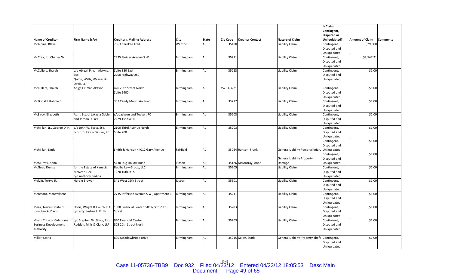|                             |                                |                                         |            |       |                 |                         |                                         | Is Claim                    |                        |                 |
|-----------------------------|--------------------------------|-----------------------------------------|------------|-------|-----------------|-------------------------|-----------------------------------------|-----------------------------|------------------------|-----------------|
|                             |                                |                                         |            |       |                 |                         |                                         | Contingent,                 |                        |                 |
|                             |                                |                                         |            |       |                 |                         |                                         | <b>Disputed or</b>          |                        |                 |
| <b>Name of Creditor</b>     | Firm Name (c/o)                | <b>Creditor's Mailing Address</b>       | City       | State | <b>Zip Code</b> | <b>Creditor Contact</b> | <b>Nature of Claim</b>                  | Unliquidated?               | <b>Amount of Claim</b> | <b>Comments</b> |
| McAlpine, Blake             |                                | 706 Cherokee Trail                      | Warrior    | AL    | 35180           |                         | Liability Claim                         | Contingent,                 | \$299.00               |                 |
|                             |                                |                                         |            |       |                 |                         |                                         | Disputed and                |                        |                 |
|                             |                                |                                         |            |       |                 |                         |                                         | Unliquidated                |                        |                 |
| McCray, Jr., Charles W.     |                                | 2335 Steiner Avenue S.W.                | Birmingham | AL    | 35211           |                         | Liability Claim                         | Contingent,                 | \$2,547.21             |                 |
|                             |                                |                                         |            |       |                 |                         |                                         | Disputed and                |                        |                 |
|                             |                                |                                         |            |       |                 |                         |                                         |                             |                        |                 |
| McCullers, Zhaleh           | c/o Abigail P. van Alstyne,    | Suite 380 East                          | Birmingham | AL    | 35223           |                         | Liability Claim                         | Unliquidated<br>Contingent, | \$1.00                 |                 |
|                             |                                | 2700 Highway 280                        |            |       |                 |                         |                                         | Disputed and                |                        |                 |
|                             | Esq.<br>Quinn, Walls, Weaver & |                                         |            |       |                 |                         |                                         | Unliquidated                |                        |                 |
|                             |                                |                                         |            |       |                 |                         |                                         |                             |                        |                 |
|                             | Davis, LLP                     |                                         |            |       |                 |                         |                                         |                             |                        |                 |
| McCullers, Zhaleh           | Abigail P. Van Alstyne         | 420 20th Street North                   | Birmingham | AL    | 35203-3221      |                         | Liability Claim                         | Contingent,                 | \$1.00                 |                 |
|                             |                                | <b>Suite 1400</b>                       |            |       |                 |                         |                                         | Disputed and                |                        |                 |
|                             |                                |                                         |            |       |                 |                         |                                         | Unliquidated                |                        |                 |
| McDonald, Robbie E.         |                                | 307 Candy Mountain Road                 | Birmingham | AL    | 35217           |                         | Liability Claim                         | Contingent,                 | \$1.00                 |                 |
|                             |                                |                                         |            |       |                 |                         |                                         | Disputed and                |                        |                 |
|                             |                                |                                         |            |       |                 |                         |                                         | Unliquidated                |                        |                 |
| McElroy, Elizabeth          | Adm. Est. of Jakayla Gable     | c/o Jackson and Tucker, PC              | Birmingham | AL    | 35203           |                         | Liability Claim                         | Contingent,                 | \$1.00                 |                 |
|                             | and Jordan Dukes               | 2229 1st Ave. N                         |            |       |                 |                         |                                         | Disputed and                |                        |                 |
|                             |                                |                                         |            |       |                 |                         |                                         | Unliquidated                |                        |                 |
| McMillan, Jr., George D. H. | c/o John W. Scott, Esq.        | 2100 Third Avenue North                 | Birmingham | AL    | 35203           |                         | Liability Claim                         | Contingent,                 | \$1.00                 |                 |
|                             | Scott, Dukes & Geisler, PC     | Suite 700                               |            |       |                 |                         |                                         | Disputed and                |                        |                 |
|                             |                                |                                         |            |       |                 |                         |                                         | Unliquidated                |                        |                 |
|                             |                                |                                         |            |       |                 |                         |                                         | Contingent,                 | \$1.00                 |                 |
|                             |                                |                                         |            |       |                 |                         |                                         | Disputed and                |                        |                 |
| McMillan, Linda             |                                | Smith & Hanson 44012 Gary Avenue        | Fairfield  | AL    |                 | 35064 Hanson, Frank     | General Liability Personal Injury       | Unliquidated                |                        |                 |
|                             |                                |                                         |            |       |                 |                         |                                         | Contingent,                 | \$1.00                 |                 |
|                             |                                |                                         |            |       |                 |                         | <b>General Liability Property</b>       | Disputed and                |                        |                 |
| McMurray, Anna              |                                | 5430 Dug Hollow Road                    | Pinson     | AL    |                 | 35126 McMurray, Anna    | Damage                                  | Unliquidated                |                        |                 |
| McNear, Denise              | for the Estate of Kanecia      | Ifediba Law Group, LLC                  | Birmingham | AL    | 35205           |                         | Liability Claim                         | Contingent,                 | \$1.00                 |                 |
|                             | McNear, Dec.                   | 1220 16th St. S                         |            |       |                 |                         |                                         | Disputed and                |                        |                 |
|                             | c/o Anthony Ifediba            |                                         |            |       |                 |                         |                                         | Unliquidated                |                        |                 |
| Melvin, Terrye R.           | Herbie Brewer                  | 341 West 19th Street                    | Jasper     | AL    | 35501           |                         | Liability Claim                         | Contingent,                 | \$1.00                 |                 |
|                             |                                |                                         |            |       |                 |                         |                                         | Disputed and                |                        |                 |
|                             |                                |                                         |            |       |                 |                         |                                         | Unliquidated                |                        |                 |
| Merchant, Marceyleene       |                                | 2735 Jefferson Avenue S.W., Apartment B | Birmingham | AL    | 35211           |                         | Liability Claim                         | Contingent,                 | \$1.00                 |                 |
|                             |                                |                                         |            |       |                 |                         |                                         | Disputed and                |                        |                 |
|                             |                                |                                         |            |       |                 |                         |                                         | Unliquidated                |                        |                 |
| Meza, Terryu Estate of      | Hollis, Wright & Couch, P.C.,  | 1500 Financial Center, 505 North 20th   | Birmingham | AL    | 35203           |                         | Liability Claim                         | Contingent,                 | \$1.00                 |                 |
| Jonathan A. Davis           | c/o atty. Joshua L. Firth      | <b>Street</b>                           |            |       |                 |                         |                                         | Disputed and                |                        |                 |
|                             |                                |                                         |            |       |                 |                         |                                         | Unliquidated                |                        |                 |
| Miami Tribe of Oklahoma     | c/o Stephen W. Shaw, Esq.      | 940 Financial Center                    | Birmingham | AL    | 35203           |                         | Liability Claim                         | Contingent,                 | \$1.00                 |                 |
| <b>Business Development</b> | Redden, Mills & Clark, LLP     | 505 20th Street North                   |            |       |                 |                         |                                         | Disputed and                |                        |                 |
| Authority                   |                                |                                         |            |       |                 |                         |                                         | Unliquidated                |                        |                 |
|                             |                                |                                         |            |       |                 |                         |                                         |                             |                        |                 |
| Miller, Starla              |                                | 800 Meadowbrook Drive                   | Birmingham | AL    |                 | 35215 Miller, Starla    | <b>General Liability Property Theft</b> | Contingent,                 | \$1.00                 |                 |
|                             |                                |                                         |            |       |                 |                         |                                         | Disputed and                |                        |                 |
|                             |                                |                                         |            |       |                 |                         |                                         | Unliquidated                |                        |                 |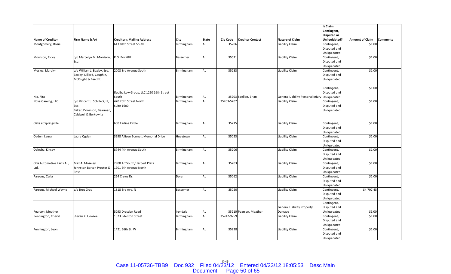|                           |                                |                                         |            |              |            |                         |                                   | Is Claim           |                        |                 |
|---------------------------|--------------------------------|-----------------------------------------|------------|--------------|------------|-------------------------|-----------------------------------|--------------------|------------------------|-----------------|
|                           |                                |                                         |            |              |            |                         |                                   | Contingent,        |                        |                 |
|                           |                                |                                         |            |              |            |                         |                                   | <b>Disputed or</b> |                        |                 |
| <b>Name of Creditor</b>   | Firm Name (c/o)                | <b>Creditor's Mailing Address</b>       | City       | <b>State</b> | Zip Code   | <b>Creditor Contact</b> | <b>Nature of Claim</b>            | Unliquidated?      | <b>Amount of Claim</b> | <b>Comments</b> |
| Montgomery, Rosie         |                                | 613 84th Street South                   | Birmingham | AL           | 35206      |                         | Liability Claim                   | Contingent,        | \$1.00                 |                 |
|                           |                                |                                         |            |              |            |                         |                                   | Disputed and       |                        |                 |
|                           |                                |                                         |            |              |            |                         |                                   | Unliquidated       |                        |                 |
| Morrison, Ricky           | c/o Marcelyn M. Morrison,      | P.O. Box 682                            | Bessemer   | <b>AL</b>    | 35021      |                         | Liability Claim                   | Contingent,        | \$1.00                 |                 |
|                           | Esq.                           |                                         |            |              |            |                         |                                   | Disputed and       |                        |                 |
|                           |                                |                                         |            |              |            |                         |                                   | Unliquidated       |                        |                 |
| Mosley, Maralyn           | c/o William J. Baxley, Esq.    | 2008 3rd Avenue South                   | Birmingham | AL           | 35233      |                         | Liability Claim                   | Contingent,        | \$1.00                 |                 |
|                           | Baxley, Dillard, Cauphin,      |                                         |            |              |            |                         |                                   | Disputed and       |                        |                 |
|                           | McKnight & Barclift            |                                         |            |              |            |                         |                                   | Unliquidated       |                        |                 |
|                           |                                |                                         |            |              |            |                         |                                   |                    |                        |                 |
|                           |                                |                                         |            |              |            |                         |                                   | Contingent,        | \$1.00                 |                 |
|                           |                                | Ifediba Law Group, LLC 1220 16th Street |            |              |            |                         |                                   | Disputed and       |                        |                 |
| Nix, Rita                 |                                | South                                   | Birmingham | AL           |            | 35203 Spellen, Brian    | General Liability Personal Injury | Unliquidated       |                        |                 |
| Nova Gaming, LLC          | c/o Vincent J. Schilleci, III, | 420 20th Street North                   | Birmingham | <b>AL</b>    | 35203-5202 |                         | Liability Claim                   | Contingent,        | \$1.00                 |                 |
|                           | Esq.                           | <b>Suite 1600</b>                       |            |              |            |                         |                                   | Disputed and       |                        |                 |
|                           | Baker, Donelson, Bearman,      |                                         |            |              |            |                         |                                   | Unliquidated       |                        |                 |
|                           | Caldwell & Berkowitz           |                                         |            |              |            |                         |                                   |                    |                        |                 |
|                           |                                |                                         |            |              |            |                         |                                   |                    |                        |                 |
| Oaks at Springville       |                                | 600 Earline Circle                      | Birmingham | <b>AL</b>    | 35215      |                         | Liability Claim                   | Contingent,        | \$1.00                 |                 |
|                           |                                |                                         |            |              |            |                         |                                   | Disputed and       |                        |                 |
|                           |                                |                                         |            |              |            |                         |                                   | Unliquidated       |                        |                 |
| Ogden, Laura              | Laura Ogden                    | 3298 Allison Bonnett Memorial Drive     | Hueytown   | <b>AL</b>    | 35023      |                         | Liability Claim                   | Contingent,        | \$1.00                 |                 |
|                           |                                |                                         |            |              |            |                         |                                   | Disputed and       |                        |                 |
|                           |                                |                                         |            |              |            |                         |                                   | Unliquidated       |                        |                 |
| Oglesby, Kinsey           |                                | 8744 4th Avenue South                   | Birmingham | <b>AL</b>    | 35206      |                         | Liability Claim                   | Contingent,        | \$1.00                 |                 |
|                           |                                |                                         |            |              |            |                         |                                   | Disputed and       |                        |                 |
|                           |                                |                                         |            |              |            |                         |                                   | Unliquidated       |                        |                 |
| Oris Automotive Parts AL, | Max A. Moseley                 | 2900 AmSouth/Harbert Plaza              | Birmingham | <b>AL</b>    | 35203      |                         | Liability Claim                   | Contingent,        | \$1.00                 |                 |
| Ltd.                      | Johnston Barton Proctor &      | 1901 6th Avenue North                   |            |              |            |                         |                                   | Disputed and       |                        |                 |
|                           | Rose                           |                                         |            |              |            |                         |                                   | Unliquidated       |                        |                 |
| Parsons, Carla            |                                | 264 Crews Dr.                           | Dora       | <b>AL</b>    | 35062      |                         | Liability Claim                   | Contingent,        | \$1.00                 |                 |
|                           |                                |                                         |            |              |            |                         |                                   | Disputed and       |                        |                 |
|                           |                                |                                         |            |              |            |                         |                                   | Unliquidated       |                        |                 |
| Parsons, Michael Wayne    | c/o Bret Gray                  | 1818 3rd Ave. N                         | Bessemer   | <b>AL</b>    | 35020      |                         | Liability Claim                   | Contingent,        | \$4,707.45             |                 |
|                           |                                |                                         |            |              |            |                         |                                   | Disputed and       |                        |                 |
|                           |                                |                                         |            |              |            |                         |                                   | Unliquidated       |                        |                 |
|                           |                                |                                         |            |              |            |                         |                                   | Contingent,        |                        |                 |
|                           |                                |                                         |            |              |            |                         | <b>General Liability Property</b> | Disputed and       |                        |                 |
| Pearson, Meather          |                                | 5293 Dresden Road                       | Irondale   | AL           |            | 35210 Pearson, Meather  | Damage                            | Unliquidated       | \$1.00                 |                 |
| Pennington, Cheryl        | Stevan K. Goozee               | 1023 Edenton Street                     | Birmingham | <b>AL</b>    | 35242-9259 |                         | Liability Claim                   | Contingent,        | \$1.00                 |                 |
|                           |                                |                                         |            |              |            |                         |                                   | Disputed and       |                        |                 |
|                           |                                |                                         |            |              |            |                         |                                   | Unliquidated       |                        |                 |
| Pennington, Leon          |                                | 1421 56th St. W                         | Birmingham | <b>AL</b>    | 35228      |                         | Liability Claim                   | Contingent,        | \$1.00                 |                 |
|                           |                                |                                         |            |              |            |                         |                                   | Disputed and       |                        |                 |
|                           |                                |                                         |            |              |            |                         |                                   | Unliquidated       |                        |                 |

Case 11-05736-TBB9 Doc 932 Filed 04/23/12 Entered 04/23/12 18:05:53 Desc Main<br>Document Page 50 of 65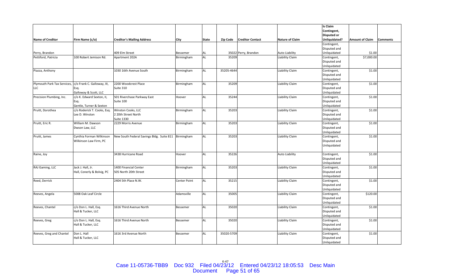|                             |                             |                                           |                     |              |            |                         |                        | Is Claim                    |                        |                 |
|-----------------------------|-----------------------------|-------------------------------------------|---------------------|--------------|------------|-------------------------|------------------------|-----------------------------|------------------------|-----------------|
|                             |                             |                                           |                     |              |            |                         |                        | Contingent,                 |                        |                 |
|                             |                             |                                           |                     |              |            |                         |                        | <b>Disputed or</b>          |                        |                 |
| <b>Name of Creditor</b>     | Firm Name (c/o)             | <b>Creditor's Mailing Address</b>         | City                | <b>State</b> | Zip Code   | <b>Creditor Contact</b> | <b>Nature of Claim</b> | Unliquidated?               | <b>Amount of Claim</b> | <b>Comments</b> |
|                             |                             |                                           |                     |              |            |                         |                        | Contingent,                 |                        |                 |
|                             |                             |                                           |                     |              |            |                         |                        | Disputed and                |                        |                 |
| Perry, Brandon              |                             | 409 Elm Street                            | Bessemer            | AL           |            | 35022 Perry, Brandon    | Auto Liability         | Unliquidated                | \$1.00                 |                 |
| Pettiford, Patricia         | 100 Robert Jemison Rd.      | Apartment 202A                            | Birmingham          | AL           | 35209      |                         | Liability Claim        | Contingent,                 | \$7,000.00             |                 |
|                             |                             |                                           |                     |              |            |                         |                        | Disputed and                |                        |                 |
|                             |                             |                                           |                     |              |            |                         |                        | Unliquidated                |                        |                 |
| Piazza, Anthony             |                             | 1030 16th Avenue South                    | Birmingham          | AL           | 35205-4644 |                         | Liability Claim        | Contingent,                 | \$1.00                 |                 |
|                             |                             |                                           |                     |              |            |                         |                        | Disputed and                |                        |                 |
|                             |                             |                                           |                     |              |            |                         |                        | Unliquidated                |                        |                 |
| Plymouth Park Tax Services, | c/o Frank C. Galloway, III, | 2200 Woodcrest Place                      | Birmingham          | AL           | 35209      |                         | Liability Claim        | Contingent,                 | \$1.00                 |                 |
| LLC                         | Esq.                        | Suite 310                                 |                     |              |            |                         |                        | Disputed and                |                        |                 |
|                             | Galloway & Scott, LLC       |                                           |                     |              |            |                         |                        | Unliquidated                |                        |                 |
| Precision Plumbing, Inc.    | c/o K. Edward Sexton, II,   | 501 Riverchase Parkway East               | Hoover              | AL           | 35244      |                         | Liability Claim        | Contingent,                 | \$1.00                 |                 |
|                             | Esq.                        | Suite 100                                 |                     |              |            |                         |                        | Disputed and                |                        |                 |
|                             | Gentle, Turner & Sexton     |                                           |                     |              |            |                         |                        | Unliquidated                |                        |                 |
| Pruitt, Dorothea            | c/o Roderick T. Cooks, Esq. | Winston Cooks, LLC                        | Birmingham          | AL           | 35203      |                         | Liability Claim        | Contingent,                 | \$1.00                 |                 |
|                             | Lee D. Winston              | 2 20th Street North                       |                     |              |            |                         |                        | Disputed and                |                        |                 |
|                             |                             | <b>Suite 1330</b>                         |                     |              |            |                         |                        | Unliquidated                |                        |                 |
| Pruitt, Eric R.             | William M. Dawson           | 2229 Morris Avenue                        | Birmingham          | AL           | 35203      |                         | Liability Claim        | Contingent,                 | \$1.00                 |                 |
|                             | Dwson Law, LLC              |                                           |                     |              |            |                         |                        | Disputed and                |                        |                 |
|                             |                             |                                           |                     |              |            |                         |                        | Unliquidated                |                        |                 |
| Pruitt, James               | Cynthia Forman Wilkinson    | New South Federal Savings Bldg. Suite 811 | Birmingham          | AL           | 35203      |                         | Liability Claim        | Contingent,                 | \$1.00                 |                 |
|                             | Wilkinson Law Firm, PC      |                                           |                     |              |            |                         |                        | Disputed and                |                        |                 |
|                             |                             |                                           |                     |              |            |                         |                        | Unliquidated                |                        |                 |
|                             |                             |                                           |                     |              |            |                         |                        |                             |                        |                 |
| Raine, Joy                  |                             | 3438 Hurricane Road                       | Hoover              | AL           | 35226      |                         | <b>Auto Liability</b>  | Contingent,                 | \$1.00                 |                 |
|                             |                             |                                           |                     |              |            |                         |                        | Disputed and                |                        |                 |
| RAJ Gaming, LLC             | Jack J. Hall, Jr.           | 1400 Financial Center                     | Birmingham          | AL           |            |                         | Liability Claim        | Unliquidated                | \$1.00                 |                 |
|                             | Hall, Conerly & Bolvig, PC  | 505 North 20th Street                     |                     |              | 35203      |                         |                        | Contingent,<br>Disputed and |                        |                 |
|                             |                             |                                           |                     |              |            |                         |                        | Unliquidated                |                        |                 |
| Reed, Derrick               |                             | 2404 5th Place N.W.                       | <b>Center Point</b> | AL           | 35215      |                         | Liability Claim        | Contingent,                 | \$1.00                 |                 |
|                             |                             |                                           |                     |              |            |                         |                        | Disputed and                |                        |                 |
|                             |                             |                                           |                     |              |            |                         |                        | Unliquidated                |                        |                 |
| Reeves, Angela              | 5008 Oak Leaf Circle        |                                           | Adamsville          | AL           | 35005      |                         | Liability Claim        | Contingent,                 | \$120.00               |                 |
|                             |                             |                                           |                     |              |            |                         |                        | Disputed and                |                        |                 |
|                             |                             |                                           |                     |              |            |                         |                        | Unliquidated                |                        |                 |
| Reeves, Chantel             | c/o Don L. Hall, Esq.       | 1616 Third Avenue North                   | Bessemer            | AL           | 35020      |                         | Liability Claim        | Contingent,                 | \$1.00                 |                 |
|                             | Hall & Tucker, LLC          |                                           |                     |              |            |                         |                        | Disputed and                |                        |                 |
|                             |                             |                                           |                     |              |            |                         |                        | Unliquidated                |                        |                 |
| Reeves, Greg                | c/o Don L. Hall, Esq.       | 1616 Third Avenue North                   | Bessemer            | AL           | 35020      |                         | Liability Claim        | Contingent,                 | \$1.00                 |                 |
|                             | Hall & Tucker, LLC          |                                           |                     |              |            |                         |                        | Disputed and                |                        |                 |
|                             |                             |                                           |                     |              |            |                         |                        | Unliquidated                |                        |                 |
| Reeves, Greg and Chantel    | Don L. Hall                 | 1616 3rd Avenue North                     | Bessemer            | AL           | 35020-5709 |                         | Liability Claim        | Contingent,                 | \$1.00                 |                 |
|                             | Hall & Tucker, LLC          |                                           |                     |              |            |                         |                        | Disputed and                |                        |                 |
|                             |                             |                                           |                     |              |            |                         |                        | Unliquidated                |                        |                 |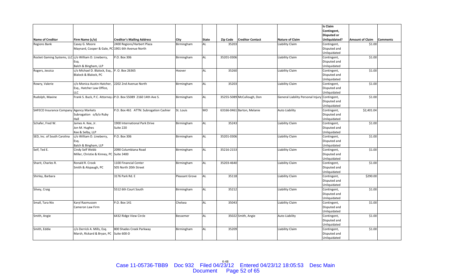|                                                |                                               |                                                                |                       |              |            |                            |                                   | <b>Is Claim</b>    |                        |                 |
|------------------------------------------------|-----------------------------------------------|----------------------------------------------------------------|-----------------------|--------------|------------|----------------------------|-----------------------------------|--------------------|------------------------|-----------------|
|                                                |                                               |                                                                |                       |              |            |                            |                                   | Contingent,        |                        |                 |
|                                                |                                               |                                                                |                       |              |            |                            |                                   | <b>Disputed or</b> |                        |                 |
| <b>Name of Creditor</b>                        | Firm Name (c/o)                               | <b>Creditor's Mailing Address</b>                              | City                  | <b>State</b> | Zip Code   | <b>Creditor Contact</b>    | <b>Nature of Claim</b>            | Unliquidated?      | <b>Amount of Claim</b> | <b>Comments</b> |
| <b>Regions Bank</b>                            | Casey G. Moore                                | 2400 Regions/Harbert Plaza                                     | Birmingham            | AL           | 35203      |                            | Liability Claim                   | Contingent,        | \$1.00                 |                 |
|                                                | Maynard, Cooper & Gale, PC                    | 1901 6th Avenue North                                          |                       |              |            |                            |                                   | Disputed and       |                        |                 |
|                                                |                                               |                                                                |                       |              |            |                            |                                   | Unliquidated       |                        |                 |
| Rocket Gaming Systems, LLC                     | c/o William D. Lineberry,                     | P.O. Box 306                                                   | Birmingham            | <b>AL</b>    | 35201-0306 |                            | Liability Claim                   | Contingent,        | \$1.00                 |                 |
|                                                | Esg.                                          |                                                                |                       |              |            |                            |                                   | Disputed and       |                        |                 |
|                                                | Balch & Bingham, LLP                          |                                                                |                       |              |            |                            |                                   | Unliquidated       |                        |                 |
| Rogers, Jessica                                | c/o Michael D. Blalock, Esq., P. O. Box 26365 |                                                                | Hoover                | <b>AL</b>    | 35260      |                            | Liability Claim                   | Contingent,        | \$1.00                 |                 |
|                                                | Blalock & Blalock, PC                         |                                                                |                       |              |            |                            |                                   | Disputed and       |                        |                 |
|                                                |                                               |                                                                |                       |              |            |                            |                                   | Unliquidated       |                        |                 |
| Rowry, Valerie                                 | c/o Monica Austin-Hatcher,                    | 2202 2nd Avenue North                                          | Birmingham            | <b>AL</b>    | 35203      |                            | Liability Claim                   | Contingent,        | \$1.00                 |                 |
|                                                | Esq., Hatcher Law Office,                     |                                                                |                       |              |            |                            |                                   | Disputed and       |                        |                 |
|                                                | LLC                                           |                                                                |                       |              |            |                            |                                   | Unliquidated       |                        |                 |
| Rudolph, Maxine                                |                                               | Frank S. Buck, P.C. Attorney a P.O. Box 55089 2160 14th Ave S. | Birmingham            | <b>AL</b>    |            | 35255-5089 McCullough, Don | General Liability Personal Injury | Contingent,        | \$1.00                 |                 |
|                                                |                                               |                                                                |                       |              |            |                            |                                   | Disputed and       |                        |                 |
|                                                |                                               |                                                                |                       |              |            |                            |                                   | Unliquidated       |                        |                 |
| <b>SAFECO Insurance Company Agency Markets</b> |                                               | P.O. Box 461 ATTN: Subrogation Cashier                         | St. Louis             | <b>MO</b>    |            | 63166-0461 Barton, Melanie | <b>Auto Liability</b>             | Contingent,        | \$2,401.04             |                 |
|                                                | Subrogation o/b/o Ruby                        |                                                                |                       |              |            |                            |                                   | Disputed and       |                        |                 |
|                                                | Hall                                          |                                                                |                       |              |            |                            |                                   | Unliquidated       |                        |                 |
| Schafer, Fred W.                               | James A. Kee, Jr.                             | 1900 International Park Drive                                  | Birmingham            | <b>AL</b>    | 35243      |                            | Liability Claim                   | Contingent,        | \$1.00                 |                 |
|                                                | Jon M. Hughes                                 | Suite 220                                                      |                       |              |            |                            |                                   | Disputed and       |                        |                 |
|                                                | Kee & Selby, LLP                              |                                                                |                       |              |            |                            |                                   | Unliquidated       |                        |                 |
| SED, Inc. of South Carolina                    | c/o William D. Lineberry,                     | P.O. Box 306                                                   | Birmingham            | <b>AL</b>    | 35201-0306 |                            | Liability Claim                   | Contingent,        | \$1.00                 |                 |
|                                                | Esg.                                          |                                                                |                       |              |            |                            |                                   | Disputed and       |                        |                 |
|                                                | Balch & Bingham, LLP                          |                                                                |                       |              |            |                            |                                   | Unliquidated       |                        |                 |
| Self, Ted E.                                   | Cindy Self Webb                               | 2090 Columbiana Road                                           | Birmingham            | <b>AL</b>    | 35216-2153 |                            | Liability Claim                   | Contingent,        | \$1.00                 |                 |
|                                                | Miller, Christie & Kinney, PC Suite 3400      |                                                                |                       |              |            |                            |                                   | Disputed and       |                        |                 |
|                                                |                                               |                                                                |                       |              |            |                            |                                   | Unliquidated       |                        |                 |
| Sharit, Charles R.                             | Ronald R. Crook                               | 1100 Financial Center                                          | Birmingham            | AL           | 35203-4640 |                            | Liability Claim                   | Contingent,        | \$1.00                 |                 |
|                                                | Smith & Alspaugh, PC                          | 505 North 20th Street                                          |                       |              |            |                            |                                   | Disputed and       |                        |                 |
|                                                |                                               |                                                                |                       |              |            |                            |                                   | Unliquidated       |                        |                 |
| Shirley, Barbara                               |                                               | 3176 Park Rd. E                                                | <b>Pleasant Grove</b> | <b>AL</b>    | 35118      |                            | Liability Claim                   | Contingent,        | \$290.00               |                 |
|                                                |                                               |                                                                |                       |              |            |                            |                                   | Disputed and       |                        |                 |
|                                                |                                               |                                                                |                       |              |            |                            |                                   | Unliquidated       |                        |                 |
| Silvey, Craig                                  |                                               | 5512 6th Court South                                           | Birmingham            | <b>AL</b>    | 35212      |                            | <b>Liability Claim</b>            | Contingent,        | \$1.00                 |                 |
|                                                |                                               |                                                                |                       |              |            |                            |                                   | Disputed and       |                        |                 |
|                                                |                                               |                                                                |                       |              |            |                            |                                   | Unliquidated       |                        |                 |
| Small, Tara Nix                                | Karyl Rasmussen                               | P.O. Box 141                                                   | Chelsea               | <b>AL</b>    | 35043      |                            | Liability Claim                   | Contingent,        | \$1.00                 |                 |
|                                                | Cameron Law Firm                              |                                                                |                       |              |            |                            |                                   | Disputed and       |                        |                 |
|                                                |                                               |                                                                |                       |              |            |                            |                                   | Unliquidated       |                        |                 |
| Smith, Angie                                   |                                               | 6432 Ridge View Circle                                         | Bessemer              | <b>AL</b>    |            | 35022 Smith, Angie         | Auto Liability                    | Contingent,        | \$1.00                 |                 |
|                                                |                                               |                                                                |                       |              |            |                            |                                   | Disputed and       |                        |                 |
|                                                |                                               |                                                                |                       |              |            |                            |                                   | Unliquidated       |                        |                 |
| Smith, Eddie                                   | c/o Derrick A. Mills, Esq.                    | 800 Shades Creek Parkway                                       | Birmingham            | <b>AL</b>    | 35209      |                            | Liability Claim                   | Contingent,        | \$1.00                 |                 |
|                                                | Marsh, Rickard & Bryan, PC Suite 600-D        |                                                                |                       |              |            |                            |                                   | Disputed and       |                        |                 |
|                                                |                                               |                                                                |                       |              |            |                            |                                   | Unliquidated       |                        |                 |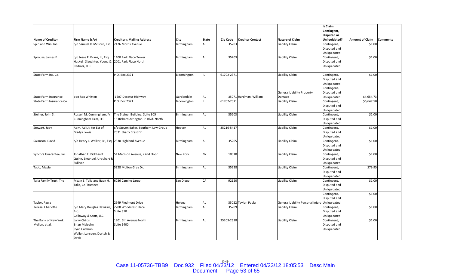|                          |                                                     |                                      |                 |              |            |                         |                                   | Is Claim           |                        |                 |
|--------------------------|-----------------------------------------------------|--------------------------------------|-----------------|--------------|------------|-------------------------|-----------------------------------|--------------------|------------------------|-----------------|
|                          |                                                     |                                      |                 |              |            |                         |                                   | Contingent,        |                        |                 |
|                          |                                                     |                                      |                 |              |            |                         |                                   | <b>Disputed or</b> |                        |                 |
| <b>Name of Creditor</b>  | Firm Name (c/o)                                     | <b>Creditor's Mailing Address</b>    | <b>City</b>     | <b>State</b> | Zip Code   | <b>Creditor Contact</b> | <b>Nature of Claim</b>            | Unliquidated?      | <b>Amount of Claim</b> | <b>Comments</b> |
| Spin and Win, Inc.       | c/o Samuel R. McCord, Esq.                          | 2126 Morris Avenue                   | Birmingham      | AL           | 35203      |                         | Liability Claim                   | Contingent,        | \$1.00                 |                 |
|                          |                                                     |                                      |                 |              |            |                         |                                   | Disputed and       |                        |                 |
|                          |                                                     |                                      |                 |              |            |                         |                                   | Unliquidated       |                        |                 |
| Sprouse, James E.        | c/o Jesse P. Evans, III, Esq.                       | 1400 Park Place Tower                | Birmingham      | AL           | 35203      |                         | Liability Claim                   | Contingent,        | \$1.00                 |                 |
|                          | Haskell, Slaughter, Young & 2001 Park Place North   |                                      |                 |              |            |                         |                                   | Disputed and       |                        |                 |
|                          | Rediker, LLC                                        |                                      |                 |              |            |                         |                                   | Unliquidated       |                        |                 |
|                          |                                                     |                                      |                 |              |            |                         |                                   |                    |                        |                 |
| State Farm Ins. Co.      |                                                     | P.O. Box 2371                        | Bloomington     | IIL.         | 61702-2371 |                         | Liability Claim                   | Contingent,        | \$1.00                 |                 |
|                          |                                                     |                                      |                 |              |            |                         |                                   | Disputed and       |                        |                 |
|                          |                                                     |                                      |                 |              |            |                         |                                   | Unliquidated       |                        |                 |
|                          |                                                     |                                      |                 |              |            |                         |                                   | Contingent,        |                        |                 |
|                          |                                                     |                                      |                 |              |            |                         | <b>General Liability Property</b> | Disputed and       |                        |                 |
| State Farm Insurance     | obo Rex Whitten                                     | 1607 Decatur Highway                 | Gardendale      | AL.          |            | 35071 Hardman, William  | Damage                            | Unliquidated       | \$4,654.73             |                 |
| State Farm Insurance Co. |                                                     | P.O. Box 2371                        | Bloomington     | lil.         | 61702-2371 |                         | Liability Claim                   | Contingent,        | \$6,647.50             |                 |
|                          |                                                     |                                      |                 |              |            |                         |                                   | Disputed and       |                        |                 |
|                          |                                                     |                                      |                 |              |            |                         |                                   | Unliquidated       |                        |                 |
| Steiner, John S.         | Russell M. Cunningham, IV                           | The Steiner Building, Suite 305      | Birmingham      | AL           | 35203      |                         | Liability Claim                   | Contingent,        | \$1.00                 |                 |
|                          | Cunningham Firm, LLC                                | 15 Richard Arrington Jr. Blvd. North |                 |              |            |                         |                                   | Disputed and       |                        |                 |
|                          |                                                     |                                      |                 |              |            |                         |                                   | Unliquidated       |                        |                 |
| Stewart, Judy            | Adm. Ad Lit. for Est of                             | c/o Steven Baker, Southern Law Group | Hoover          | AL           | 35216-5417 |                         | Liability Claim                   | Contingent,        | \$1.00                 |                 |
|                          | <b>Gladys Lewis</b>                                 | 2031 Shady Crest Dr.                 |                 |              |            |                         |                                   | Disputed and       |                        |                 |
|                          |                                                     |                                      |                 |              |            |                         |                                   | Unliquidated       |                        |                 |
| Swanson, David           | c/o Henry J. Walker, Jr., Esg. 2330 Highland Avenue |                                      | Birmingham      | AL           | 35205      |                         | Liability Claim                   | Contingent,        | \$1.00                 |                 |
|                          |                                                     |                                      |                 |              |            |                         |                                   | Disputed and       |                        |                 |
|                          |                                                     |                                      |                 |              |            |                         |                                   | Unliquidated       |                        |                 |
| Syncora Guarantee, Inc.  | Jonathan E. Pickhardt                               | 51 Madison Avenue, 22nd Floor        | <b>New York</b> | <b>NY</b>    | 10010      |                         | Liability Claim                   | Contingent,        | \$1.00                 |                 |
|                          | Quinn, Emanuel, Urquhart &                          |                                      |                 |              |            |                         |                                   | Disputed and       |                        |                 |
|                          | Sullivan                                            |                                      |                 |              |            |                         |                                   | Unliquidated       |                        |                 |
| Tabb, Maple              |                                                     | 5228 Molton Gray Dr.                 | Birmingham      | AL           | 35228      |                         | Liability Claim                   | Contingent,        | \$79.95                |                 |
|                          |                                                     |                                      |                 |              |            |                         |                                   | Disputed and       |                        |                 |
|                          |                                                     |                                      |                 |              |            |                         |                                   | Unliquidated       |                        |                 |
| Talia Family Trust, The  | Mazin S. Talia and Baan H.                          | 6086 Camino Largo                    | San Diego       | CA           | 92120      |                         | Liability Claim                   | Contingent,        | \$1.00                 |                 |
|                          | Talia, Co-Trustees                                  |                                      |                 |              |            |                         |                                   | Disputed and       |                        |                 |
|                          |                                                     |                                      |                 |              |            |                         |                                   | Unliquidated       |                        |                 |
|                          |                                                     |                                      |                 |              |            |                         |                                   | Contingent,        | \$1.00                 |                 |
|                          |                                                     |                                      |                 |              |            |                         |                                   | Disputed and       |                        |                 |
| Taylor, Paula            |                                                     | 2649 Piedmont Drive                  | Helena          | <b>AL</b>    |            | 35022 Taylor, Paula     | General Liability Personal Injury | Unliquidated       |                        |                 |
| Teresa, Charlotte        | c/o Mary Douglas Hawkins,                           | 2200 Woodcrest Place                 | Birmingham      | AL           | 35209      |                         | Liability Claim                   | Contingent,        | \$1.00                 |                 |
|                          | Esq.                                                | Suite 310                            |                 |              |            |                         |                                   | Disputed and       |                        |                 |
|                          | Galloway & Scott, LLC                               |                                      |                 |              |            |                         |                                   | Unliquidated       |                        |                 |
| The Bank of New York     | Larry Childs                                        | 1901 6th Avenue North                | Birmingham      | AL           | 35203-2618 |                         | Liability Claim                   | Contingent,        | \$1.00                 |                 |
| Mellon, et al.           | <b>Brian Malcolm</b>                                | <b>Suite 1400</b>                    |                 |              |            |                         |                                   | Disputed and       |                        |                 |
|                          | Ryan Cochran                                        |                                      |                 |              |            |                         |                                   | Unliquidated       |                        |                 |
|                          | Waller, Lansden, Dortch &                           |                                      |                 |              |            |                         |                                   |                    |                        |                 |
|                          | Davis                                               |                                      |                 |              |            |                         |                                   |                    |                        |                 |
|                          |                                                     |                                      |                 |              |            |                         |                                   |                    |                        |                 |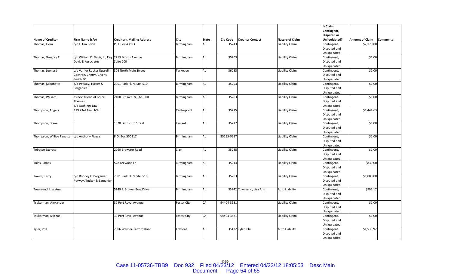|                           |                                                    |                                   |                    |              |            |                          |                       | <b>Is Claim</b>    |                        |                 |
|---------------------------|----------------------------------------------------|-----------------------------------|--------------------|--------------|------------|--------------------------|-----------------------|--------------------|------------------------|-----------------|
|                           |                                                    |                                   |                    |              |            |                          |                       | Contingent,        |                        |                 |
|                           |                                                    |                                   |                    |              |            |                          |                       | <b>Disputed or</b> |                        |                 |
| <b>Name of Creditor</b>   | Firm Name (c/o)                                    | <b>Creditor's Mailing Address</b> | City               | <b>State</b> | Zip Code   | <b>Creditor Contact</b>  | Nature of Claim       | Unliquidated?      | <b>Amount of Claim</b> | <b>Comments</b> |
| Thomas, Flora             | c/o J. Tim Coyle                                   | P.O. Box 43693                    | Birmingham         | AL           | 35243      |                          | Liability Claim       | Contingent,        | \$2,170.00             |                 |
|                           |                                                    |                                   |                    |              |            |                          |                       | Disputed and       |                        |                 |
|                           |                                                    |                                   |                    |              |            |                          |                       | Unliquidated       |                        |                 |
| Thomas, Gregory T.        | c/o William D. Davis, III, Esg. 2213 Morris Avenue |                                   | Birmingham         | <b>AL</b>    | 35203      |                          | Liability Claim       | Contingent,        | \$1.00                 |                 |
|                           | Davis & Associates                                 | Suite 200                         |                    |              |            |                          |                       | Disputed and       |                        |                 |
|                           |                                                    |                                   |                    |              |            |                          |                       | Unliquidated       |                        |                 |
| Thomas, Leonard           | c/o Varlier Rucker Russell,                        | 306 North Main Street             | Tuskegee           | <b>AL</b>    | 36083      |                          | Liability Claim       | Contingent,        | \$1.00                 |                 |
|                           | Cochran, Cherry, Givens,                           |                                   |                    |              |            |                          |                       | Disputed and       |                        |                 |
|                           | Smith PC                                           |                                   |                    |              |            |                          |                       | Unliquidated       |                        |                 |
| Thomas, Miaonette         | c/o Petway, Tucker &                               | 2001 Park Pl. N, Ste. 510         | Birmingham         | <b>AL</b>    | 35203      |                          | Liability Claim       | Contingent,        | \$1.00                 |                 |
|                           | Barganier                                          |                                   |                    |              |            |                          |                       | Disputed and       |                        |                 |
|                           |                                                    |                                   |                    |              |            |                          |                       | Unliquidated       |                        |                 |
| Thomas, William           | as next friend of Bruce                            | 2100 3rd Ave. N, Ste. 900         | Birmingham         | <b>AL</b>    | 35203      |                          | Liability Claim       | Contingent,        | \$1.00                 |                 |
|                           | Thomas                                             |                                   |                    |              |            |                          |                       | Disputed and       |                        |                 |
|                           | c/o Gathings Law                                   |                                   |                    |              |            |                          |                       | Unliquidated       |                        |                 |
| Thompson, Angela          | 129 23rd Terr, NW                                  |                                   | Centerpoint        | <b>AL</b>    | 35215      |                          | Liability Claim       | Contingent,        | \$1,444.63             |                 |
|                           |                                                    |                                   |                    |              |            |                          |                       | Disputed and       |                        |                 |
|                           |                                                    |                                   |                    |              |            |                          |                       | Unliquidated       |                        |                 |
| Thompson, Diane           |                                                    | 1820 Linthicum Street             | Tarrant            | <b>AL</b>    | 35217      |                          | Liability Claim       | Contingent,        | \$1.00                 |                 |
|                           |                                                    |                                   |                    |              |            |                          |                       | Disputed and       |                        |                 |
|                           |                                                    |                                   |                    |              |            |                          |                       | Unliquidated       |                        |                 |
| Thompson, Williae Fanette | c/o Anthony Piazza                                 | P.O. Box 550217                   | Birmingham         | <b>AL</b>    | 35255-0217 |                          | Liability Claim       | Contingent,        | \$1.00                 |                 |
|                           |                                                    |                                   |                    |              |            |                          |                       | Disputed and       |                        |                 |
|                           |                                                    |                                   |                    |              |            |                          |                       | Unliquidated       |                        |                 |
| <b>Tobacco Express</b>    |                                                    | 2260 Brewster Road                | Clay               | <b>AL</b>    | 35235      |                          | Liability Claim       | Contingent,        | \$1.00                 |                 |
|                           |                                                    |                                   |                    |              |            |                          |                       | Disputed and       |                        |                 |
|                           |                                                    |                                   |                    |              |            |                          |                       | Unliquidated       |                        |                 |
| Toles, James              |                                                    | 528 Leewood Ln.                   | Birmingham         | <b>AL</b>    | 35214      |                          | Liability Claim       | Contingent,        | \$839.00               |                 |
|                           |                                                    |                                   |                    |              |            |                          |                       | Disputed and       |                        |                 |
|                           |                                                    |                                   |                    |              |            |                          |                       | Unliquidated       |                        |                 |
| Towns, Terry              | c/o Rodney F. Barganier                            | 2001 Park Pl. N, Ste. 510         | Birmingham         | <b>AL</b>    | 35203      |                          | Liability Claim       | Contingent,        | \$1,000.00             |                 |
|                           | Petway, Tucker & Barganier                         |                                   |                    |              |            |                          |                       | Disputed and       |                        |                 |
|                           |                                                    |                                   |                    |              |            |                          |                       | Unliquidated       |                        |                 |
| Townsend, Lisa Ann        |                                                    | 5149 S. Broken Bow Drive          | Birmingham         | <b>AL</b>    |            | 35242 Townsend, Lisa Ann | <b>Auto Liability</b> | Contingent,        | \$906.17               |                 |
|                           |                                                    |                                   |                    |              |            |                          |                       | Disputed and       |                        |                 |
|                           |                                                    |                                   |                    |              |            |                          |                       | Unliquidated       |                        |                 |
| Tsukerman, Alexander      |                                                    | 30 Port Royal Avenue              | <b>Foster City</b> | CA           | 94404-3581 |                          | Liability Claim       | Contingent,        | \$1.00                 |                 |
|                           |                                                    |                                   |                    |              |            |                          |                       | Disputed and       |                        |                 |
|                           |                                                    |                                   |                    |              |            |                          |                       | Unliquidated       |                        |                 |
| Tsukerman, Michael        |                                                    | 30 Port Royal Avenue              | <b>Foster City</b> | CA           | 94404-3581 |                          | Liability Claim       | Contingent,        | \$1.00                 |                 |
|                           |                                                    |                                   |                    |              |            |                          |                       | Disputed and       |                        |                 |
|                           |                                                    |                                   |                    |              |            |                          |                       | Unliquidated       |                        |                 |
| Tyler, Phil               |                                                    | 2306 Warrior-Tafford Road         | <b>Trafford</b>    | <b>AL</b>    |            | 35172 Tyler, Phil        | <b>Auto Liability</b> | Contingent,        | \$1,539.92             |                 |
|                           |                                                    |                                   |                    |              |            |                          |                       | Disputed and       |                        |                 |
|                           |                                                    |                                   |                    |              |            |                          |                       | Unliquidated       |                        |                 |

Case 11-05736-TBB9 Doc 932 Filed 04/23/12 Entered 04/23/12 18:05:53 Desc Main<br>Document Page 54 of 65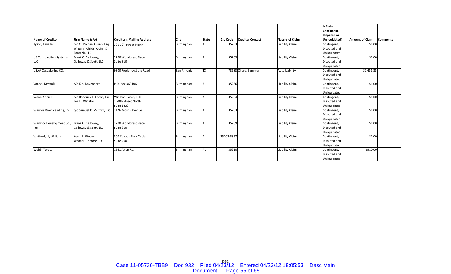|                             |                                                 |                                   |             |              |            |                         |                        | Is Claim<br>Contingent,      |                        |                 |
|-----------------------------|-------------------------------------------------|-----------------------------------|-------------|--------------|------------|-------------------------|------------------------|------------------------------|------------------------|-----------------|
|                             |                                                 |                                   |             |              |            |                         |                        | <b>Disputed or</b>           |                        |                 |
| Name of Creditor            | Firm Name (c/o)                                 | <b>Creditor's Mailing Address</b> | City        | <b>State</b> | Zip Code   | <b>Creditor Contact</b> | <b>Nature of Claim</b> | Unliquidated?                | <b>Amount of Claim</b> | <b>Comments</b> |
| Tyson, Lavelle              | c/o C. Michael Quinn, Esq.,                     | 301 19 <sup>th</sup> Street North | Birmingham  | AL           | 35203      |                         | Liability Claim        | Contingent,                  | \$1.00                 |                 |
|                             | Wiggins, Childs, Quinn &<br>Pantazis, LLC       |                                   |             |              |            |                         |                        | Disputed and<br>Unliquidated |                        |                 |
| US Construction Systems,    | Frank C. Galloway, III                          | 2200 Woodcrest Place              | Birmingham  | AL           | 35209      |                         | Liability Claim        | Contingent,                  | \$1.00                 |                 |
| LLC                         | Galloway & Scott, LLC                           | Suite 310                         |             |              |            |                         |                        | Disputed and                 |                        |                 |
|                             |                                                 |                                   |             |              |            |                         |                        | Unliquidated                 |                        |                 |
| USAA Casualty Ins CO.       |                                                 | 9800 Fredericksburg Road          | San Antonio | <b>TX</b>    |            | 78288 Chase, Summer     | <b>Auto Liability</b>  | Contingent,                  | \$2,451.85             |                 |
|                             |                                                 |                                   |             |              |            |                         |                        | Disputed and                 |                        |                 |
|                             |                                                 | P.O. Box 360186                   |             |              | 35236      |                         | Liability Claim        | Unliquidated                 | \$1.00                 |                 |
| Vance, Krystal L            | c/o Kirk Davenport                              |                                   | Birmingham  | AL           |            |                         |                        | Contingent,<br>Disputed and  |                        |                 |
|                             |                                                 |                                   |             |              |            |                         |                        | Unliquidated                 |                        |                 |
| Ward, Annie R.              | c/o Roderick T. Cooks, Esg.                     | Winston Cooks, LLC                | Birmingham  | <b>AL</b>    | 35204      |                         | Liability Claim        | Contingent,                  | \$1.00                 |                 |
|                             | Lee D. Winston                                  | 2 20th Street North               |             |              |            |                         |                        | Disputed and                 |                        |                 |
|                             |                                                 | <b>Suite 1330</b>                 |             |              |            |                         |                        | Unliquidated                 |                        |                 |
| Warrior River Vending, Inc. | c/o Samuel R. McCord, Esg.                      | 2126 Morris Avenue                | Birmingham  | <b>AL</b>    | 35203      |                         | Liability Claim        | Contingent,                  | \$1.00                 |                 |
|                             |                                                 |                                   |             |              |            |                         |                        | Disputed and                 |                        |                 |
|                             |                                                 |                                   |             |              |            |                         |                        | Unliquidated                 |                        |                 |
| Warwick Development Co.,    | Frank C. Galloway, III<br>Galloway & Scott, LLC | 2200 Woodcrest Place              | Birmingham  | AL           | 35209      |                         | Liability Claim        | Contingent,<br>Disputed and  | \$1.00                 |                 |
| Inc.                        |                                                 | Suite 310                         |             |              |            |                         |                        | Unliquidated                 |                        |                 |
| Watford, III, William       | Kevin L. Weaver                                 | 300 Cahaba Park Circle            | Birmingham  | AL           | 35203-3357 |                         | Liability Claim        | Contingent,                  | \$1.00                 |                 |
|                             | Weaver Tidmore, LLC                             | Suite 200                         |             |              |            |                         |                        | Disputed and                 |                        |                 |
|                             |                                                 |                                   |             |              |            |                         |                        | Unliquidated                 |                        |                 |
| Webb, Teresa                |                                                 | 1961 Alton Rd.                    | Birmingham  | AL           | 35210      |                         | <b>Liability Claim</b> | Contingent,                  | \$910.00               |                 |
|                             |                                                 |                                   |             |              |            |                         |                        | Disputed and                 |                        |                 |
|                             |                                                 |                                   |             |              |            |                         |                        | Unliquidated                 |                        |                 |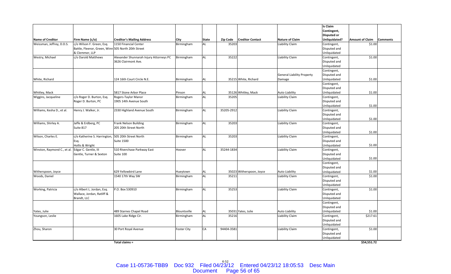|                             |                                                    |                                         |                    |              |                 |                          |                                   | <b>Is Claim</b>    |                        |                 |
|-----------------------------|----------------------------------------------------|-----------------------------------------|--------------------|--------------|-----------------|--------------------------|-----------------------------------|--------------------|------------------------|-----------------|
|                             |                                                    |                                         |                    |              |                 |                          |                                   | Contingent,        |                        |                 |
|                             |                                                    |                                         |                    |              |                 |                          |                                   | <b>Disputed or</b> |                        |                 |
| <b>Name of Creditor</b>     | Firm Name (c/o)                                    | <b>Creditor's Mailing Address</b>       | City               | <b>State</b> | <b>Zip Code</b> | <b>Creditor Contact</b>  | <b>Nature of Claim</b>            | Unliquidated?      | <b>Amount of Claim</b> | <b>Comments</b> |
| Weissman, Jeffrey, D.D.S.   | c/o Wilson F. Green, Esg.                          | 1150 Financial Center                   | Birmingham         | <b>AL</b>    | 35203           |                          | Liability Claim                   | Contingent,        | \$1.00                 |                 |
|                             | Battle, Fleenor, Green, Winn 505 North 20th Street |                                         |                    |              |                 |                          |                                   | Disputed and       |                        |                 |
|                             | & Clemmer, LLP                                     |                                         |                    |              |                 |                          |                                   | Unliquidated       |                        |                 |
| Westry, Michael             | c/o Darold Matthews                                | Alexander Shunnarah Injury Attorneys PC | Birmingham         | AL           | 35222           |                          | Liability Claim                   | Contingent,        | \$1.00                 |                 |
|                             |                                                    | 3626 Clairmont Ave.                     |                    |              |                 |                          |                                   | Disputed and       |                        |                 |
|                             |                                                    |                                         |                    |              |                 |                          |                                   | Unliquidated       |                        |                 |
|                             |                                                    |                                         |                    |              |                 |                          |                                   | Contingent,        |                        |                 |
|                             |                                                    |                                         |                    |              |                 |                          | <b>General Liability Property</b> | Disputed and       |                        |                 |
| White, Richard              |                                                    | 124 16th Court Circle N.E.              | Birmingham         | AL           |                 | 35215 White, Richard     | Damage                            | Unliquidated       | \$1.00                 |                 |
|                             |                                                    |                                         |                    |              |                 |                          |                                   | Contingent,        |                        |                 |
|                             |                                                    |                                         |                    |              |                 |                          |                                   | Disputed and       |                        |                 |
| Whitley, Mack               |                                                    | 5817 Stone Arbor Place                  | Pinson             | AL           |                 | 35126 Whitley, Mack      | Auto Liability                    | Unliquidated       | \$1.00                 |                 |
| Wiggins, Jacqueline         | c/o Roger D. Burton, Esq.                          | Rogers-Taylor Manor                     | Birmingham         | AL           | 35205           |                          | <b>Liability Claim</b>            | Contingent,        |                        |                 |
|                             | Roger D. Burton, PC                                | 1905 14th Avenue South                  |                    |              |                 |                          |                                   | Disputed and       |                        |                 |
|                             |                                                    |                                         |                    |              |                 |                          |                                   | Unliquidated       | \$1.00                 |                 |
| Williams, Kesha D., et al.  | Henry J. Walker, Jr.                               | 2330 Highland Avenue South              | Birmingham         | AL           | 35205-2912      |                          | <b>Liability Claim</b>            | Contingent,        |                        |                 |
|                             |                                                    |                                         |                    |              |                 |                          |                                   | Disputed and       |                        |                 |
|                             |                                                    |                                         |                    |              |                 |                          |                                   | Unliquidated       | \$1.00                 |                 |
| Williams, Shirley A.        | Jaffe & Erdberg, PC                                | Frank Nelson Building                   | Birmingham         | AL           | 35203           |                          | Liability Claim                   | Contingent,        |                        |                 |
|                             | Suite 817                                          | 205 20th Street North                   |                    |              |                 |                          |                                   | Disputed and       |                        |                 |
|                             |                                                    |                                         |                    |              |                 |                          |                                   | Unliquidated       | \$1.00                 |                 |
| Wilson, Charles E.          | c/o Katherine S. Harrington, 505 20th Street North |                                         | Birmingham         | AL           | 35203           |                          | Liability Claim                   | Contingent,        |                        |                 |
|                             | Esg.                                               | <b>Suite 1500</b>                       |                    |              |                 |                          |                                   | Disputed and       |                        |                 |
|                             | Hollis & Wright                                    |                                         |                    |              |                 |                          |                                   | Unliquidated       | \$1.00                 |                 |
| Winston, Raymond C., et al. | Edgar C. Gentle, III                               | 510 Riverchase Parkway East             | Hoover             | AL           | 35244-1834      |                          | Liability Claim                   | Contingent,        |                        |                 |
|                             | Gentle, Turner & Sexton                            | Suite 100                               |                    |              |                 |                          |                                   | Disputed and       |                        |                 |
|                             |                                                    |                                         |                    |              |                 |                          |                                   | Unliquidated       | \$1.00                 |                 |
|                             |                                                    |                                         |                    |              |                 |                          |                                   | Contingent,        |                        |                 |
|                             |                                                    |                                         |                    |              |                 |                          |                                   | Disputed and       |                        |                 |
| Witherspoon, Joyce          |                                                    | 629 Yellowbird Lane                     | Hueytown           | AL           |                 | 35023 Witherspoon, Joyce | Auto Liability                    | Unliquidated       | \$1.00                 |                 |
| Woods, Daniel               |                                                    | 1540 17th Way SW                        | Birmingham         | AL           | 35211           |                          | Liability Claim                   | Contingent,        | \$1.00                 |                 |
|                             |                                                    |                                         |                    |              |                 |                          |                                   | Disputed and       |                        |                 |
|                             |                                                    |                                         |                    |              |                 |                          |                                   | Unliquidated       |                        |                 |
| Working, Patricia           | c/o Albert L. Jordan, Esq.                         | P.O. Box 530910                         | Birmingham         | AL           | 35253           |                          | Liability Claim                   | Contingent,        | \$1.00                 |                 |
|                             | Wallace, Jordan, Ratliff &                         |                                         |                    |              |                 |                          |                                   | Disputed and       |                        |                 |
|                             | Brandt, LLC                                        |                                         |                    |              |                 |                          |                                   | Unliquidated       |                        |                 |
|                             |                                                    |                                         |                    |              |                 |                          |                                   | Contingent,        |                        |                 |
|                             |                                                    |                                         |                    |              |                 |                          |                                   | Disputed and       |                        |                 |
| Yates, Julie                |                                                    | 489 Starnes Chapel Road                 | Blountsville       | AL           |                 | 35031 Yates, Julie       | Auto Liability                    | Unliquidated       | \$1.00                 |                 |
| Youngson, Leslie            |                                                    | 1605 Lake Ridge Cir.                    | Birmingham         | AL           | 35216           |                          | Liability Claim                   | Contingent,        | \$217.61               |                 |
|                             |                                                    |                                         |                    |              |                 |                          |                                   | Disputed and       |                        |                 |
|                             |                                                    |                                         |                    |              |                 |                          |                                   | Unliquidated       |                        |                 |
| Zhou, Sharon                |                                                    | 30 Port Royal Avenue                    | <b>Foster City</b> | CA           | 94404-3581      |                          | Liability Claim                   | Contingent,        | \$1.00                 |                 |
|                             |                                                    |                                         |                    |              |                 |                          |                                   | Disputed and       |                        |                 |
|                             |                                                    |                                         |                    |              |                 |                          |                                   | Unliquidated       |                        |                 |

**Total claims <sup>=</sup>**

**\$54,551.72**

Case 11-05736-TBB9 Doc 932 Filed 04/23/12 Entered 04/23/12 18:05:53 Desc Main<br>Document Page 56 of 65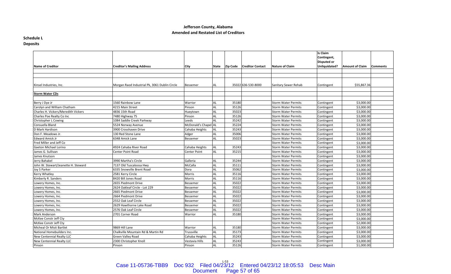#### **Schedule L Deposits**

| Name of Creditor                    | <b>Creditor's Mailing Address</b>             | City                 | State     | <b>Zip Code</b> | <b>Creditor Contact</b> | <b>Nature of Claim</b>     | Is Claim<br>Contingent,<br>Disputed or<br>Unliquidated? | <b>Amount of Claim</b> | <b>Comments</b> |
|-------------------------------------|-----------------------------------------------|----------------------|-----------|-----------------|-------------------------|----------------------------|---------------------------------------------------------|------------------------|-----------------|
|                                     |                                               |                      |           |                 |                         |                            |                                                         |                        |                 |
|                                     |                                               |                      |           |                 |                         |                            |                                                         |                        |                 |
|                                     |                                               |                      |           |                 |                         |                            |                                                         |                        |                 |
| Kinsel Industries, Inc.             | Morgan Raod Industrial Pk, 3061 Dublin Circle | Bessemer             | AL        |                 | 35022 636-530-8000      | Sanitary Sewer Rehab       | Contingent                                              | \$55,867.36            |                 |
|                                     |                                               |                      |           |                 |                         |                            |                                                         |                        |                 |
| <b>Storm Water CDs</b>              |                                               |                      |           |                 |                         |                            |                                                         |                        |                 |
|                                     |                                               |                      |           |                 |                         |                            |                                                         |                        |                 |
| Berry J Dye Jr                      | 1560 Rainbow Lane                             | Warrior              | AL        | 35180           |                         | <b>Storm Water Permits</b> | Contingent                                              | \$3,000.00             |                 |
| Carolyn and William Chatham         | 4215 Main Street                              | Pinson               | AL        | 35126           |                         | <b>Storm Water Permits</b> | Contingent                                              | \$3,000.00             |                 |
| Charles H. Vickers/Meredith Vickers | 4836 15th Road                                | Hueytown             | AL        | 35023           |                         | Storm Water Permits        | Contingent                                              | \$3,000.00             |                 |
| Charles Poe Realty Co Inc           | 7480 Highway 75                               | Pinson               | <b>AL</b> | 35126           |                         | <b>Storm Water Permits</b> | Contingent                                              | \$3,000.00             |                 |
| Christopher L Cowing                | 1084 Saddle Creek Parkway                     | Leeds                | AL        | 35242           |                         | <b>Storm Water Permits</b> | Contingent                                              | \$3,000.00             |                 |
| Consuella Bland                     | 5524 Norway Avenue                            | McDonald's Chapel AL |           | 35224           |                         | <b>Storm Water Permits</b> | Contingent                                              | \$3,000.00             |                 |
| D Mark Hardison                     | 3900 Crosshaven Drive                         | Cahaba Heights       | AL        | 35243           |                         | <b>Storm Water Permits</b> | Contingent                                              | \$3,000.00             |                 |
| Don F. Meadows Jr.                  | 130 Red Stone Lane                            | Adger                | AL        | 35006           |                         | <b>Storm Water Permits</b> | Contingent                                              | \$3,000.00             |                 |
| <b>Edward Amick Jr</b>              | 6348 Amick Lane                               | Bessemer             | AL        | 35023           |                         | Storm Water Permits        | Contingent                                              | \$3,000.00             |                 |
| Fred Miller and Jeff Co             |                                               |                      |           |                 |                         | <b>Storm Water Permits</b> | Contingent                                              | \$3,000.00             |                 |
| Gaeton Michael Lorino               | 4924 Cahaba River Road                        | Cahaba Heights       | AL        | 35243           |                         | <b>Storm Water Permits</b> | Contingent                                              | \$3,000.00             |                 |
| James G. Sullivan                   | Center Point Road                             | Center Point         | AL        | 35215           |                         | Storm Water Permits        | Contingent                                              | \$3,000.00             |                 |
| James Knutson                       |                                               |                      |           |                 |                         | <b>Storm Water Permits</b> | Contingent                                              | \$3,000.00             |                 |
| Jerry Bahakel                       | 3990 Martha's Circle                          | Galleria             | AL        | 35244           |                         | <b>Storm Water Permits</b> | Contingent                                              | \$3,000.00             |                 |
| John W. Stewart/Jeanette H. Steward | 7137 Old Tuscaloosa Hwy                       | McCalla              | AL        | 35111           |                         | <b>Storm Water Permits</b> | Contingent                                              | \$3,000.00             |                 |
| Joy S Parker                        | 6335 Snowville Brent Road                     | Dora                 | AL        | 35062           |                         | Storm Water Permits        | Contingent                                              | \$3,000.00             |                 |
| <b>Kerry Whatley</b>                | 2581 Kerry Circle                             | Morris               | AL        | 35116           |                         | <b>Storm Water Permits</b> | Contingent                                              | \$3,000.00             |                 |
| Kimberly R. Sanders                 | 8420 Bill Jones Road                          | Morris               | AL        | 35116           |                         | <b>Storm Water Permits</b> | Contingent                                              | \$3,000.00             |                 |
| Lowery Homes, Inc.                  | 2655 Piedmont Drive                           | Bessemer             | AL        | 35022           |                         | Storm Water Permits        | Contingent                                              | \$3,000.00             |                 |
| Lowery Homes, Inc.                  | 2624 Oakleaf Circle - Lot 229                 | Bessemer             | AL        | 35022           |                         | <b>Storm Water Permits</b> | Contingent                                              | \$3,000.00             |                 |
| Lowery Homes, Inc.                  | 2665 Piedmont Drive                           | Bessemer             | AL        | 35022           |                         | <b>Storm Water Permits</b> | Contingent                                              | \$3,000.00             |                 |
| Lowery Homes, Inc.                  | 2664 Piedmont Drive                           | Bessemer             | AL        | 35022           |                         | <b>Storm Water Permits</b> | Contingent                                              | \$3,000.00             |                 |
| Lowery Homes, Inc.                  | 2552 Oak Leaf Circle                          | Bessemer             | AL        | 35022           |                         | Storm Water Permits        | Contingent                                              | \$3,000.00             |                 |
| Lowery Homes, Inc.                  | 2629 Hawthorne Lake Road                      | Bessemer             | <b>AL</b> | 35022           |                         | <b>Storm Water Permits</b> | Contingent                                              | \$3,000.00             |                 |
| Lowery Homes, Inc.                  | 2576 Oak Leaf Circle                          | Bessemer             | AL        | 35022           |                         | <b>Storm Water Permits</b> | Contingent                                              | \$3,000.00             |                 |
| <b>Mark Anderson</b>                | 2701 Corner Road                              | Warrior              | AL        | 35180           |                         | Storm Water Permits        | Contingent                                              | \$3,000.00             |                 |
| McKee Constr Jeff Cty               |                                               |                      |           |                 |                         | <b>Storm Water Permits</b> | Contingent                                              | \$3,000.00             |                 |
| McKee Constr Jeff Cty               |                                               |                      |           |                 |                         | <b>Storm Water Permits</b> | Contingent                                              | \$2,000.00             |                 |
| Micheal Or Misti Bartlet            | 9869 Hill Lane                                | Warrior              | AL        | 35180           |                         | <b>Storm Water Permits</b> | Contingent                                              | \$3,000.00             |                 |
| National Homebuilders Inc.          | Chalkville Mountain Rd & Martin Rd            | Trussville           | AL        | 35173           |                         | <b>Storm Water Permits</b> | Contingent                                              | \$3,000.00             |                 |
| New Centennial Realty LLC           | <b>Green Valley Road</b>                      | Cahaba Heights       | AL        | 35243           |                         | <b>Storm Water Permits</b> | Contingent                                              | \$3,000.00             |                 |
| <b>New Centennial Realty LLC</b>    | 2300 Christopher Knoll                        | Vestavia Hills       | AL        | 35243           |                         | Storm Water Permits        | Contingent                                              | \$3,000.00             |                 |
| Pinson                              | Pinson                                        | Pinson               | AL        | 35126           |                         | <b>Storm Water Permits</b> | Contingent                                              | \$1,000.00             |                 |
|                                     |                                               |                      |           |                 |                         |                            |                                                         |                        |                 |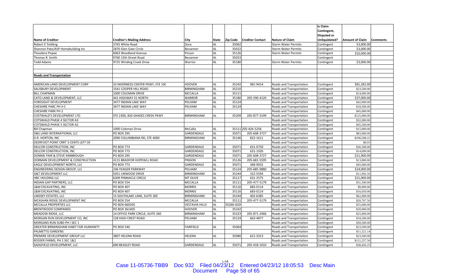|                                       |                                   |                       |           |                 |                         |                            | <b>Is Claim</b>    |                 |                 |
|---------------------------------------|-----------------------------------|-----------------------|-----------|-----------------|-------------------------|----------------------------|--------------------|-----------------|-----------------|
|                                       |                                   |                       |           |                 |                         |                            | Contingent,        |                 |                 |
|                                       |                                   |                       |           |                 |                         |                            | <b>Disputed or</b> |                 |                 |
| Name of Creditor                      | <b>Creditor's Mailing Address</b> | City                  | State     | <b>Zip Code</b> | <b>Creditor Contact</b> | <b>Nature of Claim</b>     | Unliquidated?      | Amount of Claim | <b>Comments</b> |
| <b>Robert E Yeilding</b>              | 3765 White Road                   | Dora                  | <b>AL</b> | 35062           |                         | <b>Storm Water Permits</b> | Contingent         | \$3,000.00      |                 |
| Shannon Pate/ASP Homebuilding Inc     | 2870 Glen Gate Circle             | Bessemer              | <b>AL</b> | 35022           |                         | <b>Storm Water Permits</b> | Contingent         | \$3,000.00      |                 |
| <b>Theodore Popee</b>                 | 6063 Woodland Avenue              | Pinson                | <b>AL</b> | 35126           |                         | <b>Storm Water Permits</b> | Contingent         | \$10,000.00     |                 |
| Thomas R. Smith                       | 9760 15th Street Road             | Bessemer              | <b>AL</b> | 35023           |                         |                            | Contingent         |                 |                 |
| <b>Todd Adams</b>                     | 9725 Winding Creek Drive          | Warrior               | AL        | 35180           |                         | <b>Storm Water Permits</b> | Contingent         | \$3,000.00      |                 |
|                                       |                                   |                       |           |                 |                         |                            |                    |                 |                 |
|                                       |                                   |                       |           |                 |                         |                            |                    |                 |                 |
| <b>Roads and Transportation</b>       |                                   |                       |           |                 |                         |                            |                    |                 |                 |
|                                       |                                   |                       |           |                 |                         |                            |                    |                 |                 |
| AMERICAN LAND DEVELOPMENT CORP        | 33 INVERNESS CENTER PKWY, STE 100 | <b>HOOVER</b>         | AL        | 35242           | 981-9414                | Roads and Transportation   | Contingent         | \$81,282.00     |                 |
| SALISBURY DEVELOPMENT                 | 1541 COOPER HILL ROAD             | <b>BIRMINGHAM</b>     | AL        | 35210           |                         | Roads and Transportation   | Contingent         | \$23,500.00     |                 |
| <b>BILL CHAPMAN</b>                   | 1000 COLEMAN DRIVE                | <b>MCCALLA</b>        | <b>AL</b> | 35111           |                         | Roads and Transportation   | Contingent         | \$14,000.00     |                 |
| CATO LAND & DEVELOPMENT, LLC          | 441 HIGHWAY 31 NORTH              | <b>WARROR</b>         | <b>AL</b> | 35180           | 205-590-4120            | Roads and Transportation   | Contingent         | \$37,000.00     |                 |
| FORESIGHT DEVELOPMENT                 | 3477 INDIAN LAKE WAY              | PELHAM                | AL        | 35124           |                         | Roads and Transportation   | Contingent         | \$42,000.00     |                 |
| CHESHIRE PARC PH II-C                 | 3477 INDIAN LAKE WAY              | PELHAM                | AL        | 35124           |                         | Roads and Transportation   | Contingent         | \$18,500.00     |                 |
| <b>CHESHIRE PARK PH 2</b>             |                                   |                       |           |                 |                         | Roads and Transportation   | Contingent         | \$45,000.00     |                 |
| COSTWALD'S DEVELOPMENT LTD            | STE 2300, 820 SHADES CREEK PKWY   | <b>BIRMINGHAM</b>     | <b>AL</b> | 35209           | 205-877-3199            | Roads and Transportation   | Contingent         | \$125,000.00    |                 |
| COTSWALD PHASE 4 SECTOR A3            |                                   |                       |           |                 |                         | Roads and Transportation   | Contingent         | \$32,000.00     |                 |
| COTSWALD PHASE 5 SECTOR A2            |                                   |                       |           |                 |                         | Roads and Transportation   | Contingent         | \$45,500.00     |                 |
| <b>Bill Chapman</b>                   | 1000 Coleman Drive                | McCalla               | AL        |                 | 35111 205-426-5256      | Roads and Transportation   | Contingent         | \$15,000.00     |                 |
| D&S LAND INTERNATIONAL LLC            | <b>PO BOX 295</b>                 | GARDENDALE            | AL        | 35071           | 205-608-3727            | Roads and Transportation   | Contingent         | \$83,000.00     |                 |
| D.R. HORTON, INC                      | 2090 COLUMBIANA RD, STE 4000      | <b>BIRMINGHAM</b>     | AL        | 35146           | 822-1611                | Roads and Transportation   | Contingent         | \$106,508.22    |                 |
| DEERFOOT POINT CRRT 3 CENTS LEFT OF   |                                   |                       |           |                 |                         | Roads and Transportation   | Contingent         | \$0.03          |                 |
| DELCOR CONSTRUCTION, INC              | PO BOX 773                        | <b>GARDENDALE</b>     | <b>AL</b> | 35071           | 631-0750                | Roads and Transportation   | Contingent         | \$36,500.00     |                 |
| DELCOR CONSTRUCTION, INC              | PO BOX 773                        | GARDENDALE            | AL        | 35071           | 631-1926                | Roads and Transportation   | Contingent         | \$14,000.00     |                 |
| DONNIE PAIR & STEVE KIMBROUGH         | <b>PO BOX 295</b>                 | GARDENDALE            | <b>AL</b> | 35071           | 205-608-3727            | Roads and Transportation   | Contingent         | \$21,900.00     |                 |
| DORMAN DEVELOPMENT & CONSTRUCTION     | 4115 BRADFOR HOPEWLL ROAD         | <b>PINSON</b>         | AL        | 35126           | 205-681-5595            | Roads and Transportation   | Contingent         | \$13,800.00     |                 |
| EAGLE DEVELOPMENT NORTH, LLC          | PO BOX 773                        | GARDENDALE            | <b>AL</b> | 35071           | 368-9032                | Roads and Transportation   | Contingent         | \$45,000.00     |                 |
| ENGINEERING DESIGN GROUP, LLC         | 246 YEAGER PARKWAY                | PELHAM                | <b>AL</b> | 35124           | 205-685-9880            | Roads and Transportation   | Contingent         | \$24,000.00     |                 |
| <b>G&amp;T DEVELOPMENT LLC</b>        | 5051 LINWOOD DRIVE                | <b>BIRMINGHAM</b>     | <b>AL</b> | 35244           | 322-5594                | Roads and Transportation   | Contingent         | \$11,992.50     |                 |
| HBC HOLDING LLC                       | 6309 PINNIACLE CIRCLE             | <b>MT OLIVE</b>       | AL        | 35117           | 631-2575                | Roads and Transportation   | Contingent         | \$21,000.00     |                 |
| INDIAN GAP PARTNERS, LLC              | PO BOX 554                        | <b>MCCALLA</b>        | <b>AL</b> | 35111           | 205-477-5179            | Roads and Transportation   | Contingent         | \$31,500.00     |                 |
| L&M EXCAVATING, INC                   | PO BOX 407                        | <b>MORRIS</b>         | <b>AL</b> | 35116           | 683-0114                | Roads and Transportation   | Contingent         | \$9,000.00      |                 |
| L&M EXCAVATING, INC                   | PO BOX 407                        | <b>MORRIS</b>         | AL        | 35116           | 683-0114                | Roads and Transportation   | Contingent         | \$16,650.00     |                 |
| LINDSEY ESTATES, LLC                  | 15 SOUTHLAKE LANE, SUITE 300      | <b>BIRMINGHAM</b>     | AL        | 35244           | 402-6385                | Roads and Transportation   | Contingent         | \$62,000.00     |                 |
| MCASHAN RIDGE DEVELOPMENT INC         | PO BOX 554                        | <b>MCCALLA</b>        | <b>AL</b> | 35111           | 205-477-5179            | Roads and Transportation   | Contingent         | \$20,767.50     |                 |
| MCCALLA PROPERTIES LLC                | PO BOX 660205                     | <b>VESTAVIA HILLS</b> | <b>AL</b> | 35266-0205      |                         | Roads and Transportation   | Contingent         | \$55,000.00     |                 |
| <b>BRENTWOOD COMPANIES</b>            | PO BOX 361405                     | <b>HOOVER</b>         | <b>AL</b> | 35242           |                         | Roads and Transportation   | Contingent         | \$20,000.00     |                 |
| MEADOW RIDGE, LLC                     | 14 OFFICE PARK CIRCLE, SUITE 260  | <b>BIRMINGHAM</b>     | <b>AL</b> | 35223           | 205-871-2466            | Roads and Transportation   | Contingent         | \$25,000.00     |                 |
| MORGAN RUN DEVELOPMENT CO, INC        | 128 HIGH CREST ROAD               | PELHAM                | <b>AL</b> | 35124           | 663-4877                | Roads and Transportation   | Contingent         | \$34,200.00     |                 |
| MORGANS RUN SUBD PH I SEC 1           |                                   |                       |           |                 |                         | Roads and Transportation   | Contingent         | \$58,500.00     |                 |
| GREATER BIRMINGHAM HABIT FOR HUMANITY | PO BOX 540                        | <b>FAIRFIELD</b>      | AL        | 35064           |                         | Roads and Transportation   | Contingent         | \$23,500.00     |                 |
| PALMETTO GARDENS                      |                                   |                       |           |                 |                         | Roads and Transportation   | Contingent         | \$11,521.14     |                 |
| PREMIRE DEVELOPMENT GROUP LLC         | 3807 HELENA ROAD                  | HELENA                | AL        | 35080           | 621-3313                | Roads and Transportation   | Contingent         | \$23,500.00     |                 |
| ROSSER FARMS, PH 2 SEC 1&2            |                                   |                       |           |                 |                         | Roads and Transportation   | Contingent         | \$121,257.50    |                 |
| SADGFIELD DEVELOPMENT. LLC            | <b>690 BEASLEY ROAD</b>           | <b>GARDENDALE</b>     | <b>AL</b> | 35071           | 205-418-1010            | Roads and Transportation   | Contingent         | \$38,456.25     |                 |

L‐54 Case 11-05736-TBB9 Doc 932 Filed 04/23/12 Entered 04/23/12 18:05:53 Desc Main Document Page 58 of 65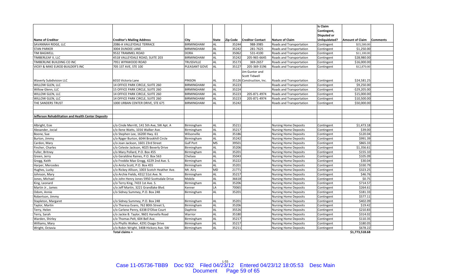|                                                     |                                              |                   |              |                 |                          |                              | <b>Is Claim</b>    |                        |                 |
|-----------------------------------------------------|----------------------------------------------|-------------------|--------------|-----------------|--------------------------|------------------------------|--------------------|------------------------|-----------------|
|                                                     |                                              |                   |              |                 |                          |                              | Contingent,        |                        |                 |
|                                                     |                                              |                   |              |                 |                          |                              | <b>Disputed or</b> |                        |                 |
| Name of Creditor                                    | <b>Creditor's Mailing Address</b>            | City              | <b>State</b> | <b>Zip Code</b> | <b>Creditor Contact</b>  | <b>Nature of Claim</b>       | Unliquidated?      | <b>Amount of Claim</b> | <b>Comments</b> |
| SAVANNAH RIDGE, LLC                                 | 2086-A VALLEYDALE TERRACE                    | <b>BIRMINGHAM</b> | AL           | 35244           | 988-3985                 | Roads and Transportation     | Contingent         | \$35,500.00            |                 |
| <b>STAN PARKER</b>                                  | 3004 DUNDEE LANE                             | BIRMINGHAM        | AL           | 35242           | 281-7625                 | Roads and Transportation     | Contingent         | \$1,250.00             |                 |
| <b>TIM BAGWELL</b>                                  | 9532 TRAMMEL ROAD                            | <b>DORA</b>       | <b>AL</b>    | 35062           | 531-4100                 | Roads and Transportation     | Contingent         | \$11,100.00            |                 |
| TIMBERLEAF II, LLC                                  | 4518 VALLEYDALE ROAD, SUITE 203              | BIRMINGHAM        | AL           | 35242           | 205-965-6645             | Roads and Transportation     | Contingent         | \$28,980.00            |                 |
| TIMBERLINE BUILDING CO INC                          | 7951 WYNWOOD ROAD                            | TRUSSVILLE        | AL           | 35173           | 369-2657                 | Roads and Transportation     | Contingent         | \$16,000.00            |                 |
| VICKY & MIKE ELROD BUILDER'S INC                    | 705 1ST AVE, STE 100                         | PLEASANT GOVE     | AL           | 35127           | 205-369-3196             | Roads and Transportation     | Contingent         | \$12,870.00            |                 |
|                                                     |                                              |                   |              |                 | Jim Gunter and           |                              |                    |                        |                 |
|                                                     |                                              |                   |              |                 | <b>Scott Tidwell</b>     |                              |                    |                        |                 |
| <b>Waverly Subdivision LLC</b>                      | 6010 Victoria Lane                           | PINSON            | AL           |                 | 35126 Construction, Inc. | Roads and Transportation     | Contingent         | \$24,581.25            |                 |
| WILLOW GLEN, LLC                                    | 14 OFFICE PARK CIRCLE, SUITE 260             | BIRMINGHAM        | AL           | 35223           |                          | Roads and Transportation     | Contingent         | \$9,250.00             |                 |
| Willow Glenn, LLC                                   | 15 OFFICE PARK CIRCLE, SUITE 260             | BIRMINGHAM        | AL           | 35224           |                          | Roads and Transportation     | Contingent         | $-$29,205.00$          |                 |
| <b>WILLOW GLEN, LLC</b>                             | 14 OFFICE PARK CIRCLE, SUITE 260             | <b>BIRMINGHAM</b> | <b>AL</b>    | 35223           | 205-871-4974             | Roads and Transportation     | Contingent         | \$15,000.00            |                 |
| WILLOW GLEN, LLC                                    | 14 OFFICE PARK CIRCLE, SUITE 260             | BIRMINGHAM        | AL           | 35223           | 205-871-4974             | Roads and Transportation     | Contingent         | \$10,500.00            |                 |
| THE SANDERS TRUST                                   | 1000 URBAN CENTER DRIVE, STE 675             | BIRMINGHAM        | <b>AL</b>    | 35242           |                          | Roads and Transportation     | Contingent         | \$50,000.00            |                 |
|                                                     |                                              |                   |              |                 |                          |                              |                    |                        |                 |
|                                                     |                                              |                   |              |                 |                          |                              |                    |                        |                 |
| Jefferson Rehabilitation and Health Center Deposits |                                              |                   |              |                 |                          |                              |                    |                        |                 |
|                                                     |                                              |                   |              |                 |                          |                              |                    |                        |                 |
| Albright, Esie                                      | c/o Cinde Merritt, 141 5th Ave, SW Apt. A    | Birmingham        | AL           | 35211           |                          | <b>Nursing Home Deposits</b> | Contingent         | \$1,473.18             |                 |
| Alexander, Jocial                                   | c/o Ilene Watts, 1016 Walker Ave.            | Birmingham        | AL           | 35217           |                          | <b>Nursing Home Deposits</b> | Contingent         | \$39.00                |                 |
| Boone, Sue                                          | c/o Stephen Lee, 16200 Hwy. 61               | Wilsonville       | AL           | 35186           |                          | <b>Nursing Home Deposits</b> | Contingent         | \$120.04               |                 |
| Burton, Jimmy                                       | c/o Rpger Burton, 6044 Brookhill Circle      | Birmingham        | <b>AL</b>    | 35242           |                          | <b>Nursing Home Deposits</b> | Contingent         | \$991.39               |                 |
| Cardon, Mary                                        | c/o Joan Jackson, 1601 23rd Street           | <b>Gulf Port</b>  | <b>MS</b>    | 39501           |                          | <b>Nursing Home Deposits</b> | Contingent         | \$865.33               |                 |
| Fincher, Charles                                    | c/o Celeste Jackson, 4025 Beverly Drive      | Birmingham        | AL           | 35206           |                          | <b>Nursing Home Deposits</b> | Contingent         | \$1,356.61             |                 |
| Fuller, Britney                                     | c/o Mary Pollard, P.O. Box 455               | Birmingham        | AL           | 35201           |                          | <b>Nursing Home Deposits</b> | Contingent         | \$155.10               |                 |
| Green, Jerry                                        | c/o Geraldine Raines, P.O. Box 563           | Chelsea           | AL           | 35043           |                          | <b>Nursing Home Deposits</b> | Contingent         | \$105.09               |                 |
| Gregg, Keith                                        | c/o Freddie Mae Gregg, 4229 2nd Ave. S.      | Birmingham        | AL           | 35222           |                          | <b>Nursing Home Deposits</b> | Contingent         | \$30.04                |                 |
| Harper, Mercedes                                    | c/o Anita Scott, P.O. Box 455                | Birmingham        | AL           | 35201           |                          | <b>Nursing Home Deposits</b> | Contingent         | \$330.79               |                 |
| Hughes, Lucky                                       | c/o Rickey Allison, 1003 Scotch Heather Ave. | Mt. Airy          | <b>MD</b>    | 21771           |                          | <b>Nursing Home Deposits</b> | Contingent         | \$323.25               |                 |
| Johnson, Mary                                       | c/o Archie Fields, 4312 51st Ave. N.         | Birmingham        | AL           | 35217           |                          | <b>Nursing Home Deposits</b> | Contingent         | \$46.76                |                 |
| Jones, Michael                                      | c/o John Henry Jones 5950 Scottsdale Drive   | Mobile            | AL           | 36618           |                          | <b>Nursing Home Deposits</b> | Contingent         | \$0.75                 |                 |
| King, Leonard                                       | c/o Terry King, 7433 1st Ave. S.             | Birmingham        | AL           | 35206           |                          | <b>Nursing Home Deposits</b> | Contingent         | \$714.57               |                 |
| Martin Jr., James                                   | c/o Jeff Martin, 3221 Grandlake Blvd.        | Kenner            | LA           | 70065           |                          | <b>Nursing Home Deposits</b> | Contingent         | \$264.61               |                 |
| Odom, Annie                                         | c/o Sidney Summey, P.O. Box 248              | Birmingham        | AL           | 35201           |                          | <b>Nursing Home Deposits</b> | Contingent         | \$181.33               |                 |
| Robertson, Jimmy                                    |                                              |                   |              |                 |                          | <b>Nursing Home Deposits</b> | Contingent         | \$577.11               |                 |
| Stapleton, Margaret                                 | c/o Sidney Summey, P.O. Box 248              | Birmingham        | AL           | 35201           |                          | <b>Nursing Home Deposits</b> | Contingent         | \$402.09               |                 |
| Taylor, Martin                                      | c/o Theresa Evans, 762 80th Street S,        | Birmingham        | AL           | 35206           |                          | <b>Nursing Home Deposits</b> | Contingent         | \$19.42                |                 |
| Terry, Helen                                        | c/o Carlene Penry, 6338 D'Olive Court        | Daphnie           | AL           | 35526           |                          | <b>Nursing Home Deposits</b> | Contingent         | \$210.83               |                 |
| Terry, Sarah                                        | c/o Jackie B. Taylor, 9601 Harvella Road     | Warrior           | AL           | 35180           |                          | <b>Nursing Home Deposits</b> | Contingent         | \$314.02               |                 |
| Warden, Shirley                                     | c/o Thomas Pelt, 604 Bell Ave.               | Birmingham        | AL           | 35217           |                          | <b>Nursing Home Deposits</b> | Contingent         | \$110.35               |                 |
| Williams, Mary                                      | c/o Phyllis Walker, 4291 Osage Drive         | Birmingham        | AL           | 35217           |                          | <b>Nursing Home Deposits</b> | Contingent         | \$180.05               |                 |
| Wright, Octavia                                     | c/o Robin Wright, 3408 Hickory Ave. SW       | Birmingham        | <b>AL</b>    | 35211           |                          | <b>Nursing Home Deposits</b> | Contingent         | \$678.22               |                 |
|                                                     | Total claims =                               |                   |              |                 |                          |                              |                    | \$1,773,518.68         |                 |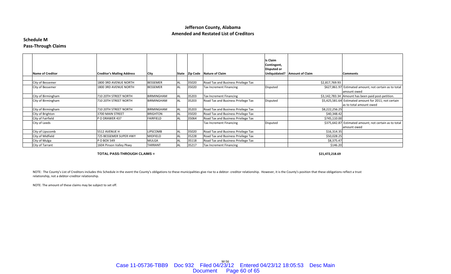### **Schedule M Pass‐Through Claims**

| <b>Name of Creditor</b> | <b>Creditor's Mailing Address</b> | City              | State |       | Zip Code Nature of Claim            | Is Claim<br>Contingent,<br>Disputed or | Unliquidated? Amount of Claim | <b>Comments</b>                                                                  |
|-------------------------|-----------------------------------|-------------------|-------|-------|-------------------------------------|----------------------------------------|-------------------------------|----------------------------------------------------------------------------------|
| City of Bessemer        | 1800 3RD AVENUE NORTH             | <b>BESSEMER</b>   | AL    | 35020 | Road Tax and Business Privilege Tax |                                        | \$2,817,769.93                |                                                                                  |
| City of Bessemer        | 1800 3RD AVENUE NORTH             | <b>BESSEMER</b>   | AL    | 35020 | Tax Increment Financing             | Disputed                               |                               | \$627,861.97 Estimated amount; not certain as to total<br>amount owed            |
| City of Birmingham      | 710 20TH STREET NORTH             | <b>BIRMINGHAM</b> |       | 35203 | <b>Tax Increment Financing</b>      |                                        |                               | \$3,142,783.34 Amount has been paid post-petition.                               |
| City of Birmingham      | 710 20TH STREET NORTH             | <b>BIRMINGHAM</b> | AL    | 35203 | Road Tax and Business Privilege Tax | Disputed                               |                               | \$5,425,581.64 Estimated amount for 2011; not certain<br>as to total amount owed |
| City of Birmingham      | 710 20TH STREET NORTH             | <b>BIRMINGHAM</b> |       | 35203 | Road Tax and Business Privilege Tax |                                        | \$8,222,256.25                |                                                                                  |
| City of Brighton        | 3700 MAIN STREET                  | <b>BRIGHTON</b>   | AL    | 35020 | Road Tax and Business Privilege Tax |                                        | \$40,348.42                   |                                                                                  |
| City of Fairfield       | P O DRAWER 437                    | FAIRFIELD         |       | 35064 | Road Tax and Business Privilege Tax |                                        | \$745,110.00                  |                                                                                  |
| City of Leeds           |                                   |                   |       |       | Tax Increment Financing             | Disputed                               |                               | \$375,642.87 Estimated amount; not certain as to total<br>amount owed            |
| City of Lipscomb        | 5512 AVENUE H                     | <b>LIPSCOMB</b>   | AL    | 35020 | Road Tax and Business Privilege Tax |                                        | \$16,314.35                   |                                                                                  |
| City of Midfield        | 725 BESSEMER SUPER HWY            | <b>MIDFIELD</b>   |       | 35228 | Road Tax and Business Privilege Tax |                                        | \$50,028.25                   |                                                                                  |
| City of Mulga           | P O BOX 549                       | MULGA             |       | 35118 | Road Tax and Business Privilege Tax |                                        | \$8,375.47                    |                                                                                  |
| City of Tarrant         | 1604 Pinson Valley Pkwy           | <b>TARRANT</b>    | AL    | 35217 | Tax Increment Financing             |                                        | \$146.20                      |                                                                                  |

#### **TOTAL PASS-THROUGH CLAIMS =**

**\$21,472,218.69**

NOTE: The County's List of Creditors includes this Schedule in the event the County's obligations to these municipalities give rise to a debtor- creditor relationship. However, it is the County's position that these obliga relationship, not <sup>a</sup> debtor‐creditor relationship.

NOTE: The amount of these claims may be subject to set off.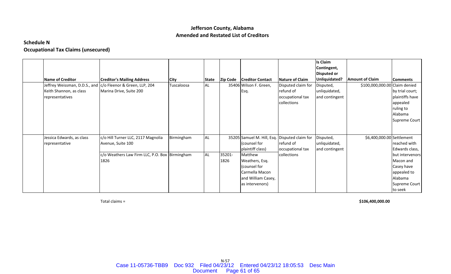# **Schedule N**

# **Occupational Tax Claims (unsecured)**

| <b>Name of Creditor</b>                                                     | <b>Creditor's Mailing Address</b>                        | <b>City</b> | <b>State</b> | <b>Zip Code</b> | <b>Creditor Contact</b>                                                                              | Nature of Claim                                                    | <b>Is Claim</b><br>Contingent,<br><b>Disputed or</b><br>Unliquidated? | <b>Amount of Claim</b>        | <b>Comments</b>                                                                                  |
|-----------------------------------------------------------------------------|----------------------------------------------------------|-------------|--------------|-----------------|------------------------------------------------------------------------------------------------------|--------------------------------------------------------------------|-----------------------------------------------------------------------|-------------------------------|--------------------------------------------------------------------------------------------------|
| Jeffrey Weissman, D.D.S., and<br>Keith Shannon, as class<br>representatives | c/o Fleenor & Green, LLP, 204<br>Marina Drive, Suite 200 | Tuscaloosa  | <b>AL</b>    |                 | 35406 Wilson F. Green,<br>Esq.                                                                       | Disputed claim for<br>refund of<br>occupational tax<br>collections | Disputed,<br>unliquidated,<br>and contingent                          | \$100,000,000.00 Claim denied | by trial court;<br>plaintiffs have<br>appealed<br>ruling to<br>Alabama<br>Supreme Court          |
| Jessica Edwards, as class<br>representative                                 | c/o Hill Turner LLC, 2117 Magnolia<br>Avenue, Suite 100  | Birmingham  | <b>AL</b>    |                 | 35205 Samuel M. Hill, Esq. Disputed claim for<br>(counsel for<br>plaintiff class)                    | refund of<br>occupational tax                                      | Disputed,<br>unliquidated,<br>and contingent                          | \$6,400,000.00 Settlement     | reached with<br>Edwards class,                                                                   |
|                                                                             | c/o Weathers Law Firm LLC, P.O. Box Birmingham<br>1826   |             | <b>AL</b>    | 35201-<br>1826  | Matthew<br>Weathers, Esq.<br>(counsel for<br>Carmella Macon<br>and William Casey,<br>as intervenors) | collections                                                        |                                                                       |                               | but intervenors<br>Macon and<br>Casey have<br>appealed to<br>Alabama<br>Supreme Court<br>to seek |

Total claims <sup>=</sup>

**\$106,400,000.00**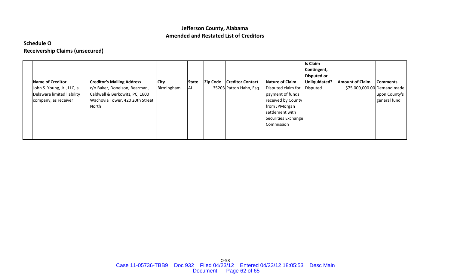# **Schedule O Receivership Claims (unsecured)**

|                            |                                   |             |       |                 |                         |                        | Is Claim           |                        |                             |
|----------------------------|-----------------------------------|-------------|-------|-----------------|-------------------------|------------------------|--------------------|------------------------|-----------------------------|
|                            |                                   |             |       |                 |                         |                        | Contingent,        |                        |                             |
|                            |                                   |             |       |                 |                         |                        | <b>Disputed or</b> |                        |                             |
| Name of Creditor           | <b>Creditor's Mailing Address</b> | <b>City</b> | State | <b>Zip Code</b> | <b>Creditor Contact</b> | <b>Nature of Claim</b> | Unliquidated?      | <b>Amount of Claim</b> | <b>Comments</b>             |
| John S. Young, Jr., LLC, a | c/o Baker, Donelson, Bearman,     | Birmingham  | AL    |                 | 35203 Patton Hahn, Esq. | Disputed claim for     | Disputed           |                        | \$75,000,000.00 Demand made |
| Delaware limited liability | Caldwell & Berkowitz, PC, 1600    |             |       |                 |                         | payment of funds       |                    |                        | upon County's               |
| company, as receiver       | Wachovia Tower, 420 20th Street   |             |       |                 |                         | received by County     |                    |                        | general fund                |
|                            | North                             |             |       |                 |                         | from JPMorgan          |                    |                        |                             |
|                            |                                   |             |       |                 |                         | settlement with        |                    |                        |                             |
|                            |                                   |             |       |                 |                         | Securities Exchange    |                    |                        |                             |
|                            |                                   |             |       |                 |                         | Commission             |                    |                        |                             |
|                            |                                   |             |       |                 |                         |                        |                    |                        |                             |
|                            |                                   |             |       |                 |                         |                        |                    |                        |                             |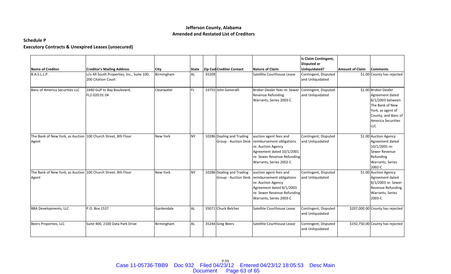### **Schedule P**

# **Executory Contracts & Unexpired Leases (unsecured)**

| Name of Creditor                                                       | <b>Creditor's Mailing Address</b>                                | City            | <b>State</b> |       | <b>Zip Cod Creditor Contact</b>                          | Nature of Claim                                                                                                                                                                      | Is Claim Contingent,<br><b>Disputed or</b><br>Unliquidated? | <b>Amount of Claim</b> | <b>Comments</b>                                                                                                                                                |
|------------------------------------------------------------------------|------------------------------------------------------------------|-----------------|--------------|-------|----------------------------------------------------------|--------------------------------------------------------------------------------------------------------------------------------------------------------------------------------------|-------------------------------------------------------------|------------------------|----------------------------------------------------------------------------------------------------------------------------------------------------------------|
| B.A.S.L.L.P.                                                           | c/o All South Properties, Inc., Suite 100,<br>200 Citation Court | Birmingham      | <b>AL</b>    | 35209 |                                                          | Satellite Courthouse Lease                                                                                                                                                           | Contingent, Disputed<br>and Unliquidated                    |                        | \$1.00 County has rejected                                                                                                                                     |
| Banc of America Securities LLC                                         | 1640 Gulf to Bay Boulevard,<br>FL2-020 01 04                     | Clearwater      | FL.          |       | 33755 John Generalli                                     | Broker-Dealer fees re: Sewer<br>Revenue Refunding<br>Warrants, Series 2003-C                                                                                                         | Contingent, Disputed<br>and Unliquidated                    |                        | \$1.00 Broker-Dealer<br>Agreement dated<br>8/1/2003 between<br>The Bank of New<br>York, as agent of<br>County, and Banc of<br>America Securities<br><b>LLC</b> |
| The Bank of New York, as Auction 100 Church Street, 8th Floor<br>Agent |                                                                  | New York        | <b>NY</b>    |       | 10286 Dealing and Trading<br><b>Group - Auction Desk</b> | auction agent fees and<br>reimbursement obligations<br>re: Auction Agency<br>Agreement dated 10/1/2001<br>re: Sewer Revenue Refunding<br>Warrants, Series 2002-C                     | Contingent, Disputed<br>and Unliquidated                    |                        | \$1.00 Auction Agency<br>Agreement dated<br>10/1/2001 re:<br>Sewer Revenue<br>Refunding<br>Warrants, Series<br>2002-C                                          |
| The Bank of New York, as Auction 100 Church Street, 8th Floor<br>Agent |                                                                  | <b>New York</b> | <b>NY</b>    |       | 10286 Dealing and Trading                                | auction agent fees and<br>Group - Auction Desk reimbursement obligations<br>re: Auction Agency<br>Agreement dated 8/1/2003<br>re: Sewer Revenue Refunding<br>Warrants, Series 2003-C | Contingent, Disputed<br>and Unliquidated                    |                        | \$1.00 Auction Agency<br>Agreement dated<br>8/1/2003 re: Sewer<br>Revenue Refunding<br>Warrants, Series<br>2003-C                                              |
| <b>BBA Developments, LLC</b>                                           | P.O. Box 1537                                                    | Gardendale      | <b>AL</b>    |       | 35071 Chuck Belcher                                      | Satellite Courthouse Lease                                                                                                                                                           | Contingent, Disputed<br>and Unliquidated                    |                        | \$207,000.00 County has rejected                                                                                                                               |
| Beers Properties, LLC                                                  | Suite 400, 2100 Data Park Drive                                  | Birmingham      | <b>AL</b>    |       | 35244 Greg Beers                                         | Satellite Courthouse Lease                                                                                                                                                           | Contingent, Disputed<br>and Unliquidated                    |                        | \$192,750.00 County has rejected                                                                                                                               |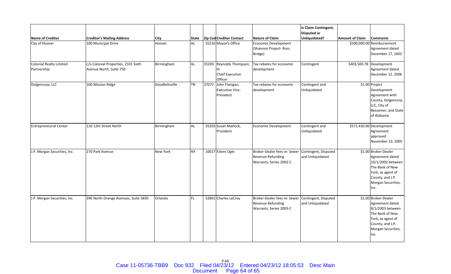|                                           |                                                                |                       |             |       |                                                              |                                                                                     | Is Claim Contingent,<br><b>Disputed or</b> |                        |                                                                                                                                                        |
|-------------------------------------------|----------------------------------------------------------------|-----------------------|-------------|-------|--------------------------------------------------------------|-------------------------------------------------------------------------------------|--------------------------------------------|------------------------|--------------------------------------------------------------------------------------------------------------------------------------------------------|
| <b>Name of Creditor</b><br>City of Hoover | <b>Creditor's Mailing Address</b><br>100 Municipal Drive       | <b>City</b><br>Hoover | State<br>AL |       | <b>Zip Cod Creditor Contact</b><br>35216 Mayor's Office      | Nature of Claim<br>Economic Development<br>(Shannon Project- Ross<br>Bridge)        | Unliquidated?                              | <b>Amount of Claim</b> | <b>Comments</b><br>\$500,000.00 Reimbursement<br>Agreement dated<br>December 17, 2002                                                                  |
| Colonial Realty Limited<br>Partnership    | c/o Colonial Properties, 2101 Sixth<br>Avenue North, Suite 750 | Birmingham            | <b>AL</b>   | 35203 | Reynolds Thompson,<br>Ш<br><b>Chief Executive</b><br>Officer | Tax rebates for economic<br>development                                             | Contingent                                 |                        | \$403,500.78 Development<br>Agreement dated<br>December 12, 2006                                                                                       |
| Dolgencorp, LLC                           | 100 Mission Ridge                                              | Goodlettsville        | <b>TN</b>   |       | 37072 John Flanigan,<br><b>Executive Vice-</b><br>President  | Tax rebates for economic<br>development                                             | Contingent and<br>Unliquidated             |                        | \$1.00 Project<br>Development<br>Agreement with<br>County, Dolgencorp<br>LLC, City of<br>Bessemer, and State<br>of Alabama                             |
| <b>Entrepreneurial Center</b>             | 110 12th Street North                                          | Birmingham            | <b>AL</b>   |       | 35203 Susan Matlock,<br>President                            | Economic Development                                                                | Contingent and<br>Unliquidated             |                        | \$571,430.00 Development<br>Agreement<br>approved<br>November 22, 2005                                                                                 |
| J.P. Morgan Securities, Inc.              | 270 Park Avenue                                                | <b>New York</b>       | <b>NY</b>   |       | 10017 Eileen Ogle                                            | Broker-Dealer fees re: Sewer<br>Revenue Refunding<br>Warrants, Series 2002-C        | Contingent, Disputed<br>and Unliquidated   |                        | \$1.00 Broker-Dealer<br>Agreement dated<br>10/1/2002 between<br>The Bank of New<br>York, as agent of<br>County, and J.P.<br>Morgan Securities,<br>Inc. |
| J.P. Morgan Securities, Inc.              | 390 North Orange Avenues, Suite 1850                           | Orlando               | FL.         |       | 32801 Charles LeCroy                                         | Broker-Dealer fees re: Sewer<br><b>Revenue Refunding</b><br>Warrants, Series 2003-C | Contingent, Disputed<br>and Unliquidated   |                        | \$1.00 Broker-Dealer<br>Agreement dated<br>8/1/2003 between<br>The Bank of New<br>York, as agent of<br>County, and J.P.<br>Morgan Securities,<br>Inc.  |